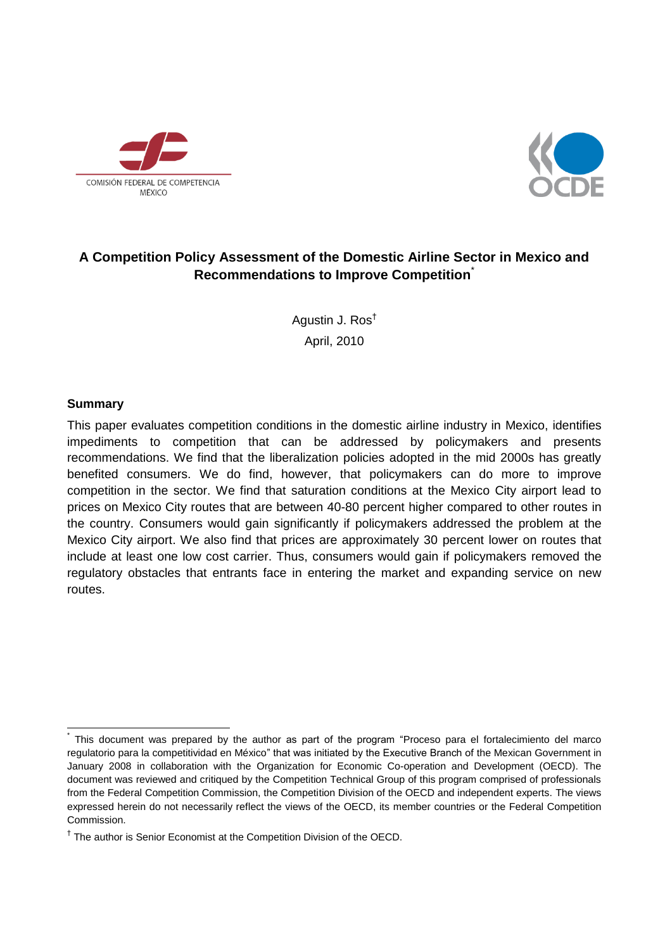



# **A Competition Policy Assessment of the Domestic Airline Sector in Mexico and Recommendations to Improve Competition**\*

Agustin J. Ros† April, 2010

### **Summary**

This paper evaluates competition conditions in the domestic airline industry in Mexico, identifies impediments to competition that can be addressed by policymakers and presents recommendations. We find that the liberalization policies adopted in the mid 2000s has greatly benefited consumers. We do find, however, that policymakers can do more to improve competition in the sector. We find that saturation conditions at the Mexico City airport lead to prices on Mexico City routes that are between 40-80 percent higher compared to other routes in the country. Consumers would gain significantly if policymakers addressed the problem at the Mexico City airport. We also find that prices are approximately 30 percent lower on routes that include at least one low cost carrier. Thus, consumers would gain if policymakers removed the regulatory obstacles that entrants face in entering the market and expanding service on new routes.

j \* This document was prepared by the author as part of the program "Proceso para el fortalecimiento del marco regulatorio para la competitividad en México" that was initiated by the Executive Branch of the Mexican Government in January 2008 in collaboration with the Organization for Economic Co-operation and Development (OECD). The document was reviewed and critiqued by the Competition Technical Group of this program comprised of professionals from the Federal Competition Commission, the Competition Division of the OECD and independent experts. The views expressed herein do not necessarily reflect the views of the OECD, its member countries or the Federal Competition Commission.

<sup>&</sup>lt;sup>†</sup> The author is Senior Economist at the Competition Division of the OECD.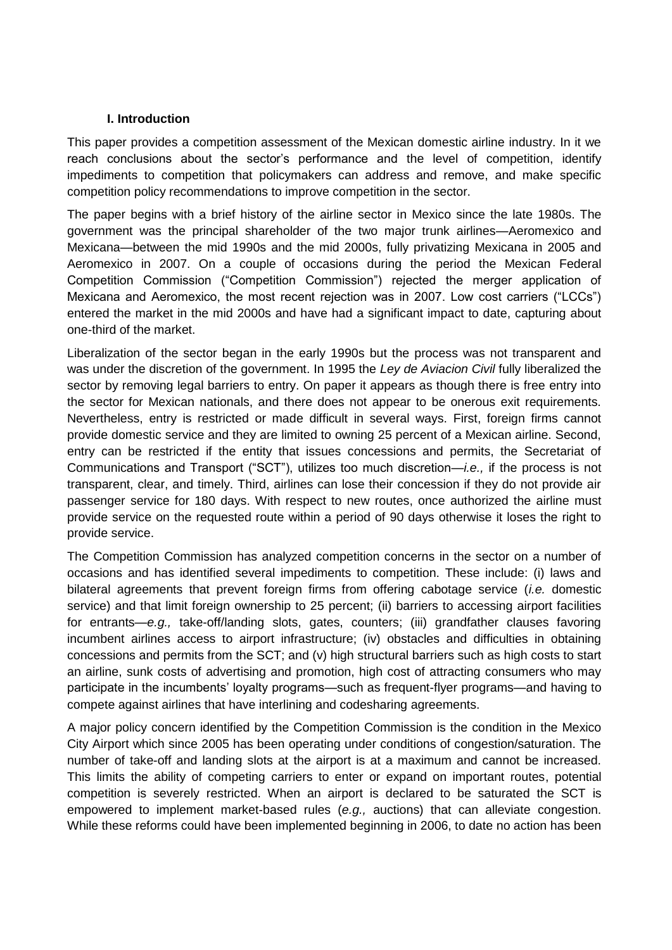### **I. Introduction**

This paper provides a competition assessment of the Mexican domestic airline industry. In it we reach conclusions about the sector's performance and the level of competition, identify impediments to competition that policymakers can address and remove, and make specific competition policy recommendations to improve competition in the sector.

The paper begins with a brief history of the airline sector in Mexico since the late 1980s. The government was the principal shareholder of the two major trunk airlines—Aeromexico and Mexicana—between the mid 1990s and the mid 2000s, fully privatizing Mexicana in 2005 and Aeromexico in 2007. On a couple of occasions during the period the Mexican Federal Competition Commission ("Competition Commission") rejected the merger application of Mexicana and Aeromexico, the most recent rejection was in 2007. Low cost carriers ("LCCs") entered the market in the mid 2000s and have had a significant impact to date, capturing about one-third of the market.

Liberalization of the sector began in the early 1990s but the process was not transparent and was under the discretion of the government. In 1995 the *Ley de Aviacion Civil* fully liberalized the sector by removing legal barriers to entry. On paper it appears as though there is free entry into the sector for Mexican nationals, and there does not appear to be onerous exit requirements. Nevertheless, entry is restricted or made difficult in several ways. First, foreign firms cannot provide domestic service and they are limited to owning 25 percent of a Mexican airline. Second, entry can be restricted if the entity that issues concessions and permits, the Secretariat of Communications and Transport ("SCT"), utilizes too much discretion—*i.e.*, if the process is not transparent, clear, and timely. Third, airlines can lose their concession if they do not provide air passenger service for 180 days. With respect to new routes, once authorized the airline must provide service on the requested route within a period of 90 days otherwise it loses the right to provide service.

The Competition Commission has analyzed competition concerns in the sector on a number of occasions and has identified several impediments to competition. These include: (i) laws and bilateral agreements that prevent foreign firms from offering cabotage service (*i.e.* domestic service) and that limit foreign ownership to 25 percent; (ii) barriers to accessing airport facilities for entrants—*e.g.,* take-off/landing slots, gates, counters; (iii) grandfather clauses favoring incumbent airlines access to airport infrastructure; (iv) obstacles and difficulties in obtaining concessions and permits from the SCT; and (v) high structural barriers such as high costs to start an airline, sunk costs of advertising and promotion, high cost of attracting consumers who may participate in the incumbents' loyalty programs—such as frequent-flyer programs—and having to compete against airlines that have interlining and codesharing agreements.

A major policy concern identified by the Competition Commission is the condition in the Mexico City Airport which since 2005 has been operating under conditions of congestion/saturation. The number of take-off and landing slots at the airport is at a maximum and cannot be increased. This limits the ability of competing carriers to enter or expand on important routes, potential competition is severely restricted. When an airport is declared to be saturated the SCT is empowered to implement market-based rules (*e.g.,* auctions) that can alleviate congestion. While these reforms could have been implemented beginning in 2006, to date no action has been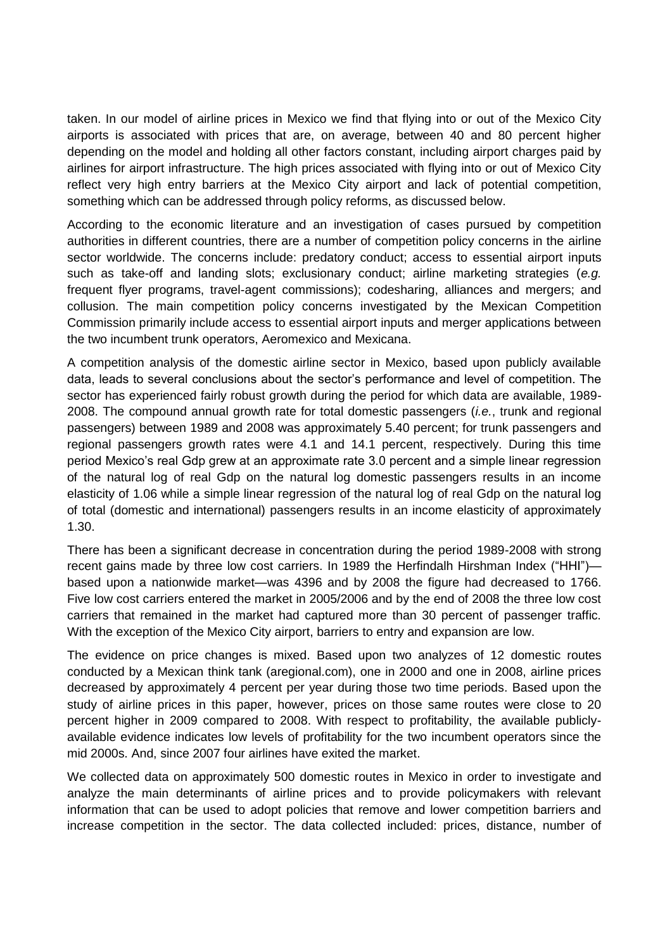taken. In our model of airline prices in Mexico we find that flying into or out of the Mexico City airports is associated with prices that are, on average, between 40 and 80 percent higher depending on the model and holding all other factors constant, including airport charges paid by airlines for airport infrastructure. The high prices associated with flying into or out of Mexico City reflect very high entry barriers at the Mexico City airport and lack of potential competition, something which can be addressed through policy reforms, as discussed below.

According to the economic literature and an investigation of cases pursued by competition authorities in different countries, there are a number of competition policy concerns in the airline sector worldwide. The concerns include: predatory conduct; access to essential airport inputs such as take-off and landing slots; exclusionary conduct; airline marketing strategies (*e.g.* frequent flyer programs, travel-agent commissions); codesharing, alliances and mergers; and collusion. The main competition policy concerns investigated by the Mexican Competition Commission primarily include access to essential airport inputs and merger applications between the two incumbent trunk operators, Aeromexico and Mexicana.

A competition analysis of the domestic airline sector in Mexico, based upon publicly available data, leads to several conclusions about the sector's performance and level of competition. The sector has experienced fairly robust growth during the period for which data are available, 1989- 2008. The compound annual growth rate for total domestic passengers (*i.e.*, trunk and regional passengers) between 1989 and 2008 was approximately 5.40 percent; for trunk passengers and regional passengers growth rates were 4.1 and 14.1 percent, respectively. During this time period Mexico's real Gdp grew at an approximate rate 3.0 percent and a simple linear regression of the natural log of real Gdp on the natural log domestic passengers results in an income elasticity of 1.06 while a simple linear regression of the natural log of real Gdp on the natural log of total (domestic and international) passengers results in an income elasticity of approximately 1.30.

There has been a significant decrease in concentration during the period 1989-2008 with strong recent gains made by three low cost carriers. In 1989 the Herfindalh Hirshman Index ("HHI") based upon a nationwide market—was 4396 and by 2008 the figure had decreased to 1766. Five low cost carriers entered the market in 2005/2006 and by the end of 2008 the three low cost carriers that remained in the market had captured more than 30 percent of passenger traffic. With the exception of the Mexico City airport, barriers to entry and expansion are low.

The evidence on price changes is mixed. Based upon two analyzes of 12 domestic routes conducted by a Mexican think tank (aregional.com), one in 2000 and one in 2008, airline prices decreased by approximately 4 percent per year during those two time periods. Based upon the study of airline prices in this paper, however, prices on those same routes were close to 20 percent higher in 2009 compared to 2008. With respect to profitability, the available publiclyavailable evidence indicates low levels of profitability for the two incumbent operators since the mid 2000s. And, since 2007 four airlines have exited the market.

We collected data on approximately 500 domestic routes in Mexico in order to investigate and analyze the main determinants of airline prices and to provide policymakers with relevant information that can be used to adopt policies that remove and lower competition barriers and increase competition in the sector. The data collected included: prices, distance, number of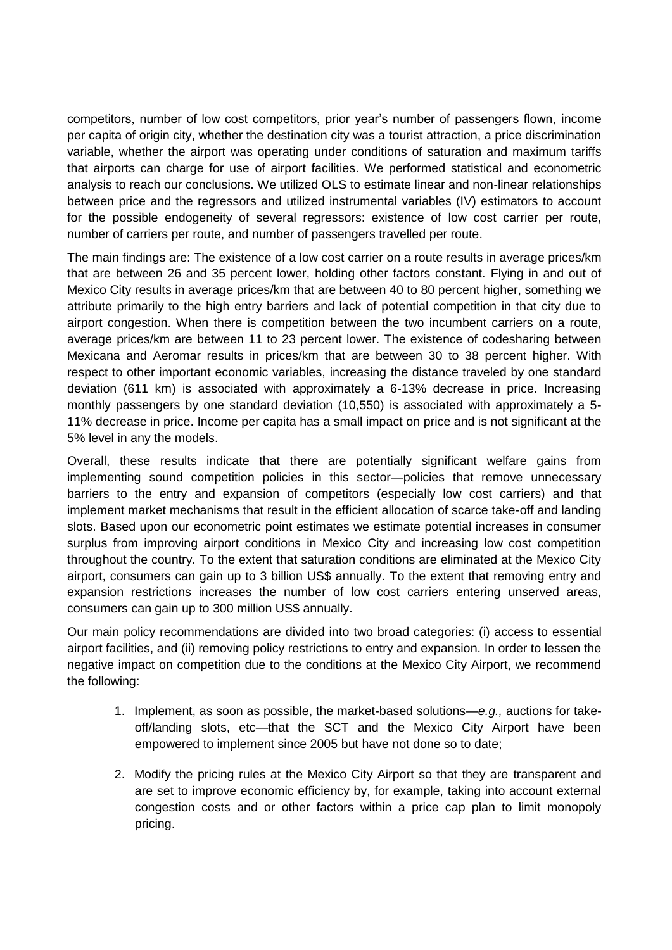competitors, number of low cost competitors, prior year's number of passengers flown, income per capita of origin city, whether the destination city was a tourist attraction, a price discrimination variable, whether the airport was operating under conditions of saturation and maximum tariffs that airports can charge for use of airport facilities. We performed statistical and econometric analysis to reach our conclusions. We utilized OLS to estimate linear and non-linear relationships between price and the regressors and utilized instrumental variables (IV) estimators to account for the possible endogeneity of several regressors: existence of low cost carrier per route, number of carriers per route, and number of passengers travelled per route.

The main findings are: The existence of a low cost carrier on a route results in average prices/km that are between 26 and 35 percent lower, holding other factors constant. Flying in and out of Mexico City results in average prices/km that are between 40 to 80 percent higher, something we attribute primarily to the high entry barriers and lack of potential competition in that city due to airport congestion. When there is competition between the two incumbent carriers on a route, average prices/km are between 11 to 23 percent lower. The existence of codesharing between Mexicana and Aeromar results in prices/km that are between 30 to 38 percent higher. With respect to other important economic variables, increasing the distance traveled by one standard deviation (611 km) is associated with approximately a 6-13% decrease in price. Increasing monthly passengers by one standard deviation (10,550) is associated with approximately a 5- 11% decrease in price. Income per capita has a small impact on price and is not significant at the 5% level in any the models.

Overall, these results indicate that there are potentially significant welfare gains from implementing sound competition policies in this sector—policies that remove unnecessary barriers to the entry and expansion of competitors (especially low cost carriers) and that implement market mechanisms that result in the efficient allocation of scarce take-off and landing slots. Based upon our econometric point estimates we estimate potential increases in consumer surplus from improving airport conditions in Mexico City and increasing low cost competition throughout the country. To the extent that saturation conditions are eliminated at the Mexico City airport, consumers can gain up to 3 billion US\$ annually. To the extent that removing entry and expansion restrictions increases the number of low cost carriers entering unserved areas, consumers can gain up to 300 million US\$ annually.

Our main policy recommendations are divided into two broad categories: (i) access to essential airport facilities, and (ii) removing policy restrictions to entry and expansion. In order to lessen the negative impact on competition due to the conditions at the Mexico City Airport, we recommend the following:

- 1. Implement, as soon as possible, the market-based solutions—*e.g.,* auctions for takeoff/landing slots, etc—that the SCT and the Mexico City Airport have been empowered to implement since 2005 but have not done so to date;
- 2. Modify the pricing rules at the Mexico City Airport so that they are transparent and are set to improve economic efficiency by, for example, taking into account external congestion costs and or other factors within a price cap plan to limit monopoly pricing.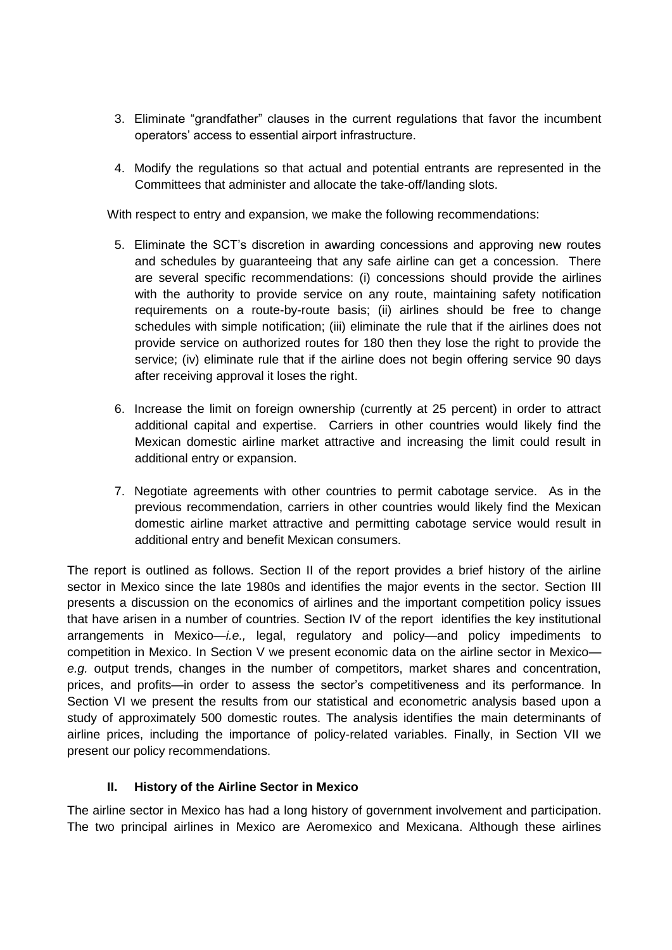- 3. Eliminate "grandfather" clauses in the current regulations that favor the incumbent operators' access to essential airport infrastructure.
- 4. Modify the regulations so that actual and potential entrants are represented in the Committees that administer and allocate the take-off/landing slots.

With respect to entry and expansion, we make the following recommendations:

- 5. Eliminate the SCT's discretion in awarding concessions and approving new routes and schedules by guaranteeing that any safe airline can get a concession. There are several specific recommendations: (i) concessions should provide the airlines with the authority to provide service on any route, maintaining safety notification requirements on a route-by-route basis; (ii) airlines should be free to change schedules with simple notification; (iii) eliminate the rule that if the airlines does not provide service on authorized routes for 180 then they lose the right to provide the service; (iv) eliminate rule that if the airline does not begin offering service 90 days after receiving approval it loses the right.
- 6. Increase the limit on foreign ownership (currently at 25 percent) in order to attract additional capital and expertise. Carriers in other countries would likely find the Mexican domestic airline market attractive and increasing the limit could result in additional entry or expansion.
- 7. Negotiate agreements with other countries to permit cabotage service. As in the previous recommendation, carriers in other countries would likely find the Mexican domestic airline market attractive and permitting cabotage service would result in additional entry and benefit Mexican consumers.

The report is outlined as follows. Section II of the report provides a brief history of the airline sector in Mexico since the late 1980s and identifies the major events in the sector. Section III presents a discussion on the economics of airlines and the important competition policy issues that have arisen in a number of countries. Section IV of the report identifies the key institutional arrangements in Mexico—*i.e.,* legal, regulatory and policy—and policy impediments to competition in Mexico. In Section V we present economic data on the airline sector in Mexico *e.g.* output trends, changes in the number of competitors, market shares and concentration, prices, and profits—in order to assess the sector's competitiveness and its performance. In Section VI we present the results from our statistical and econometric analysis based upon a study of approximately 500 domestic routes. The analysis identifies the main determinants of airline prices, including the importance of policy-related variables. Finally, in Section VII we present our policy recommendations.

# **II. History of the Airline Sector in Mexico**

The airline sector in Mexico has had a long history of government involvement and participation. The two principal airlines in Mexico are Aeromexico and Mexicana. Although these airlines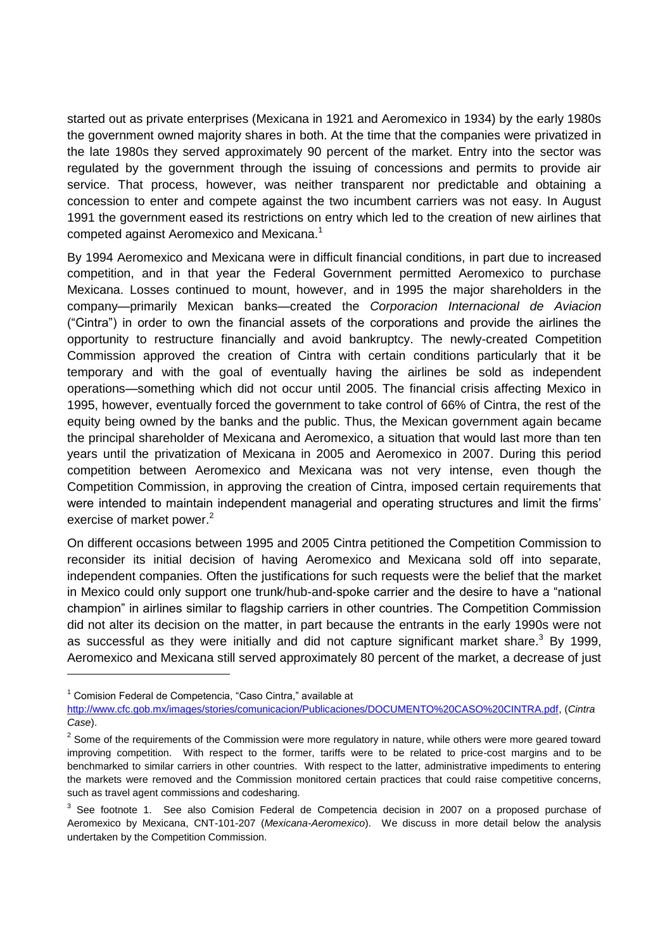started out as private enterprises (Mexicana in 1921 and Aeromexico in 1934) by the early 1980s the government owned majority shares in both. At the time that the companies were privatized in the late 1980s they served approximately 90 percent of the market. Entry into the sector was regulated by the government through the issuing of concessions and permits to provide air service. That process, however, was neither transparent nor predictable and obtaining a concession to enter and compete against the two incumbent carriers was not easy. In August 1991 the government eased its restrictions on entry which led to the creation of new airlines that competed against Aeromexico and Mexicana.<sup>1</sup>

<span id="page-5-0"></span>By 1994 Aeromexico and Mexicana were in difficult financial conditions, in part due to increased competition, and in that year the Federal Government permitted Aeromexico to purchase Mexicana. Losses continued to mount, however, and in 1995 the major shareholders in the company—primarily Mexican banks—created the *Corporacion Internacional de Aviacion*  (―Cintra‖) in order to own the financial assets of the corporations and provide the airlines the opportunity to restructure financially and avoid bankruptcy. The newly-created Competition Commission approved the creation of Cintra with certain conditions particularly that it be temporary and with the goal of eventually having the airlines be sold as independent operations—something which did not occur until 2005. The financial crisis affecting Mexico in 1995, however, eventually forced the government to take control of 66% of Cintra, the rest of the equity being owned by the banks and the public. Thus, the Mexican government again became the principal shareholder of Mexicana and Aeromexico, a situation that would last more than ten years until the privatization of Mexicana in 2005 and Aeromexico in 2007. During this period competition between Aeromexico and Mexicana was not very intense, even though the Competition Commission, in approving the creation of Cintra, imposed certain requirements that were intended to maintain independent managerial and operating structures and limit the firms' exercise of market power.<sup>2</sup>

On different occasions between 1995 and 2005 Cintra petitioned the Competition Commission to reconsider its initial decision of having Aeromexico and Mexicana sold off into separate, independent companies. Often the justifications for such requests were the belief that the market in Mexico could only support one trunk/hub-and-spoke carrier and the desire to have a "national champion" in airlines similar to flagship carriers in other countries. The Competition Commission did not alter its decision on the matter, in part because the entrants in the early 1990s were not as successful as they were initially and did not capture significant market share.<sup>3</sup> By 1999, Aeromexico and Mexicana still served approximately 80 percent of the market, a decrease of just

<span id="page-5-1"></span> $\overline{a}$ 

 $1$  Comision Federal de Competencia, "Caso Cintra," available at

[http://www.cfc.gob.mx/images/stories/comunicacion/Publicaciones/DOCUMENTO%20CASO%20CINTRA.pdf,](http://www.cfc.gob.mx/images/stories/comunicacion/Publicaciones/DOCUMENTO%20CASO%20CINTRA.pdf) (*Cintra Case*).

 $2$  Some of the requirements of the Commission were more regulatory in nature, while others were more geared toward improving competition. With respect to the former, tariffs were to be related to price-cost margins and to be benchmarked to similar carriers in other countries. With respect to the latter, administrative impediments to entering the markets were removed and the Commission monitored certain practices that could raise competitive concerns, such as travel agent commissions and codesharing.

 $3$  See footnote [1.](#page-5-0) See also Comision Federal de Competencia decision in 2007 on a proposed purchase of Aeromexico by Mexicana, CNT-101-207 (*Mexicana-Aeromexico*). We discuss in more detail below the analysis undertaken by the Competition Commission.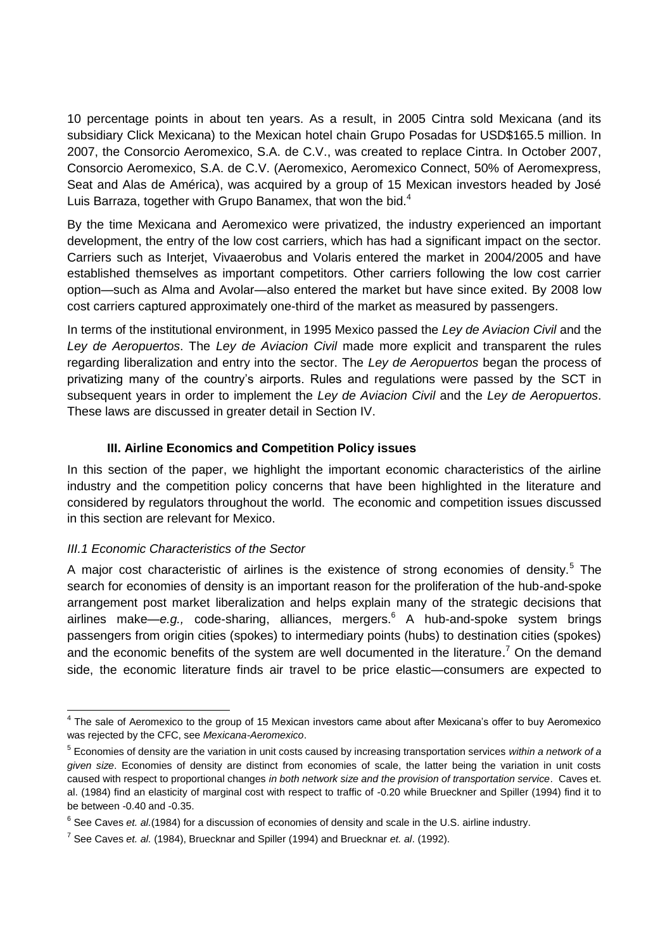10 percentage points in about ten years. As a result, in 2005 Cintra sold Mexicana (and its subsidiary Click Mexicana) to the Mexican hotel chain [Grupo Posadas](http://en.wikipedia.org/w/index.php?title=Grupo_Posadas&action=edit&redlink=1) for USD\$165.5 million. In 2007, the Consorcio Aeromexico, S.A. de C.V., was created to replace Cintra. In October 2007, Consorcio Aeromexico, S.A. de C.V. (Aeromexico, Aeromexico Connect, 50% of Aeromexpress, Seat and Alas de América), was acquired by a group of 15 Mexican investors headed by José Luis Barraza, together with Grupo Banamex, that won the bid. $4$ 

By the time Mexicana and Aeromexico were privatized, the industry experienced an important development, the entry of the low cost carriers, which has had a significant impact on the sector. Carriers such as Interjet, Vivaaerobus and Volaris entered the market in 2004/2005 and have established themselves as important competitors. Other carriers following the low cost carrier option—such as Alma and Avolar—also entered the market but have since exited. By 2008 low cost carriers captured approximately one-third of the market as measured by passengers.

In terms of the institutional environment, in 1995 Mexico passed the *Ley de Aviacion Civil* and the *Ley de Aeropuertos*. The *Ley de Aviacion Civil* made more explicit and transparent the rules regarding liberalization and entry into the sector. The *Ley de Aeropuertos* began the process of privatizing many of the country's airports. Rules and regulations were passed by the SCT in subsequent years in order to implement the *Ley de Aviacion Civil* and the *Ley de Aeropuertos*. These laws are discussed in greater detail in Section IV.

## **III. Airline Economics and Competition Policy issues**

In this section of the paper, we highlight the important economic characteristics of the airline industry and the competition policy concerns that have been highlighted in the literature and considered by regulators throughout the world. The economic and competition issues discussed in this section are relevant for Mexico.

## *III.1 Economic Characteristics of the Sector*

A major cost characteristic of airlines is the existence of strong economies of density.<sup>5</sup> The search for economies of density is an important reason for the proliferation of the hub-and-spoke arrangement post market liberalization and helps explain many of the strategic decisions that airlines make—e.g., code-sharing, alliances, mergers.<sup>6</sup> A hub-and-spoke system brings passengers from origin cities (spokes) to intermediary points (hubs) to destination cities (spokes) and the economic benefits of the system are well documented in the literature.<sup>7</sup> On the demand side, the economic literature finds air travel to be price elastic—consumers are expected to

 4 The sale of Aeromexico to the group of 15 Mexican investors came about after Mexicana's offer to buy Aeromexico was rejected by the CFC, see *Mexicana-Aeromexico*.

<sup>5</sup> Economies of density are the variation in unit costs caused by increasing transportation services *within a network of a given size*. Economies of density are distinct from economies of scale, the latter being the variation in unit costs caused with respect to proportional changes *in both network size and the provision of transportation service*. Caves et. al. (1984) find an elasticity of marginal cost with respect to traffic of -0.20 while Brueckner and Spiller (1994) find it to be between -0.40 and -0.35.

<sup>&</sup>lt;sup>6</sup> See Caves *et. al.*(1984) for a discussion of economies of density and scale in the U.S. airline industry.

<sup>7</sup> See Caves *et. al.* (1984), Bruecknar and Spiller (1994) and Bruecknar *et. al*. (1992).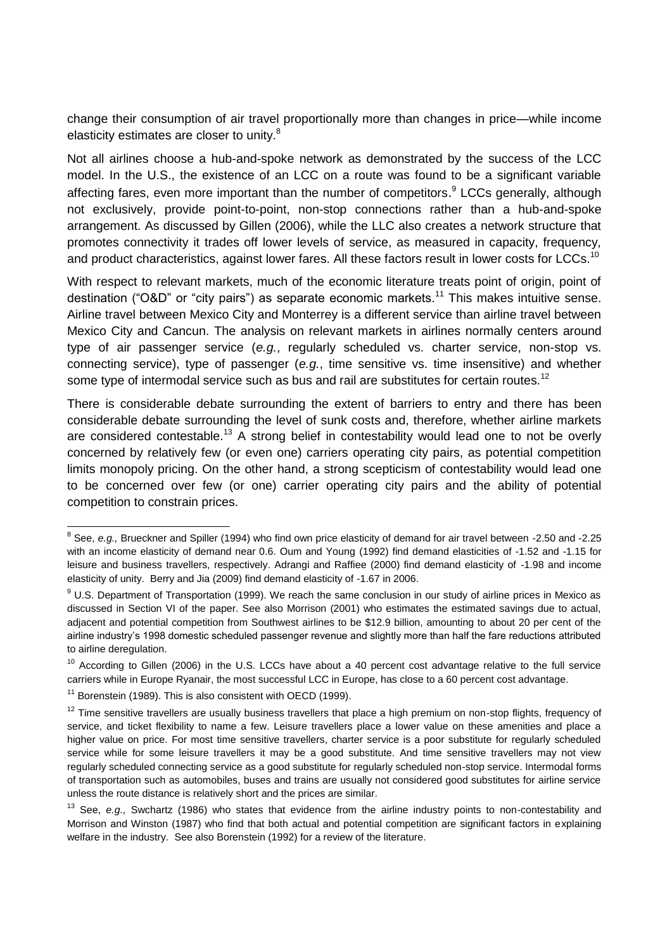<span id="page-7-0"></span>change their consumption of air travel proportionally more than changes in price—while income elasticity estimates are closer to unity.<sup>8</sup>

Not all airlines choose a hub-and-spoke network as demonstrated by the success of the LCC model. In the U.S., the existence of an LCC on a route was found to be a significant variable affecting fares, even more important than the number of competitors.<sup>9</sup> LCCs generally, although not exclusively, provide point-to-point, non-stop connections rather than a hub-and-spoke arrangement. As discussed by Gillen (2006), while the LLC also creates a network structure that promotes connectivity it trades off lower levels of service, as measured in capacity, frequency, and product characteristics, against lower fares. All these factors result in lower costs for LCCs.<sup>10</sup>

With respect to relevant markets, much of the economic literature treats point of origin, point of destination (" $O&D$ " or "city pairs") as separate economic markets.<sup>11</sup> This makes intuitive sense. Airline travel between Mexico City and Monterrey is a different service than airline travel between Mexico City and Cancun. The analysis on relevant markets in airlines normally centers around type of air passenger service (*e.g.*, regularly scheduled vs. charter service, non-stop vs. connecting service), type of passenger (*e.g.*, time sensitive vs. time insensitive) and whether some type of intermodal service such as bus and rail are substitutes for certain routes.<sup>12</sup>

There is considerable debate surrounding the extent of barriers to entry and there has been considerable debate surrounding the level of sunk costs and, therefore, whether airline markets are considered contestable.<sup>13</sup> A strong belief in contestability would lead one to not be overly concerned by relatively few (or even one) carriers operating city pairs, as potential competition limits monopoly pricing. On the other hand, a strong scepticism of contestability would lead one to be concerned over few (or one) carrier operating city pairs and the ability of potential competition to constrain prices.

 8 See, *e.g.,* Brueckner and Spiller (1994) who find own price elasticity of demand for air travel between -2.50 and -2.25 with an income elasticity of demand near 0.6. Oum and Young (1992) find demand elasticities of -1.52 and -1.15 for leisure and business travellers, respectively. Adrangi and Raffiee (2000) find demand elasticity of -1.98 and income elasticity of unity. Berry and Jia (2009) find demand elasticity of -1.67 in 2006.

<sup>&</sup>lt;sup>9</sup> U.S. Department of Transportation (1999). We reach the same conclusion in our study of airline prices in Mexico as discussed in Section VI of the paper. See also Morrison (2001) who estimates the estimated savings due to actual, adjacent and potential competition from Southwest airlines to be \$12.9 billion, amounting to about 20 per cent of the airline industry's 1998 domestic scheduled passenger revenue and slightly more than half the fare reductions attributed to airline deregulation.

 $10$  According to Gillen (2006) in the U.S. LCCs have about a 40 percent cost advantage relative to the full service carriers while in Europe Ryanair, the most successful LCC in Europe, has close to a 60 percent cost advantage.

 $11$  Borenstein (1989). This is also consistent with OECD (1999).

 $12$  Time sensitive travellers are usually business travellers that place a high premium on non-stop flights, frequency of service, and ticket flexibility to name a few. Leisure travellers place a lower value on these amenities and place a higher value on price. For most time sensitive travellers, charter service is a poor substitute for regularly scheduled service while for some leisure travellers it may be a good substitute. And time sensitive travellers may not view regularly scheduled connecting service as a good substitute for regularly scheduled non-stop service. Intermodal forms of transportation such as automobiles, buses and trains are usually not considered good substitutes for airline service unless the route distance is relatively short and the prices are similar.

<sup>13</sup> See, *e.g.,* Swchartz (1986) who states that evidence from the airline industry points to non-contestability and Morrison and Winston (1987) who find that both actual and potential competition are significant factors in explaining welfare in the industry. See also Borenstein (1992) for a review of the literature.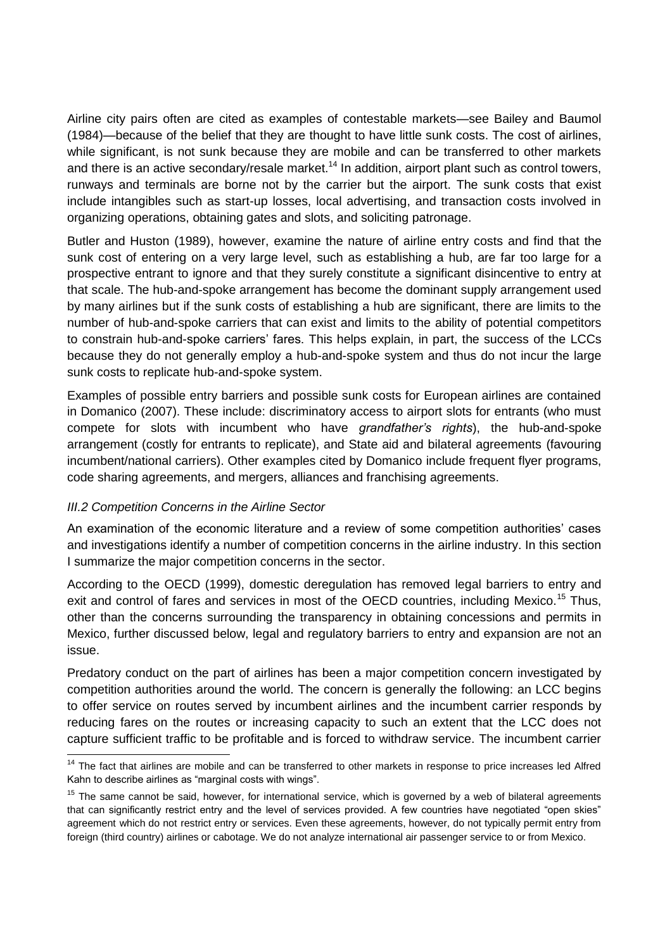Airline city pairs often are cited as examples of contestable markets—see Bailey and Baumol (1984)—because of the belief that they are thought to have little sunk costs. The cost of airlines, while significant, is not sunk because they are mobile and can be transferred to other markets and there is an active secondary/resale market.<sup>14</sup> In addition, airport plant such as control towers, runways and terminals are borne not by the carrier but the airport. The sunk costs that exist include intangibles such as start-up losses, local advertising, and transaction costs involved in organizing operations, obtaining gates and slots, and soliciting patronage.

Butler and Huston (1989), however, examine the nature of airline entry costs and find that the sunk cost of entering on a very large level, such as establishing a hub, are far too large for a prospective entrant to ignore and that they surely constitute a significant disincentive to entry at that scale. The hub-and-spoke arrangement has become the dominant supply arrangement used by many airlines but if the sunk costs of establishing a hub are significant, there are limits to the number of hub-and-spoke carriers that can exist and limits to the ability of potential competitors to constrain hub-and-spoke carriers' fares. This helps explain, in part, the success of the LCCs because they do not generally employ a hub-and-spoke system and thus do not incur the large sunk costs to replicate hub-and-spoke system.

Examples of possible entry barriers and possible sunk costs for European airlines are contained in Domanico (2007). These include: discriminatory access to airport slots for entrants (who must compete for slots with incumbent who have *grandfather's rights*), the hub-and-spoke arrangement (costly for entrants to replicate), and State aid and bilateral agreements (favouring incumbent/national carriers). Other examples cited by Domanico include frequent flyer programs, code sharing agreements, and mergers, alliances and franchising agreements.

## *III.2 Competition Concerns in the Airline Sector*

An examination of the economic literature and a review of some competition authorities' cases and investigations identify a number of competition concerns in the airline industry. In this section I summarize the major competition concerns in the sector.

According to the OECD (1999), domestic deregulation has removed legal barriers to entry and exit and control of fares and services in most of the OECD countries, including Mexico.<sup>15</sup> Thus, other than the concerns surrounding the transparency in obtaining concessions and permits in Mexico, further discussed below, legal and regulatory barriers to entry and expansion are not an issue.

Predatory conduct on the part of airlines has been a major competition concern investigated by competition authorities around the world. The concern is generally the following: an LCC begins to offer service on routes served by incumbent airlines and the incumbent carrier responds by reducing fares on the routes or increasing capacity to such an extent that the LCC does not capture sufficient traffic to be profitable and is forced to withdraw service. The incumbent carrier

 $\overline{a}$ <sup>14</sup> The fact that airlines are mobile and can be transferred to other markets in response to price increases led Alfred Kahn to describe airlines as "marginal costs with wings".

 $15$  The same cannot be said, however, for international service, which is governed by a web of bilateral agreements that can significantly restrict entry and the level of services provided. A few countries have negotiated "open skies" agreement which do not restrict entry or services. Even these agreements, however, do not typically permit entry from foreign (third country) airlines or cabotage. We do not analyze international air passenger service to or from Mexico.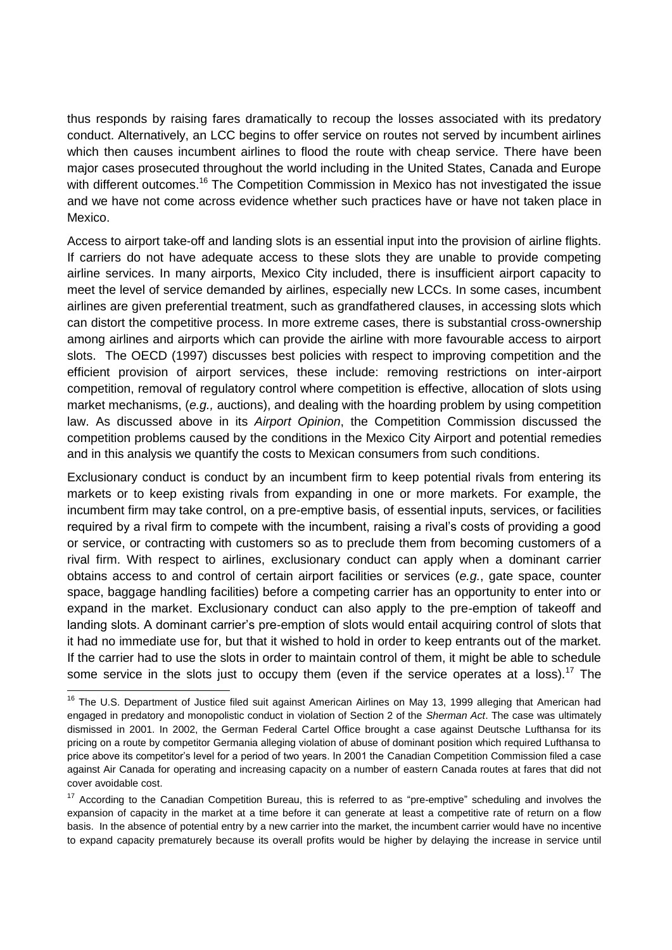thus responds by raising fares dramatically to recoup the losses associated with its predatory conduct. Alternatively, an LCC begins to offer service on routes not served by incumbent airlines which then causes incumbent airlines to flood the route with cheap service. There have been major cases prosecuted throughout the world including in the United States, Canada and Europe with different outcomes.<sup>16</sup> The Competition Commission in Mexico has not investigated the issue and we have not come across evidence whether such practices have or have not taken place in Mexico.

Access to airport take-off and landing slots is an essential input into the provision of airline flights. If carriers do not have adequate access to these slots they are unable to provide competing airline services. In many airports, Mexico City included, there is insufficient airport capacity to meet the level of service demanded by airlines, especially new LCCs. In some cases, incumbent airlines are given preferential treatment, such as grandfathered clauses, in accessing slots which can distort the competitive process. In more extreme cases, there is substantial cross-ownership among airlines and airports which can provide the airline with more favourable access to airport slots. The OECD (1997) discusses best policies with respect to improving competition and the efficient provision of airport services, these include: removing restrictions on inter-airport competition, removal of regulatory control where competition is effective, allocation of slots using market mechanisms, (*e.g.,* auctions), and dealing with the hoarding problem by using competition law. As discussed above in its *Airport Opinion*, the Competition Commission discussed the competition problems caused by the conditions in the Mexico City Airport and potential remedies and in this analysis we quantify the costs to Mexican consumers from such conditions.

Exclusionary conduct is conduct by an incumbent firm to keep potential rivals from entering its markets or to keep existing rivals from expanding in one or more markets. For example, the incumbent firm may take control, on a pre-emptive basis, of essential inputs, services, or facilities required by a rival firm to compete with the incumbent, raising a rival's costs of providing a good or service, or contracting with customers so as to preclude them from becoming customers of a rival firm. With respect to airlines, exclusionary conduct can apply when a dominant carrier obtains access to and control of certain airport facilities or services (*e.g.*, gate space, counter space, baggage handling facilities) before a competing carrier has an opportunity to enter into or expand in the market. Exclusionary conduct can also apply to the pre-emption of takeoff and landing slots. A dominant carrier's pre-emption of slots would entail acquiring control of slots that it had no immediate use for, but that it wished to hold in order to keep entrants out of the market. If the carrier had to use the slots in order to maintain control of them, it might be able to schedule some service in the slots just to occupy them (even if the service operates at a loss).<sup>17</sup> The

 $\overline{a}$ 

<sup>&</sup>lt;sup>16</sup> The U.S. Department of Justice filed suit against American Airlines on May 13, 1999 alleging that American had engaged in predatory and monopolistic conduct in violation of Section 2 of the *Sherman Act*. The case was ultimately dismissed in 2001. In 2002, the German Federal Cartel Office brought a case against Deutsche Lufthansa for its pricing on a route by competitor Germania alleging violation of abuse of dominant position which required Lufthansa to price above its competitor's level for a period of two years. In 2001 the Canadian Competition Commission filed a case against Air Canada for operating and increasing capacity on a number of eastern Canada routes at fares that did not cover avoidable cost.

 $17$  According to the Canadian Competition Bureau, this is referred to as "pre-emptive" scheduling and involves the expansion of capacity in the market at a time before it can generate at least a competitive rate of return on a flow basis. In the absence of potential entry by a new carrier into the market, the incumbent carrier would have no incentive to expand capacity prematurely because its overall profits would be higher by delaying the increase in service until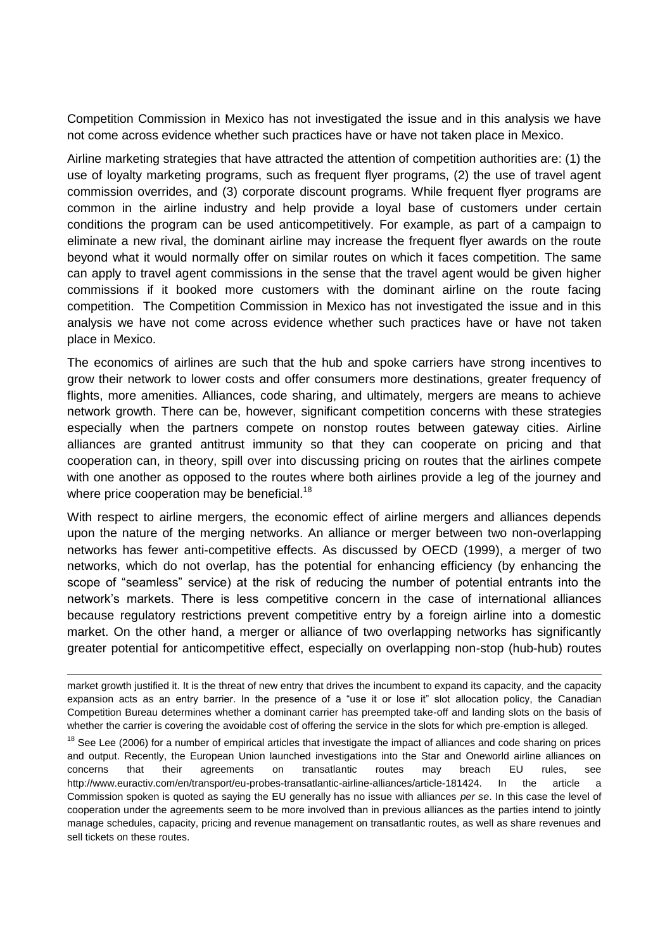Competition Commission in Mexico has not investigated the issue and in this analysis we have not come across evidence whether such practices have or have not taken place in Mexico.

Airline marketing strategies that have attracted the attention of competition authorities are: (1) the use of loyalty marketing programs, such as frequent flyer programs, (2) the use of travel agent commission overrides, and (3) corporate discount programs. While frequent flyer programs are common in the airline industry and help provide a loyal base of customers under certain conditions the program can be used anticompetitively. For example, as part of a campaign to eliminate a new rival, the dominant airline may increase the frequent flyer awards on the route beyond what it would normally offer on similar routes on which it faces competition. The same can apply to travel agent commissions in the sense that the travel agent would be given higher commissions if it booked more customers with the dominant airline on the route facing competition. The Competition Commission in Mexico has not investigated the issue and in this analysis we have not come across evidence whether such practices have or have not taken place in Mexico.

The economics of airlines are such that the hub and spoke carriers have strong incentives to grow their network to lower costs and offer consumers more destinations, greater frequency of flights, more amenities. Alliances, code sharing, and ultimately, mergers are means to achieve network growth. There can be, however, significant competition concerns with these strategies especially when the partners compete on nonstop routes between gateway cities. Airline alliances are granted antitrust immunity so that they can cooperate on pricing and that cooperation can, in theory, spill over into discussing pricing on routes that the airlines compete with one another as opposed to the routes where both airlines provide a leg of the journey and where price cooperation may be beneficial.<sup>18</sup>

With respect to airline mergers, the economic effect of airline mergers and alliances depends upon the nature of the merging networks. An alliance or merger between two non-overlapping networks has fewer anti-competitive effects. As discussed by OECD (1999), a merger of two networks, which do not overlap, has the potential for enhancing efficiency (by enhancing the scope of "seamless" service) at the risk of reducing the number of potential entrants into the network's markets. There is less competitive concern in the case of international alliances because regulatory restrictions prevent competitive entry by a foreign airline into a domestic market. On the other hand, a merger or alliance of two overlapping networks has significantly greater potential for anticompetitive effect, especially on overlapping non-stop (hub-hub) routes

market growth justified it. It is the threat of new entry that drives the incumbent to expand its capacity, and the capacity expansion acts as an entry barrier. In the presence of a "use it or lose it" slot allocation policy, the Canadian Competition Bureau determines whether a dominant carrier has preempted take-off and landing slots on the basis of whether the carrier is covering the avoidable cost of offering the service in the slots for which pre-emption is alleged.

<sup>&</sup>lt;sup>18</sup> See Lee (2006) for a number of empirical articles that investigate the impact of alliances and code sharing on prices and output. Recently, the European Union launched investigations into the Star and Oneworld airline alliances on concerns that their agreements on transatlantic routes may breach EU rules, see [http://www.euractiv.com/en/transport/eu-probes-transatlantic-airline-alliances/article-181424.](http://www.euractiv.com/en/transport/eu-probes-transatlantic-airline-alliances/article-181424) In the article a Commission spoken is quoted as saying the EU generally has no issue with alliances *per se*. In this case the level of cooperation under the agreements seem to be more involved than in previous alliances as the parties intend to jointly manage schedules, capacity, pricing and revenue management on transatlantic routes, as well as share revenues and sell tickets on these routes.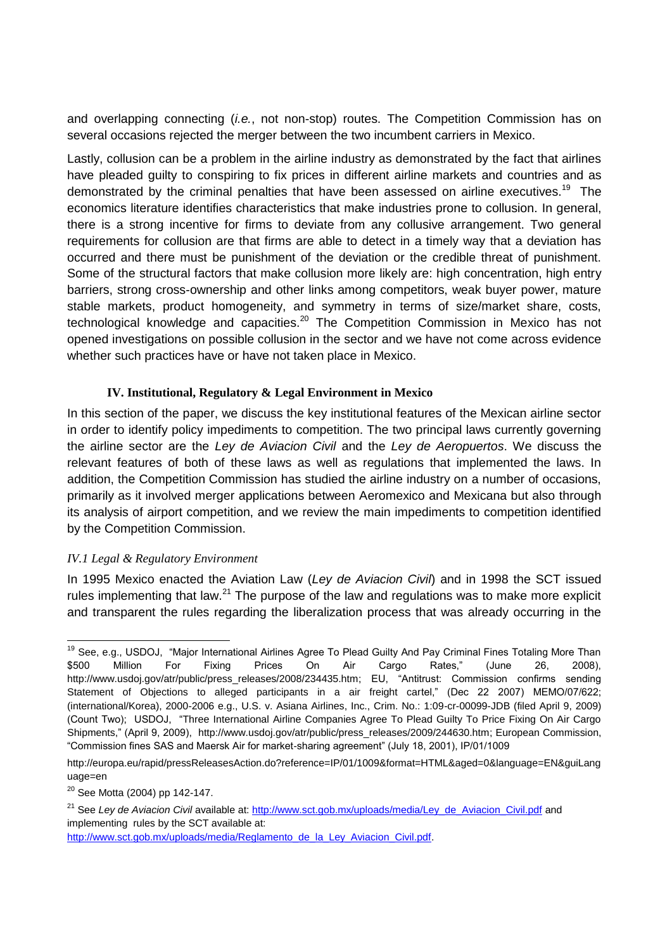and overlapping connecting (*i.e.*, not non-stop) routes. The Competition Commission has on several occasions rejected the merger between the two incumbent carriers in Mexico.

Lastly, collusion can be a problem in the airline industry as demonstrated by the fact that airlines have pleaded guilty to conspiring to fix prices in different airline markets and countries and as demonstrated by the criminal penalties that have been assessed on airline executives.<sup>19</sup> The economics literature identifies characteristics that make industries prone to collusion. In general, there is a strong incentive for firms to deviate from any collusive arrangement. Two general requirements for collusion are that firms are able to detect in a timely way that a deviation has occurred and there must be punishment of the deviation or the credible threat of punishment. Some of the structural factors that make collusion more likely are: high concentration, high entry barriers, strong cross-ownership and other links among competitors, weak buyer power, mature stable markets, product homogeneity, and symmetry in terms of size/market share, costs, technological knowledge and capacities.<sup>20</sup> The Competition Commission in Mexico has not opened investigations on possible collusion in the sector and we have not come across evidence whether such practices have or have not taken place in Mexico.

## **IV. Institutional, Regulatory & Legal Environment in Mexico**

In this section of the paper, we discuss the key institutional features of the Mexican airline sector in order to identify policy impediments to competition. The two principal laws currently governing the airline sector are the *Ley de Aviacion Civil* and the *Ley de Aeropuertos*. We discuss the relevant features of both of these laws as well as regulations that implemented the laws. In addition, the Competition Commission has studied the airline industry on a number of occasions, primarily as it involved merger applications between Aeromexico and Mexicana but also through its analysis of airport competition, and we review the main impediments to competition identified by the Competition Commission.

#### *IV.1 Legal & Regulatory Environment*

In 1995 Mexico enacted the Aviation Law (*Ley de Aviacion Civil*) and in 1998 the SCT issued rules implementing that law.<sup>21</sup> The purpose of the law and regulations was to make more explicit and transparent the rules regarding the liberalization process that was already occurring in the

 $\overline{a}$ <sup>19</sup> See, e.g., USDOJ, "Major International Airlines Agree To Plead Guilty And Pay Criminal Fines Totaling More Than \$500 Million For Fixing Prices On Air Cargo Rates," (June 26, 2008), [http://www.usdoj.gov/atr/public/press\\_releases/2008/234435.htm;](http://www.usdoj.gov/atr/public/press_releases/2008/234435.htm) EU, "Antitrust: Commission confirms sending Statement of Objections to alleged participants in a air freight cartel," (Dec 22 2007) MEMO/07/622; (international/Korea), 2000-2006 e.g., U.S. v. Asiana Airlines, Inc., Crim. No.: 1:09-cr-00099-JDB (filed April 9, 2009) (Count Two); USDOJ, "Three International Airline Companies Agree To Plead Guilty To Price Fixing On Air Cargo Shipments,‖ (April 9, 2009), [http://www.usdoj.gov/atr/public/press\\_releases/2009/244630.htm;](http://www.usdoj.gov/atr/public/press_releases/2009/244630.htm) European Commission, ―Commission fines SAS and Maersk Air for market-sharing agreement‖ (July 18, 2001), IP/01/1009

[http://europa.eu/rapid/pressReleasesAction.do?reference=IP/01/1009&format=HTML&aged=0&language=EN&guiLang](http://europa.eu/rapid/pressReleasesAction.do?reference=IP/01/1009&format=HTML&aged=0&language=EN&guiLanguage=en) [uage=en](http://europa.eu/rapid/pressReleasesAction.do?reference=IP/01/1009&format=HTML&aged=0&language=EN&guiLanguage=en)

 $20$  See Motta (2004) pp 142-147.

<sup>&</sup>lt;sup>21</sup> See Ley de Aviacion Civil available at: [http://www.sct.gob.mx/uploads/media/Ley\\_de\\_Aviacion\\_Civil.pdf](http://www.sct.gob.mx/uploads/media/Ley_de_Aviacion_Civil.pdf) and implementing rules by the SCT available at:

[http://www.sct.gob.mx/uploads/media/Reglamento\\_de\\_la\\_Ley\\_Aviacion\\_Civil.pdf.](http://www.sct.gob.mx/uploads/media/Reglamento_de_la_Ley_Aviacion_Civil.pdf)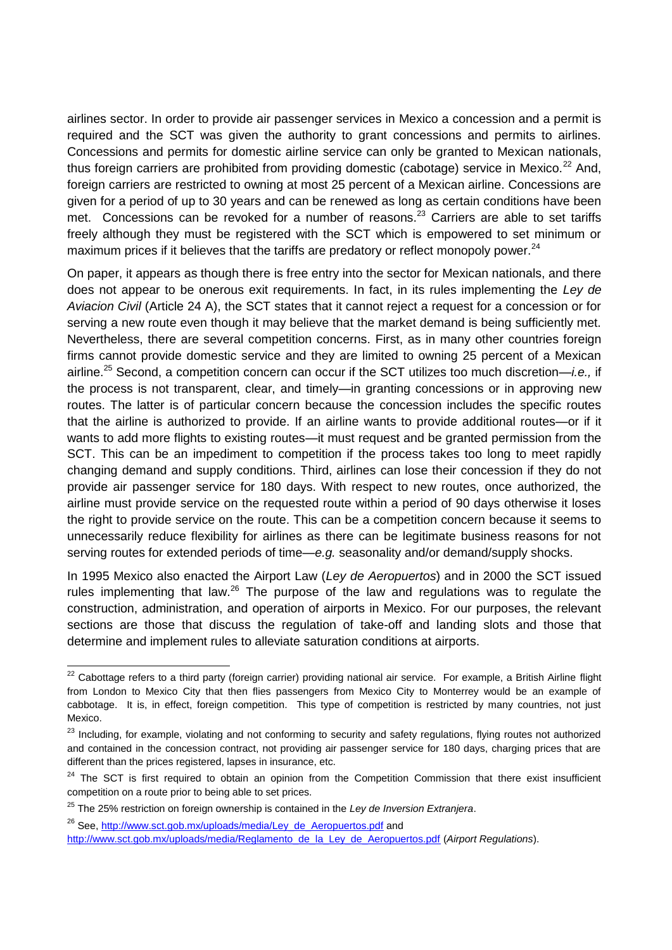airlines sector. In order to provide air passenger services in Mexico a concession and a permit is required and the SCT was given the authority to grant concessions and permits to airlines. Concessions and permits for domestic airline service can only be granted to Mexican nationals, thus foreign carriers are prohibited from providing domestic (cabotage) service in Mexico.<sup>22</sup> And, foreign carriers are restricted to owning at most 25 percent of a Mexican airline. Concessions are given for a period of up to 30 years and can be renewed as long as certain conditions have been met. Concessions can be revoked for a number of reasons.<sup>23</sup> Carriers are able to set tariffs freely although they must be registered with the SCT which is empowered to set minimum or maximum prices if it believes that the tariffs are predatory or reflect monopoly power. $^{24}$ 

On paper, it appears as though there is free entry into the sector for Mexican nationals, and there does not appear to be onerous exit requirements. In fact, in its rules implementing the *Ley de Aviacion Civil* (Article 24 A), the SCT states that it cannot reject a request for a concession or for serving a new route even though it may believe that the market demand is being sufficiently met. Nevertheless, there are several competition concerns. First, as in many other countries foreign firms cannot provide domestic service and they are limited to owning 25 percent of a Mexican airline.<sup>25</sup> Second, a competition concern can occur if the SCT utilizes too much discretion—*i.e.,* if the process is not transparent, clear, and timely—in granting concessions or in approving new routes. The latter is of particular concern because the concession includes the specific routes that the airline is authorized to provide. If an airline wants to provide additional routes—or if it wants to add more flights to existing routes—it must request and be granted permission from the SCT. This can be an impediment to competition if the process takes too long to meet rapidly changing demand and supply conditions. Third, airlines can lose their concession if they do not provide air passenger service for 180 days. With respect to new routes, once authorized, the airline must provide service on the requested route within a period of 90 days otherwise it loses the right to provide service on the route. This can be a competition concern because it seems to unnecessarily reduce flexibility for airlines as there can be legitimate business reasons for not serving routes for extended periods of time—*e.g.* seasonality and/or demand/supply shocks.

In 1995 Mexico also enacted the Airport Law (*Ley de Aeropuertos*) and in 2000 the SCT issued rules implementing that law.<sup>26</sup> The purpose of the law and regulations was to regulate the construction, administration, and operation of airports in Mexico. For our purposes, the relevant sections are those that discuss the regulation of take-off and landing slots and those that determine and implement rules to alleviate saturation conditions at airports.

  $22$  Cabottage refers to a third party (foreign carrier) providing national air service. For example, a British Airline flight from London to Mexico City that then flies passengers from Mexico City to Monterrey would be an example of cabbotage. It is, in effect, foreign competition. This type of competition is restricted by many countries, not just Mexico.

<sup>&</sup>lt;sup>23</sup> Including, for example, violating and not conforming to security and safety regulations, flying routes not authorized and contained in the concession contract, not providing air passenger service for 180 days, charging prices that are different than the prices registered, lapses in insurance, etc.

<sup>&</sup>lt;sup>24</sup> The SCT is first required to obtain an opinion from the Competition Commission that there exist insufficient competition on a route prior to being able to set prices.

<sup>25</sup> The 25% restriction on foreign ownership is contained in the *Ley de Inversion Extranjera*.

<sup>&</sup>lt;sup>26</sup> See[, http://www.sct.gob.mx/uploads/media/Ley\\_de\\_Aeropuertos.pdf](http://www.sct.gob.mx/uploads/media/Ley_de_Aeropuertos.pdf) and

[http://www.sct.gob.mx/uploads/media/Reglamento\\_de\\_la\\_Ley\\_de\\_Aeropuertos.pdf](http://www.sct.gob.mx/uploads/media/Reglamento_de_la_Ley_de_Aeropuertos.pdf) (*Airport Regulations*).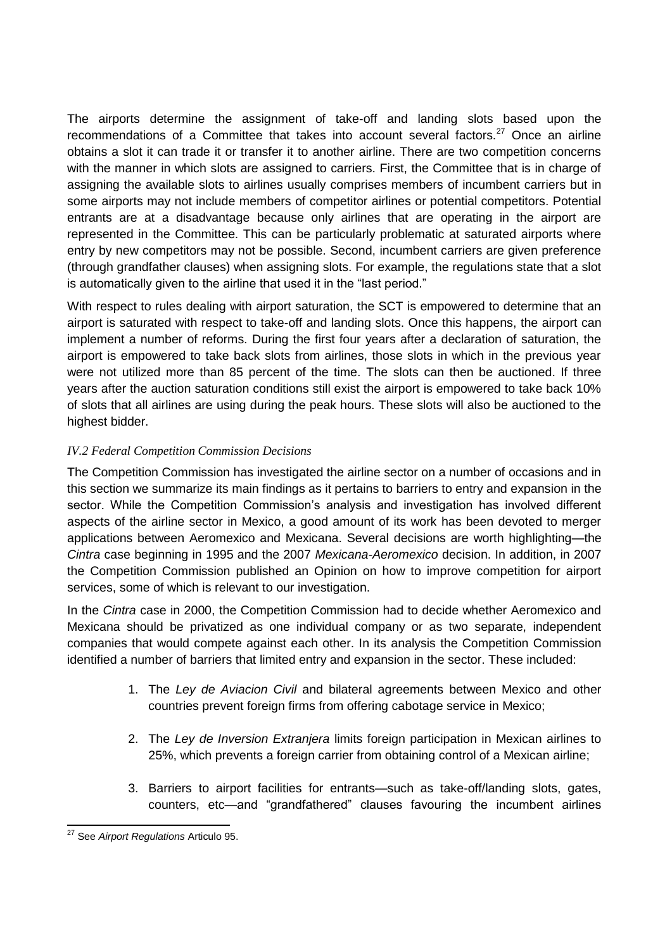The airports determine the assignment of take-off and landing slots based upon the recommendations of a Committee that takes into account several factors.<sup>27</sup> Once an airline obtains a slot it can trade it or transfer it to another airline. There are two competition concerns with the manner in which slots are assigned to carriers. First, the Committee that is in charge of assigning the available slots to airlines usually comprises members of incumbent carriers but in some airports may not include members of competitor airlines or potential competitors. Potential entrants are at a disadvantage because only airlines that are operating in the airport are represented in the Committee. This can be particularly problematic at saturated airports where entry by new competitors may not be possible. Second, incumbent carriers are given preference (through grandfather clauses) when assigning slots. For example, the regulations state that a slot is automatically given to the airline that used it in the "last period."

With respect to rules dealing with airport saturation, the SCT is empowered to determine that an airport is saturated with respect to take-off and landing slots. Once this happens, the airport can implement a number of reforms. During the first four years after a declaration of saturation, the airport is empowered to take back slots from airlines, those slots in which in the previous year were not utilized more than 85 percent of the time. The slots can then be auctioned. If three years after the auction saturation conditions still exist the airport is empowered to take back 10% of slots that all airlines are using during the peak hours. These slots will also be auctioned to the highest bidder.

## *IV.2 Federal Competition Commission Decisions*

The Competition Commission has investigated the airline sector on a number of occasions and in this section we summarize its main findings as it pertains to barriers to entry and expansion in the sector. While the Competition Commission's analysis and investigation has involved different aspects of the airline sector in Mexico, a good amount of its work has been devoted to merger applications between Aeromexico and Mexicana. Several decisions are worth highlighting—the *Cintra* case beginning in 1995 and the 2007 *Mexicana-Aeromexico* decision. In addition, in 2007 the Competition Commission published an Opinion on how to improve competition for airport services, some of which is relevant to our investigation.

In the *Cintra* case in 2000, the Competition Commission had to decide whether Aeromexico and Mexicana should be privatized as one individual company or as two separate, independent companies that would compete against each other. In its analysis the Competition Commission identified a number of barriers that limited entry and expansion in the sector. These included:

- 1. The *Ley de Aviacion Civil* and bilateral agreements between Mexico and other countries prevent foreign firms from offering cabotage service in Mexico;
- 2. The *Ley de Inversion Extranjera* limits foreign participation in Mexican airlines to 25%, which prevents a foreign carrier from obtaining control of a Mexican airline;
- 3. Barriers to airport facilities for entrants—such as take-off/landing slots, gates, counters, etc—and "grandfathered" clauses favouring the incumbent airlines

 <sup>27</sup> See *Airport Regulations* Articulo 95.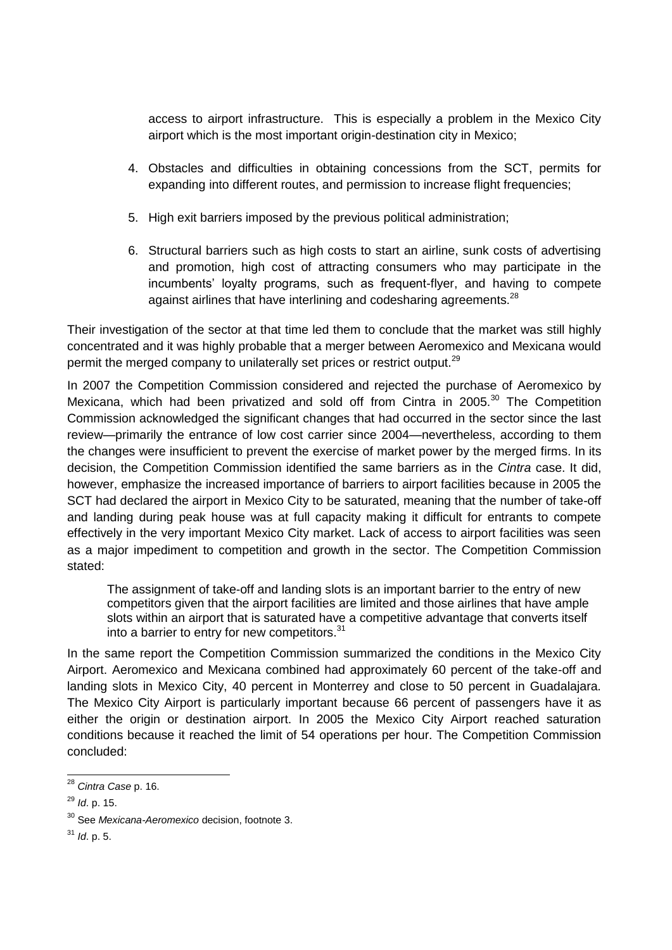access to airport infrastructure. This is especially a problem in the Mexico City airport which is the most important origin-destination city in Mexico;

- 4. Obstacles and difficulties in obtaining concessions from the SCT, permits for expanding into different routes, and permission to increase flight frequencies;
- 5. High exit barriers imposed by the previous political administration;
- 6. Structural barriers such as high costs to start an airline, sunk costs of advertising and promotion, high cost of attracting consumers who may participate in the incumbents' loyalty programs, such as frequent-flyer, and having to compete against airlines that have interlining and codesharing agreements.<sup>28</sup>

Their investigation of the sector at that time led them to conclude that the market was still highly concentrated and it was highly probable that a merger between Aeromexico and Mexicana would permit the merged company to unilaterally set prices or restrict output.<sup>29</sup>

In 2007 the Competition Commission considered and rejected the purchase of Aeromexico by Mexicana, which had been privatized and sold off from Cintra in 2005.<sup>30</sup> The Competition Commission acknowledged the significant changes that had occurred in the sector since the last review—primarily the entrance of low cost carrier since 2004—nevertheless, according to them the changes were insufficient to prevent the exercise of market power by the merged firms. In its decision, the Competition Commission identified the same barriers as in the *Cintra* case. It did, however, emphasize the increased importance of barriers to airport facilities because in 2005 the SCT had declared the airport in Mexico City to be saturated, meaning that the number of take-off and landing during peak house was at full capacity making it difficult for entrants to compete effectively in the very important Mexico City market. Lack of access to airport facilities was seen as a major impediment to competition and growth in the sector. The Competition Commission stated:

The assignment of take-off and landing slots is an important barrier to the entry of new competitors given that the airport facilities are limited and those airlines that have ample slots within an airport that is saturated have a competitive advantage that converts itself into a barrier to entry for new competitors. $31$ 

In the same report the Competition Commission summarized the conditions in the Mexico City Airport. Aeromexico and Mexicana combined had approximately 60 percent of the take-off and landing slots in Mexico City, 40 percent in Monterrey and close to 50 percent in Guadalajara. The Mexico City Airport is particularly important because 66 percent of passengers have it as either the origin or destination airport. In 2005 the Mexico City Airport reached saturation conditions because it reached the limit of 54 operations per hour. The Competition Commission concluded:

j <sup>28</sup> *Cintra Case* p. 16.

<sup>29</sup> *Id*. p. 15.

<sup>30</sup> See *Mexicana-Aeromexico* decision, footnote [3.](#page-5-1)

<sup>31</sup> *Id*. p. 5.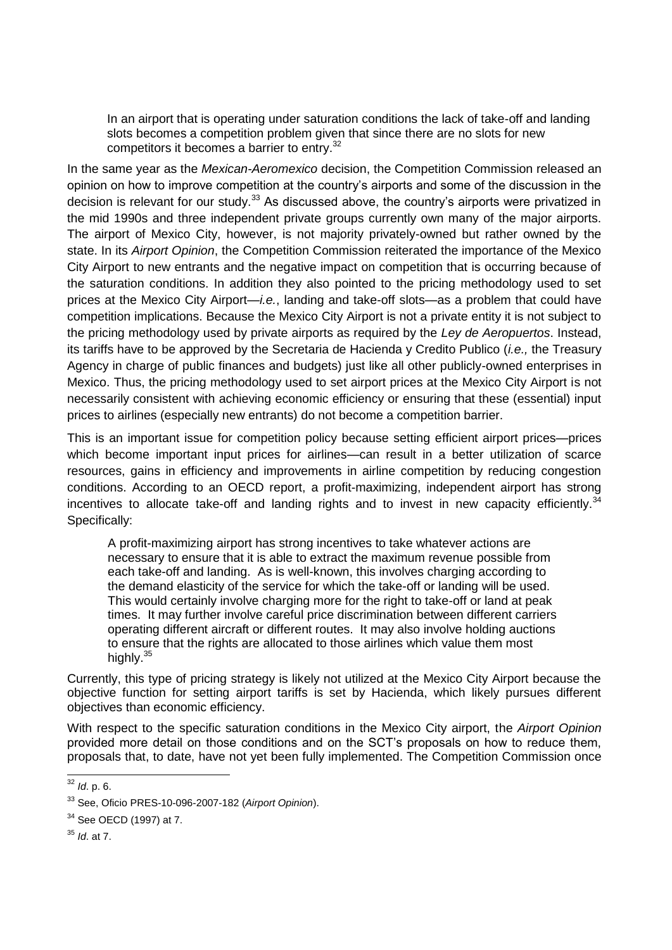In an airport that is operating under saturation conditions the lack of take-off and landing slots becomes a competition problem given that since there are no slots for new competitors it becomes a barrier to entry.<sup>32</sup>

In the same year as the *Mexican-Aeromexico* decision, the Competition Commission released an opinion on how to improve competition at the country's airports and some of the discussion in the decision is relevant for our study. $33$  As discussed above, the country's airports were privatized in the mid 1990s and three independent private groups currently own many of the major airports. The airport of Mexico City, however, is not majority privately-owned but rather owned by the state. In its *Airport Opinion*, the Competition Commission reiterated the importance of the Mexico City Airport to new entrants and the negative impact on competition that is occurring because of the saturation conditions. In addition they also pointed to the pricing methodology used to set prices at the Mexico City Airport—*i.e.*, landing and take-off slots—as a problem that could have competition implications. Because the Mexico City Airport is not a private entity it is not subject to the pricing methodology used by private airports as required by the *Ley de Aeropuertos*. Instead, its tariffs have to be approved by the Secretaria de Hacienda y Credito Publico (*i.e.,* the Treasury Agency in charge of public finances and budgets) just like all other publicly-owned enterprises in Mexico. Thus, the pricing methodology used to set airport prices at the Mexico City Airport is not necessarily consistent with achieving economic efficiency or ensuring that these (essential) input prices to airlines (especially new entrants) do not become a competition barrier.

This is an important issue for competition policy because setting efficient airport prices—prices which become important input prices for airlines—can result in a better utilization of scarce resources, gains in efficiency and improvements in airline competition by reducing congestion conditions. According to an OECD report, a profit-maximizing, independent airport has strong incentives to allocate take-off and landing rights and to invest in new capacity efficiently.<sup>34</sup> Specifically:

A profit-maximizing airport has strong incentives to take whatever actions are necessary to ensure that it is able to extract the maximum revenue possible from each take-off and landing. As is well-known, this involves charging according to the demand elasticity of the service for which the take-off or landing will be used. This would certainly involve charging more for the right to take-off or land at peak times. It may further involve careful price discrimination between different carriers operating different aircraft or different routes. It may also involve holding auctions to ensure that the rights are allocated to those airlines which value them most highly.<sup>35</sup>

Currently, this type of pricing strategy is likely not utilized at the Mexico City Airport because the objective function for setting airport tariffs is set by Hacienda, which likely pursues different objectives than economic efficiency.

With respect to the specific saturation conditions in the Mexico City airport, the *Airport Opinion*  provided more detail on those conditions and on the SCT's proposals on how to reduce them, proposals that, to date, have not yet been fully implemented. The Competition Commission once

j <sup>32</sup> *Id*. p. 6.

<sup>33</sup> See, Oficio PRES-10-096-2007-182 (*Airport Opinion*).

<sup>34</sup> See OECD (1997) at 7.

<sup>35</sup> *Id*. at 7.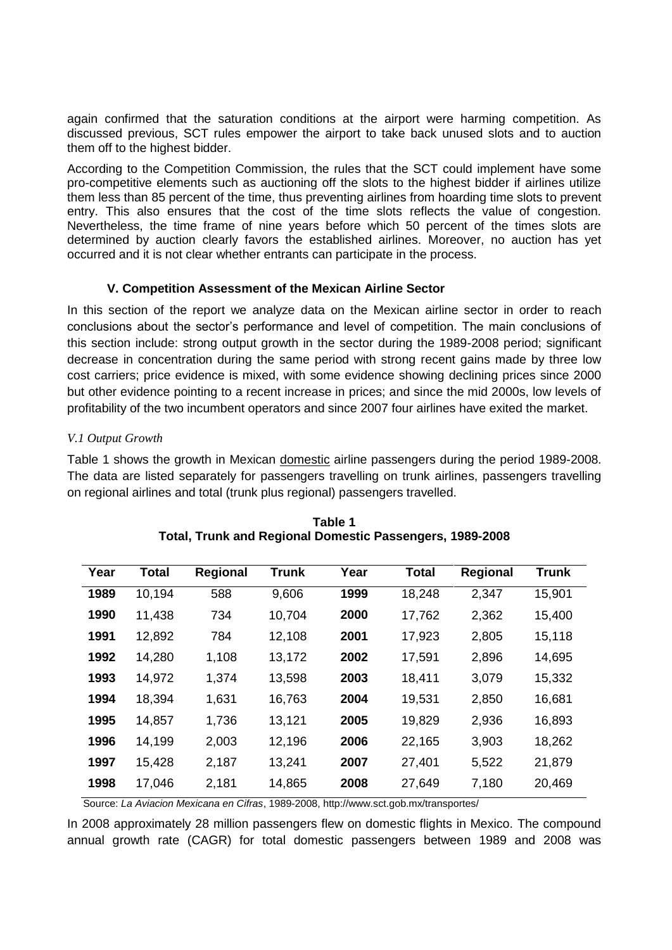again confirmed that the saturation conditions at the airport were harming competition. As discussed previous, SCT rules empower the airport to take back unused slots and to auction them off to the highest bidder.

According to the Competition Commission, the rules that the SCT could implement have some pro-competitive elements such as auctioning off the slots to the highest bidder if airlines utilize them less than 85 percent of the time, thus preventing airlines from hoarding time slots to prevent entry. This also ensures that the cost of the time slots reflects the value of congestion. Nevertheless, the time frame of nine years before which 50 percent of the times slots are determined by auction clearly favors the established airlines. Moreover, no auction has yet occurred and it is not clear whether entrants can participate in the process.

## **V. Competition Assessment of the Mexican Airline Sector**

In this section of the report we analyze data on the Mexican airline sector in order to reach conclusions about the sector's performance and level of competition. The main conclusions of this section include: strong output growth in the sector during the 1989-2008 period; significant decrease in concentration during the same period with strong recent gains made by three low cost carriers; price evidence is mixed, with some evidence showing declining prices since 2000 but other evidence pointing to a recent increase in prices; and since the mid 2000s, low levels of profitability of the two incumbent operators and since 2007 four airlines have exited the market.

### *V.1 Output Growth*

Table 1 shows the growth in Mexican domestic airline passengers during the period 1989-2008. The data are listed separately for passengers travelling on trunk airlines, passengers travelling on regional airlines and total (trunk plus regional) passengers travelled.

| Year | <b>Total</b> | <b>Regional</b> | <b>Trunk</b> | Year | <b>Total</b> | <b>Regional</b> | <b>Trunk</b> |
|------|--------------|-----------------|--------------|------|--------------|-----------------|--------------|
| 1989 | 10,194       | 588             | 9,606        | 1999 | 18,248       | 2,347           | 15,901       |
| 1990 | 11,438       | 734             | 10,704       | 2000 | 17,762       | 2,362           | 15,400       |
| 1991 | 12,892       | 784             | 12,108       | 2001 | 17,923       | 2,805           | 15,118       |
| 1992 | 14,280       | 1,108           | 13,172       | 2002 | 17,591       | 2,896           | 14,695       |
| 1993 | 14,972       | 1,374           | 13,598       | 2003 | 18,411       | 3,079           | 15,332       |
| 1994 | 18,394       | 1,631           | 16,763       | 2004 | 19,531       | 2,850           | 16,681       |
| 1995 | 14,857       | 1,736           | 13,121       | 2005 | 19,829       | 2,936           | 16,893       |
| 1996 | 14,199       | 2,003           | 12,196       | 2006 | 22,165       | 3,903           | 18,262       |
| 1997 | 15,428       | 2,187           | 13,241       | 2007 | 27,401       | 5,522           | 21,879       |
| 1998 | 17,046       | 2,181           | 14,865       | 2008 | 27,649       | 7,180           | 20,469       |

**Table 1 Total, Trunk and Regional Domestic Passengers, 1989-2008**

Source: *La Aviacion Mexicana en Cifras*, 1989-2008, http://www.sct.gob.mx/transportes/

In 2008 approximately 28 million passengers flew on domestic flights in Mexico. The compound annual growth rate (CAGR) for total domestic passengers between 1989 and 2008 was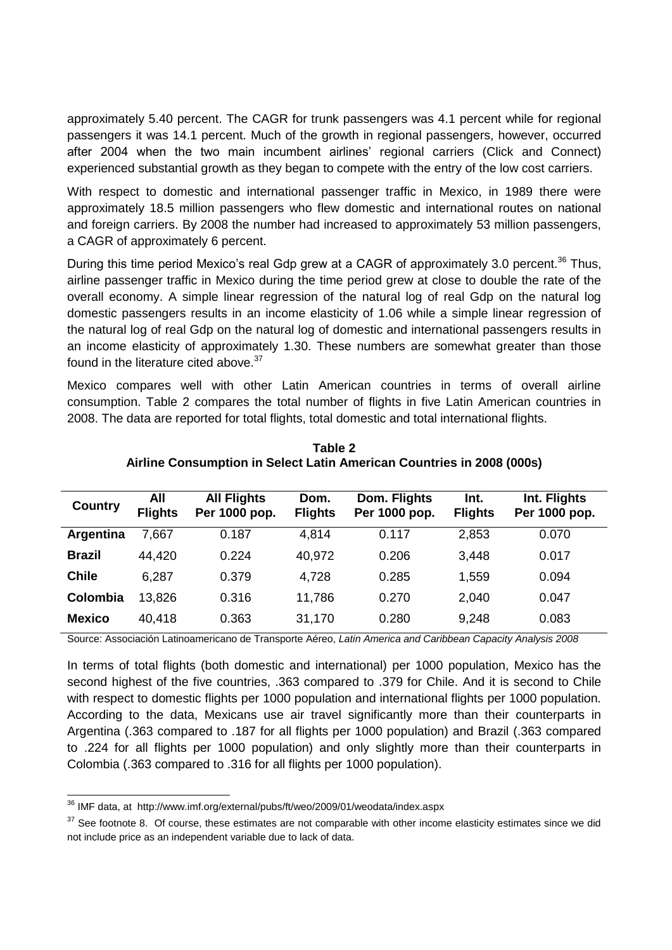approximately 5.40 percent. The CAGR for trunk passengers was 4.1 percent while for regional passengers it was 14.1 percent. Much of the growth in regional passengers, however, occurred after 2004 when the two main incumbent airlines' regional carriers (Click and Connect) experienced substantial growth as they began to compete with the entry of the low cost carriers.

With respect to domestic and international passenger traffic in Mexico, in 1989 there were approximately 18.5 million passengers who flew domestic and international routes on national and foreign carriers. By 2008 the number had increased to approximately 53 million passengers, a CAGR of approximately 6 percent.

During this time period Mexico's real Gdp grew at a CAGR of approximately 3.0 percent.<sup>36</sup> Thus, airline passenger traffic in Mexico during the time period grew at close to double the rate of the overall economy. A simple linear regression of the natural log of real Gdp on the natural log domestic passengers results in an income elasticity of 1.06 while a simple linear regression of the natural log of real Gdp on the natural log of domestic and international passengers results in an income elasticity of approximately 1.30. These numbers are somewhat greater than those found in the literature cited above. $37$ 

Mexico compares well with other Latin American countries in terms of overall airline consumption. Table 2 compares the total number of flights in five Latin American countries in 2008. The data are reported for total flights, total domestic and total international flights.

| <b>Country</b> | All<br><b>Flights</b> | <b>All Flights</b><br>Per 1000 pop. | Dom.<br><b>Flights</b> | Dom. Flights<br>Per 1000 pop. | Int.<br><b>Flights</b> | Int. Flights<br>Per 1000 pop. |
|----------------|-----------------------|-------------------------------------|------------------------|-------------------------------|------------------------|-------------------------------|
| Argentina      | 7,667                 | 0.187                               | 4,814                  | 0.117                         | 2,853                  | 0.070                         |
| <b>Brazil</b>  | 44.420                | 0.224                               | 40,972                 | 0.206                         | 3,448                  | 0.017                         |
| <b>Chile</b>   | 6,287                 | 0.379                               | 4,728                  | 0.285                         | 1,559                  | 0.094                         |
| Colombia       | 13,826                | 0.316                               | 11,786                 | 0.270                         | 2,040                  | 0.047                         |
| <b>Mexico</b>  | 40,418                | 0.363                               | 31,170                 | 0.280                         | 9,248                  | 0.083                         |

**Table 2 Airline Consumption in Select Latin American Countries in 2008 (000s)**

Source: Associaciόn Latinoamericano de Transporte Aéreo, *Latin America and Caribbean Capacity Analysis 2008*

In terms of total flights (both domestic and international) per 1000 population, Mexico has the second highest of the five countries, .363 compared to .379 for Chile. And it is second to Chile with respect to domestic flights per 1000 population and international flights per 1000 population. According to the data, Mexicans use air travel significantly more than their counterparts in Argentina (.363 compared to .187 for all flights per 1000 population) and Brazil (.363 compared to .224 for all flights per 1000 population) and only slightly more than their counterparts in Colombia (.363 compared to .316 for all flights per 1000 population).

j

<sup>&</sup>lt;sup>36</sup> IMF data, at http://www.imf.org/external/pubs/ft/weo/2009/01/weodata/index.aspx

 $37$  See footnote [8.](#page-7-0) Of course, these estimates are not comparable with other income elasticity estimates since we did not include price as an independent variable due to lack of data.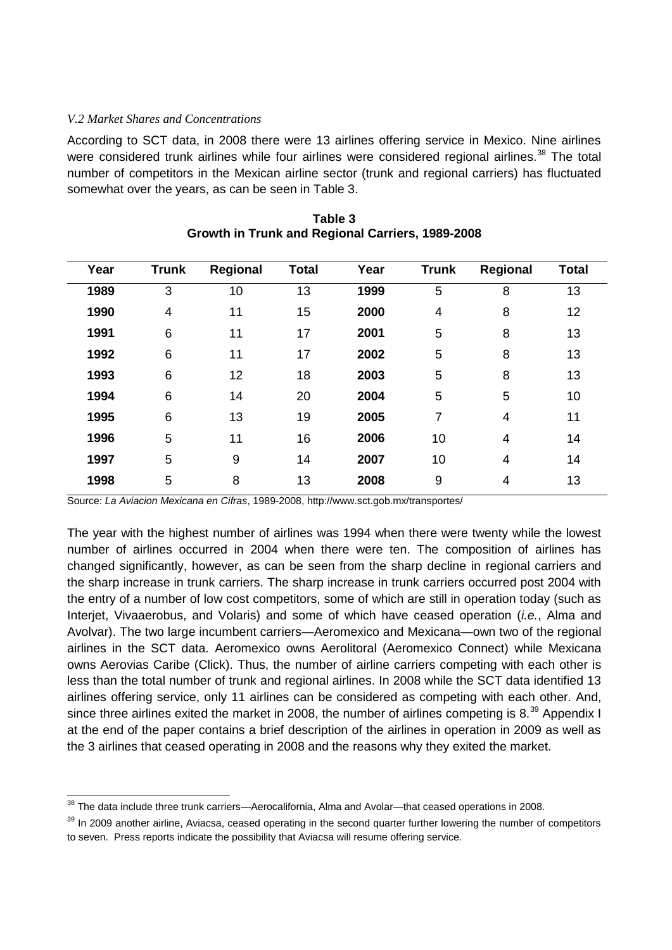#### *V.2 Market Shares and Concentrations*

j

According to SCT data, in 2008 there were 13 airlines offering service in Mexico. Nine airlines were considered trunk airlines while four airlines were considered regional airlines.<sup>38</sup> The total number of competitors in the Mexican airline sector (trunk and regional carriers) has fluctuated somewhat over the years, as can be seen in Table 3.

| Year | <b>Trunk</b> | Regional | <b>Total</b> | Year | <b>Trunk</b>   | Regional | <b>Total</b> |
|------|--------------|----------|--------------|------|----------------|----------|--------------|
| 1989 | 3            | 10       | 13           | 1999 | 5              | 8        | 13           |
| 1990 | 4            | 11       | 15           | 2000 | 4              | 8        | 12           |
| 1991 | 6            | 11       | 17           | 2001 | 5              | 8        | 13           |
| 1992 | 6            | 11       | 17           | 2002 | 5              | 8        | 13           |
| 1993 | 6            | 12       | 18           | 2003 | 5              | 8        | 13           |
| 1994 | 6            | 14       | 20           | 2004 | 5              | 5        | 10           |
| 1995 | 6            | 13       | 19           | 2005 | $\overline{7}$ | 4        | 11           |
| 1996 | 5            | 11       | 16           | 2006 | 10             | 4        | 14           |
| 1997 | 5            | 9        | 14           | 2007 | 10             | 4        | 14           |
| 1998 | 5            | 8        | 13           | 2008 | 9              | 4        | 13           |

### **Table 3 Growth in Trunk and Regional Carriers, 1989-2008**

Source: *La Aviacion Mexicana en Cifras*, 1989-2008, http://www.sct.gob.mx/transportes/

The year with the highest number of airlines was 1994 when there were twenty while the lowest number of airlines occurred in 2004 when there were ten. The composition of airlines has changed significantly, however, as can be seen from the sharp decline in regional carriers and the sharp increase in trunk carriers. The sharp increase in trunk carriers occurred post 2004 with the entry of a number of low cost competitors, some of which are still in operation today (such as Interjet, Vivaaerobus, and Volaris) and some of which have ceased operation (*i.e.*, Alma and Avolvar). The two large incumbent carriers—Aeromexico and Mexicana—own two of the regional airlines in the SCT data. Aeromexico owns Aerolitoral (Aeromexico Connect) while Mexicana owns Aerovias Caribe (Click). Thus, the number of airline carriers competing with each other is less than the total number of trunk and regional airlines. In 2008 while the SCT data identified 13 airlines offering service, only 11 airlines can be considered as competing with each other. And, since three airlines exited the market in 2008, the number of airlines competing is  $8.^{39}$  Appendix I at the end of the paper contains a brief description of the airlines in operation in 2009 as well as the 3 airlines that ceased operating in 2008 and the reasons why they exited the market.

 $38$  The data include three trunk carriers—Aerocalifornia, Alma and Avolar—that ceased operations in 2008.

<sup>&</sup>lt;sup>39</sup> In 2009 another airline, Aviacsa, ceased operating in the second quarter further lowering the number of competitors to seven. Press reports indicate the possibility that Aviacsa will resume offering service.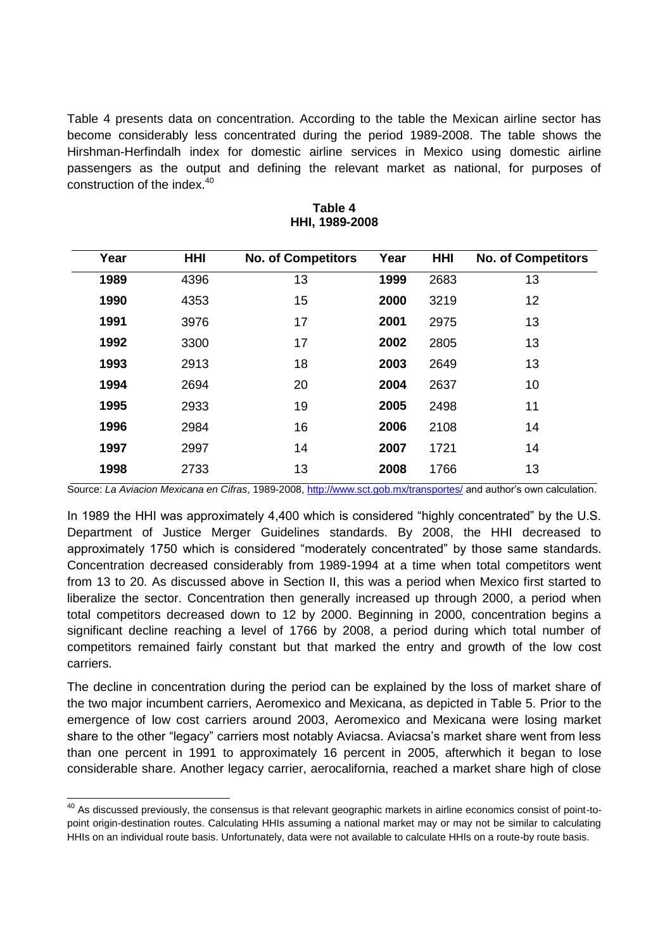Table 4 presents data on concentration. According to the table the Mexican airline sector has become considerably less concentrated during the period 1989-2008. The table shows the Hirshman-Herfindalh index for domestic airline services in Mexico using domestic airline passengers as the output and defining the relevant market as national, for purposes of construction of the index.<sup>40</sup>

| Year | <b>HHI</b> | <b>No. of Competitors</b> | Year | <b>HHI</b> | <b>No. of Competitors</b> |
|------|------------|---------------------------|------|------------|---------------------------|
| 1989 | 4396       | 13                        | 1999 | 2683       | 13                        |
| 1990 | 4353       | 15                        | 2000 | 3219       | 12                        |
| 1991 | 3976       | 17                        | 2001 | 2975       | 13                        |
| 1992 | 3300       | 17                        | 2002 | 2805       | 13                        |
| 1993 | 2913       | 18                        | 2003 | 2649       | 13                        |
| 1994 | 2694       | 20                        | 2004 | 2637       | 10                        |
| 1995 | 2933       | 19                        | 2005 | 2498       | 11                        |
| 1996 | 2984       | 16                        | 2006 | 2108       | 14                        |
| 1997 | 2997       | 14                        | 2007 | 1721       | 14                        |
| 1998 | 2733       | 13                        | 2008 | 1766       | 13                        |

**Table 4 HHI, 1989-2008**

Source: *La Aviacion Mexicana en Cifras*, 1989-2008,<http://www.sct.gob.mx/transportes/> and author's own calculation.

In 1989 the HHI was approximately 4,400 which is considered "highly concentrated" by the U.S. Department of Justice Merger Guidelines standards. By 2008, the HHI decreased to approximately 1750 which is considered "moderately concentrated" by those same standards. Concentration decreased considerably from 1989-1994 at a time when total competitors went from 13 to 20. As discussed above in Section II, this was a period when Mexico first started to liberalize the sector. Concentration then generally increased up through 2000, a period when total competitors decreased down to 12 by 2000. Beginning in 2000, concentration begins a significant decline reaching a level of 1766 by 2008, a period during which total number of competitors remained fairly constant but that marked the entry and growth of the low cost carriers.

The decline in concentration during the period can be explained by the loss of market share of the two major incumbent carriers, Aeromexico and Mexicana, as depicted in Table 5. Prior to the emergence of low cost carriers around 2003, Aeromexico and Mexicana were losing market share to the other "legacy" carriers most notably Aviacsa. Aviacsa's market share went from less than one percent in 1991 to approximately 16 percent in 2005, afterwhich it began to lose considerable share. Another legacy carrier, aerocalifornia, reached a market share high of close

j

 $^{40}$  As discussed previously, the consensus is that relevant geographic markets in airline economics consist of point-topoint origin-destination routes. Calculating HHIs assuming a national market may or may not be similar to calculating HHIs on an individual route basis. Unfortunately, data were not available to calculate HHIs on a route-by route basis.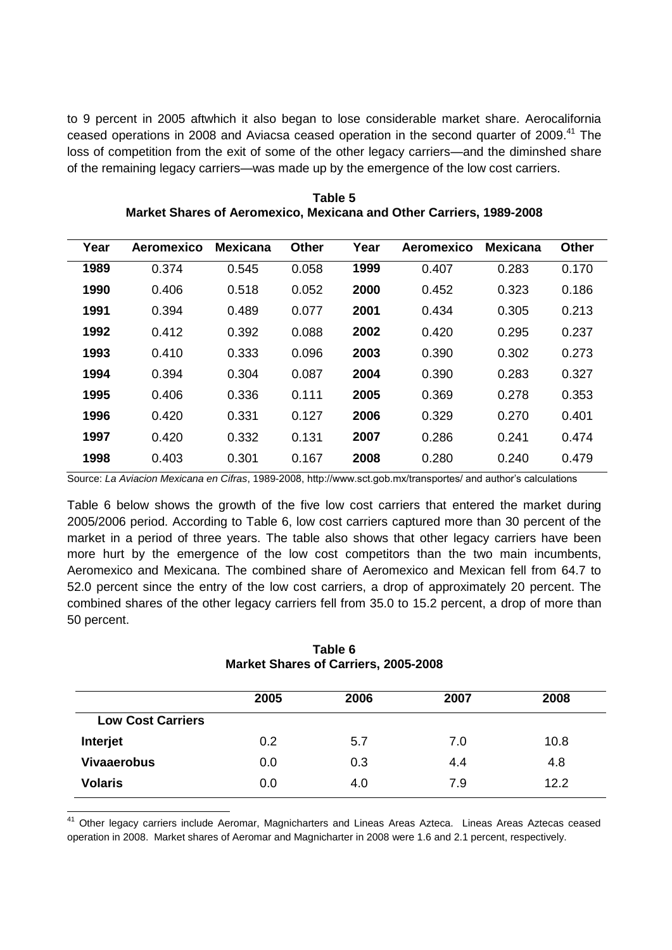to 9 percent in 2005 aftwhich it also began to lose considerable market share. Aerocalifornia ceased operations in 2008 and Aviacsa ceased operation in the second quarter of 2009.<sup>41</sup> The loss of competition from the exit of some of the other legacy carriers—and the diminshed share of the remaining legacy carriers—was made up by the emergence of the low cost carriers.

| Year | Aeromexico | <b>Mexicana</b> | <b>Other</b> | Year | Aeromexico | <b>Mexicana</b> | <b>Other</b> |
|------|------------|-----------------|--------------|------|------------|-----------------|--------------|
| 1989 | 0.374      | 0.545           | 0.058        | 1999 | 0.407      | 0.283           | 0.170        |
| 1990 | 0.406      | 0.518           | 0.052        | 2000 | 0.452      | 0.323           | 0.186        |
| 1991 | 0.394      | 0.489           | 0.077        | 2001 | 0.434      | 0.305           | 0.213        |
| 1992 | 0.412      | 0.392           | 0.088        | 2002 | 0.420      | 0.295           | 0.237        |
| 1993 | 0.410      | 0.333           | 0.096        | 2003 | 0.390      | 0.302           | 0.273        |
| 1994 | 0.394      | 0.304           | 0.087        | 2004 | 0.390      | 0.283           | 0.327        |
| 1995 | 0.406      | 0.336           | 0.111        | 2005 | 0.369      | 0.278           | 0.353        |
| 1996 | 0.420      | 0.331           | 0.127        | 2006 | 0.329      | 0.270           | 0.401        |
| 1997 | 0.420      | 0.332           | 0.131        | 2007 | 0.286      | 0.241           | 0.474        |
| 1998 | 0.403      | 0.301           | 0.167        | 2008 | 0.280      | 0.240           | 0.479        |

**Table 5 Market Shares of Aeromexico, Mexicana and Other Carriers, 1989-2008**

Source: *La Aviacion Mexicana en Cifras*, 1989-2008, http://www.sct.gob.mx/transportes/ and author's calculations

Table 6 below shows the growth of the five low cost carriers that entered the market during 2005/2006 period. According to Table 6, low cost carriers captured more than 30 percent of the market in a period of three years. The table also shows that other legacy carriers have been more hurt by the emergence of the low cost competitors than the two main incumbents, Aeromexico and Mexicana. The combined share of Aeromexico and Mexican fell from 64.7 to 52.0 percent since the entry of the low cost carriers, a drop of approximately 20 percent. The combined shares of the other legacy carriers fell from 35.0 to 15.2 percent, a drop of more than 50 percent.

**Table 6 Market Shares of Carriers, 2005-2008**

|                          | 2005 | 2006 | 2007 | 2008 |
|--------------------------|------|------|------|------|
| <b>Low Cost Carriers</b> |      |      |      |      |
| <b>Interjet</b>          | 0.2  | 5.7  | 7.0  | 10.8 |
| <b>Vivaaerobus</b>       | 0.0  | 0.3  | 4.4  | 4.8  |
| <b>Volaris</b>           | 0.0  | 4.0  | 7.9  | 12.2 |

 $\overline{\phantom{a}}$ <sup>41</sup> Other legacy carriers include Aeromar, Magnicharters and Lineas Areas Azteca. Lineas Areas Aztecas ceased operation in 2008. Market shares of Aeromar and Magnicharter in 2008 were 1.6 and 2.1 percent, respectively.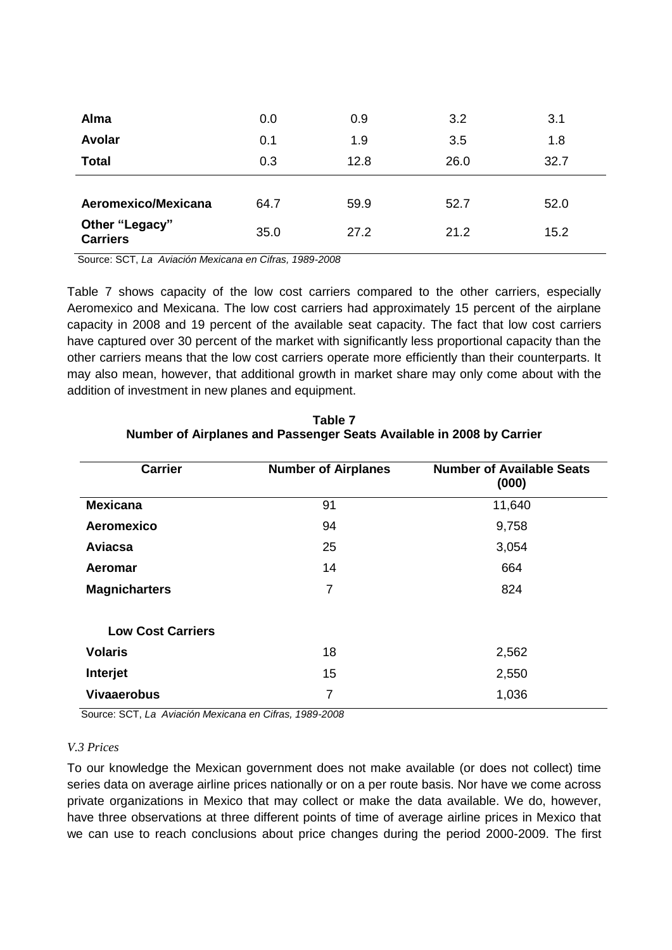| Alma                              | 0.0  | 0.9  | 3.2  | 3.1  |
|-----------------------------------|------|------|------|------|
| Avolar                            | 0.1  | 1.9  | 3.5  | 1.8  |
| <b>Total</b>                      | 0.3  | 12.8 | 26.0 | 32.7 |
|                                   |      |      |      |      |
| Aeromexico/Mexicana               | 64.7 | 59.9 | 52.7 | 52.0 |
| Other "Legacy"<br><b>Carriers</b> | 35.0 | 27.2 | 21.2 | 15.2 |

Source: SCT, *La Aviación Mexicana en Cifras, 1989-2008*

Table 7 shows capacity of the low cost carriers compared to the other carriers, especially Aeromexico and Mexicana. The low cost carriers had approximately 15 percent of the airplane capacity in 2008 and 19 percent of the available seat capacity. The fact that low cost carriers have captured over 30 percent of the market with significantly less proportional capacity than the other carriers means that the low cost carriers operate more efficiently than their counterparts. It may also mean, however, that additional growth in market share may only come about with the addition of investment in new planes and equipment.

| <b>Carrier</b>           | <b>Number of Airplanes</b> | <b>Number of Available Seats</b><br>(000) |
|--------------------------|----------------------------|-------------------------------------------|
| <b>Mexicana</b>          | 91                         | 11,640                                    |
| Aeromexico               | 94                         | 9,758                                     |
| <b>Aviacsa</b>           | 25                         | 3,054                                     |
| Aeromar                  | 14                         | 664                                       |
| <b>Magnicharters</b>     | 7                          | 824                                       |
| <b>Low Cost Carriers</b> |                            |                                           |
| <b>Volaris</b>           | 18                         | 2,562                                     |
| Interjet                 | 15                         | 2,550                                     |
| <b>Vivaaerobus</b>       | 7                          | 1,036                                     |

**Table 7 Number of Airplanes and Passenger Seats Available in 2008 by Carrier**

Source: SCT, *La Aviación Mexicana en Cifras, 1989-2008*

#### *V.3 Prices*

To our knowledge the Mexican government does not make available (or does not collect) time series data on average airline prices nationally or on a per route basis. Nor have we come across private organizations in Mexico that may collect or make the data available. We do, however, have three observations at three different points of time of average airline prices in Mexico that we can use to reach conclusions about price changes during the period 2000-2009. The first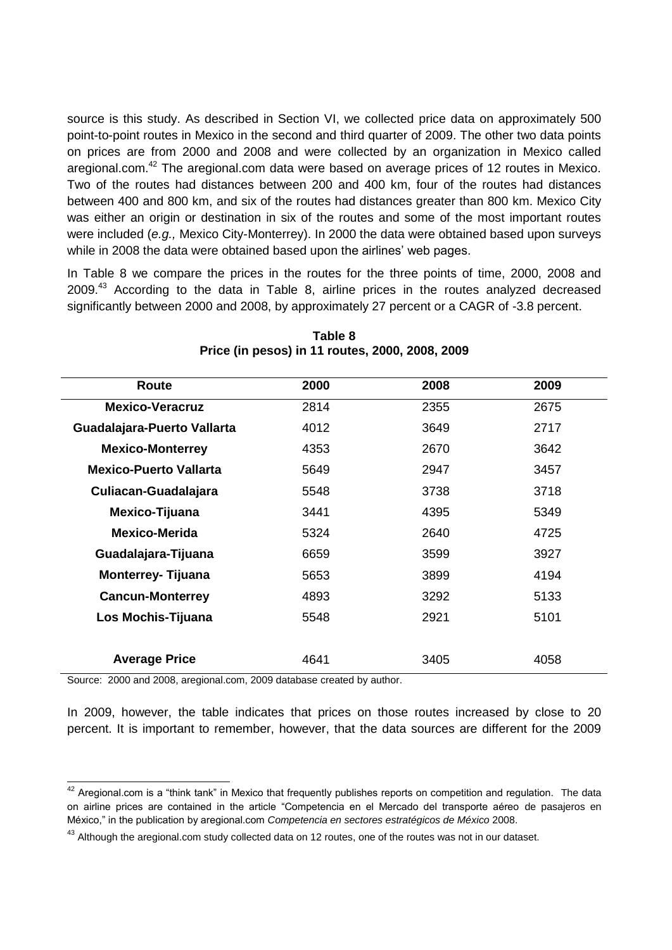source is this study. As described in Section VI, we collected price data on approximately 500 point-to-point routes in Mexico in the second and third quarter of 2009. The other two data points on prices are from 2000 and 2008 and were collected by an organization in Mexico called aregional.com.<sup>42</sup> The aregional.com data were based on average prices of 12 routes in Mexico. Two of the routes had distances between 200 and 400 km, four of the routes had distances between 400 and 800 km, and six of the routes had distances greater than 800 km. Mexico City was either an origin or destination in six of the routes and some of the most important routes were included (*e.g.,* Mexico City-Monterrey). In 2000 the data were obtained based upon surveys while in 2008 the data were obtained based upon the airlines' web pages.

In Table 8 we compare the prices in the routes for the three points of time, 2000, 2008 and 2009.<sup>43</sup> According to the data in Table 8, airline prices in the routes analyzed decreased significantly between 2000 and 2008, by approximately 27 percent or a CAGR of -3.8 percent.

| Route                         | 2000 | 2008 | 2009 |
|-------------------------------|------|------|------|
| <b>Mexico-Veracruz</b>        | 2814 | 2355 | 2675 |
| Guadalajara-Puerto Vallarta   | 4012 | 3649 | 2717 |
| <b>Mexico-Monterrey</b>       | 4353 | 2670 | 3642 |
| <b>Mexico-Puerto Vallarta</b> | 5649 | 2947 | 3457 |
| Culiacan-Guadalajara          | 5548 | 3738 | 3718 |
| Mexico-Tijuana                | 3441 | 4395 | 5349 |
| <b>Mexico-Merida</b>          | 5324 | 2640 | 4725 |
| Guadalajara-Tijuana           | 6659 | 3599 | 3927 |
| <b>Monterrey- Tijuana</b>     | 5653 | 3899 | 4194 |
| <b>Cancun-Monterrey</b>       | 4893 | 3292 | 5133 |
| Los Mochis-Tijuana            | 5548 | 2921 | 5101 |
| <b>Average Price</b>          | 4641 | 3405 | 4058 |

### **Table 8 Price (in pesos) in 11 routes, 2000, 2008, 2009**

Source: 2000 and 2008, aregional.com, 2009 database created by author.

j

In 2009, however, the table indicates that prices on those routes increased by close to 20 percent. It is important to remember, however, that the data sources are different for the 2009

 $42$  Aregional.com is a "think tank" in Mexico that frequently publishes reports on competition and regulation. The data on airline prices are contained in the article "Competencia en el Mercado del transporte aéreo de pasajeros en México,‖ in the publication by aregional.com *Competencia en sectores estratégicos de México* 2008.

<sup>&</sup>lt;sup>43</sup> Although the aregional.com study collected data on 12 routes, one of the routes was not in our dataset.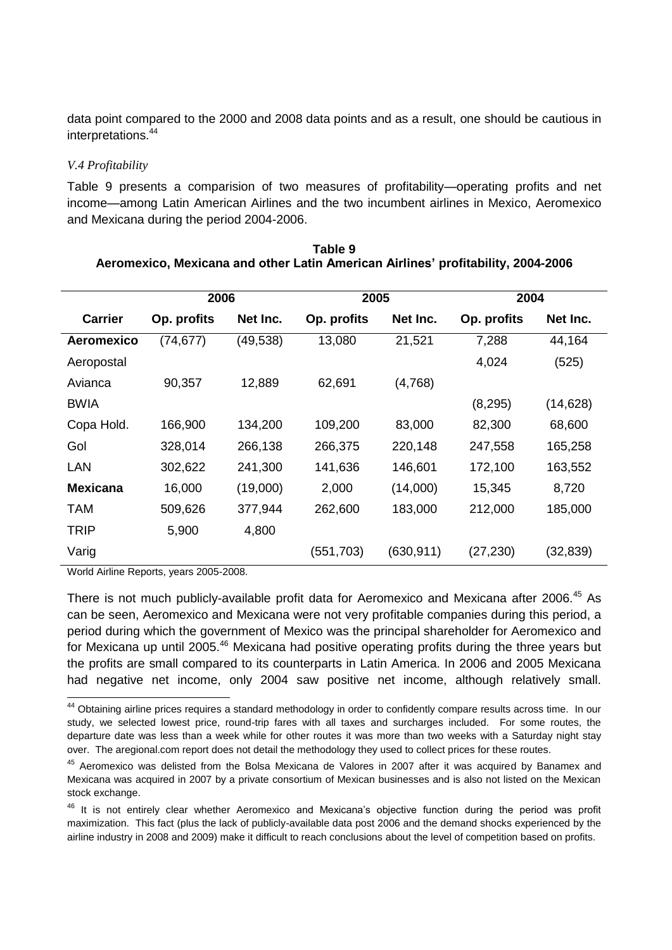data point compared to the 2000 and 2008 data points and as a result, one should be cautious in interpretations.<sup>44</sup>

#### *V.4 Profitability*

Table 9 presents a comparision of two measures of profitability—operating profits and net income—among Latin American Airlines and the two incumbent airlines in Mexico, Aeromexico and Mexicana during the period 2004-2006.

|                       | 2006        |           |             | 2005       |             | 2004      |
|-----------------------|-------------|-----------|-------------|------------|-------------|-----------|
| <b>Carrier</b>        | Op. profits | Net Inc.  | Op. profits | Net Inc.   | Op. profits | Net Inc.  |
| <b>Aeromexico</b>     | (74, 677)   | (49, 538) | 13,080      | 21,521     | 7,288       | 44,164    |
| Aeropostal            |             |           |             |            | 4,024       | (525)     |
| Avianca               | 90,357      | 12,889    | 62,691      | (4,768)    |             |           |
| <b>BWIA</b>           |             |           |             |            | (8, 295)    | (14, 628) |
| Copa Hold.            | 166,900     | 134,200   | 109,200     | 83,000     | 82,300      | 68,600    |
| Gol                   | 328,014     | 266,138   | 266,375     | 220,148    | 247,558     | 165,258   |
| LAN                   | 302,622     | 241,300   | 141,636     | 146,601    | 172,100     | 163,552   |
| <b>Mexicana</b>       | 16,000      | (19,000)  | 2,000       | (14,000)   | 15,345      | 8,720     |
| <b>TAM</b>            | 509,626     | 377,944   | 262,600     | 183,000    | 212,000     | 185,000   |
| <b>TRIP</b>           | 5,900       | 4,800     |             |            |             |           |
| Varig<br>. <i>. .</i> | $\cdots$    |           | (551, 703)  | (630, 911) | (27, 230)   | (32, 839) |

## **Table 9 Aeromexico, Mexicana and other Latin American Airlines' profitability, 2004-2006**

World Airline Reports, years 2005-2008.

There is not much publicly-available profit data for Aeromexico and Mexicana after 2006.<sup>45</sup> As can be seen, Aeromexico and Mexicana were not very profitable companies during this period, a period during which the government of Mexico was the principal shareholder for Aeromexico and for Mexicana up until 2005.<sup>46</sup> Mexicana had positive operating profits during the three years but the profits are small compared to its counterparts in Latin America. In 2006 and 2005 Mexicana had negative net income, only 2004 saw positive net income, although relatively small.

 $\overline{a}$ <sup>44</sup> Obtaining airline prices requires a standard methodology in order to confidently compare results across time. In our study, we selected lowest price, round-trip fares with all taxes and surcharges included. For some routes, the departure date was less than a week while for other routes it was more than two weeks with a Saturday night stay over. The aregional.com report does not detail the methodology they used to collect prices for these routes.

<sup>&</sup>lt;sup>45</sup> Aeromexico was delisted from the Bolsa Mexicana de Valores in 2007 after it was acquired by Banamex and Mexicana was acquired in 2007 by a private consortium of Mexican businesses and is also not listed on the Mexican stock exchange.

<sup>&</sup>lt;sup>46</sup> It is not entirely clear whether Aeromexico and Mexicana's objective function during the period was profit maximization. This fact (plus the lack of publicly-available data post 2006 and the demand shocks experienced by the airline industry in 2008 and 2009) make it difficult to reach conclusions about the level of competition based on profits.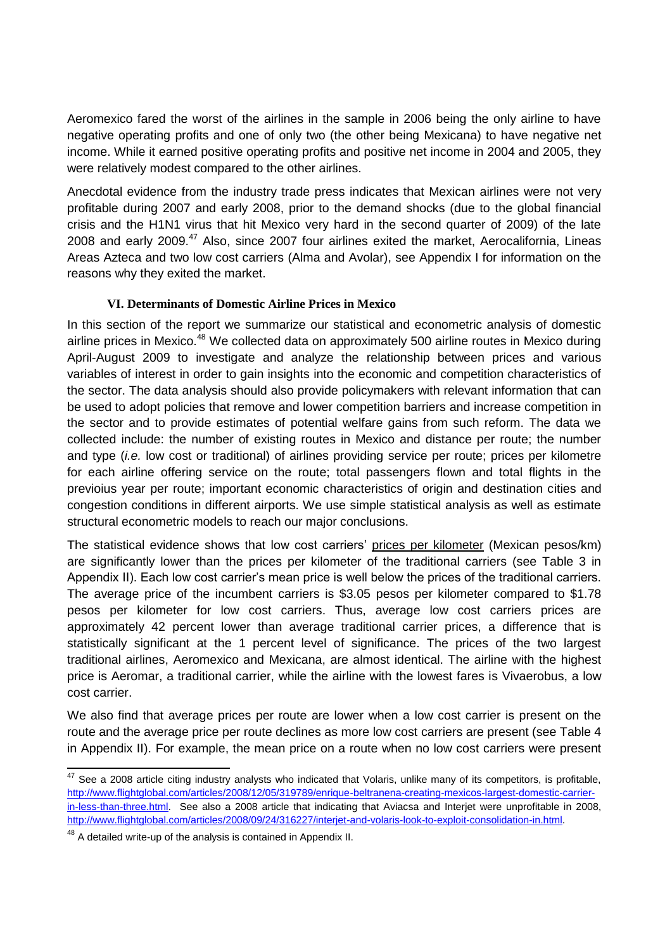Aeromexico fared the worst of the airlines in the sample in 2006 being the only airline to have negative operating profits and one of only two (the other being Mexicana) to have negative net income. While it earned positive operating profits and positive net income in 2004 and 2005, they were relatively modest compared to the other airlines.

Anecdotal evidence from the industry trade press indicates that Mexican airlines were not very profitable during 2007 and early 2008, prior to the demand shocks (due to the global financial crisis and the H1N1 virus that hit Mexico very hard in the second quarter of 2009) of the late 2008 and early 2009.<sup>47</sup> Also, since 2007 four airlines exited the market, Aerocalifornia, Lineas Areas Azteca and two low cost carriers (Alma and Avolar), see Appendix I for information on the reasons why they exited the market.

## **VI. Determinants of Domestic Airline Prices in Mexico**

In this section of the report we summarize our statistical and econometric analysis of domestic airline prices in Mexico.<sup>48</sup> We collected data on approximately 500 airline routes in Mexico during April-August 2009 to investigate and analyze the relationship between prices and various variables of interest in order to gain insights into the economic and competition characteristics of the sector. The data analysis should also provide policymakers with relevant information that can be used to adopt policies that remove and lower competition barriers and increase competition in the sector and to provide estimates of potential welfare gains from such reform. The data we collected include: the number of existing routes in Mexico and distance per route; the number and type (*i.e.* low cost or traditional) of airlines providing service per route; prices per kilometre for each airline offering service on the route; total passengers flown and total flights in the previoius year per route; important economic characteristics of origin and destination cities and congestion conditions in different airports. We use simple statistical analysis as well as estimate structural econometric models to reach our major conclusions.

The statistical evidence shows that low cost carriers' prices per kilometer (Mexican pesos/km) are significantly lower than the prices per kilometer of the traditional carriers (see Table 3 in Appendix II). Each low cost carrier's mean price is well below the prices of the traditional carriers. The average price of the incumbent carriers is \$3.05 pesos per kilometer compared to \$1.78 pesos per kilometer for low cost carriers. Thus, average low cost carriers prices are approximately 42 percent lower than average traditional carrier prices, a difference that is statistically significant at the 1 percent level of significance. The prices of the two largest traditional airlines, Aeromexico and Mexicana, are almost identical. The airline with the highest price is Aeromar, a traditional carrier, while the airline with the lowest fares is Vivaerobus, a low cost carrier.

We also find that average prices per route are lower when a low cost carrier is present on the route and the average price per route declines as more low cost carriers are present (see Table 4 in Appendix II). For example, the mean price on a route when no low cost carriers were present

 $\overline{\phantom{a}}$ 

 $47$  See a 2008 article citing industry analysts who indicated that Volaris, unlike many of its competitors, is profitable, [http://www.flightglobal.com/articles/2008/12/05/319789/enrique-beltranena-creating-mexicos-largest-domestic-carrier](http://www.flightglobal.com/articles/2008/12/05/319789/enrique-beltranena-creating-mexicos-largest-domestic-carrier-in-less-than-three.html)[in-less-than-three.html.](http://www.flightglobal.com/articles/2008/12/05/319789/enrique-beltranena-creating-mexicos-largest-domestic-carrier-in-less-than-three.html) See also a 2008 article that indicating that Aviacsa and Interjet were unprofitable in 2008, [http://www.flightglobal.com/articles/2008/09/24/316227/interjet-and-volaris-look-to-exploit-consolidation-in.html.](http://www.flightglobal.com/articles/2008/09/24/316227/interjet-and-volaris-look-to-exploit-consolidation-in.html) 

<sup>&</sup>lt;sup>48</sup> A detailed write-up of the analysis is contained in Appendix II.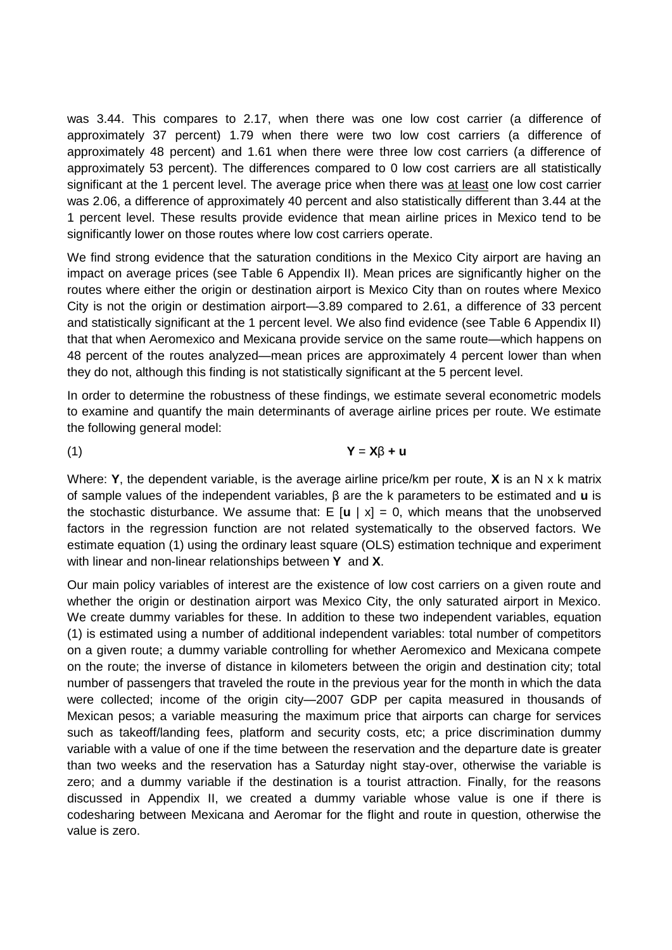was 3.44. This compares to 2.17, when there was one low cost carrier (a difference of approximately 37 percent) 1.79 when there were two low cost carriers (a difference of approximately 48 percent) and 1.61 when there were three low cost carriers (a difference of approximately 53 percent). The differences compared to 0 low cost carriers are all statistically significant at the 1 percent level. The average price when there was at least one low cost carrier was 2.06, a difference of approximately 40 percent and also statistically different than 3.44 at the 1 percent level. These results provide evidence that mean airline prices in Mexico tend to be significantly lower on those routes where low cost carriers operate.

We find strong evidence that the saturation conditions in the Mexico City airport are having an impact on average prices (see Table 6 Appendix II). Mean prices are significantly higher on the routes where either the origin or destination airport is Mexico City than on routes where Mexico City is not the origin or destimation airport—3.89 compared to 2.61, a difference of 33 percent and statistically significant at the 1 percent level. We also find evidence (see Table 6 Appendix II) that that when Aeromexico and Mexicana provide service on the same route—which happens on 48 percent of the routes analyzed—mean prices are approximately 4 percent lower than when they do not, although this finding is not statistically significant at the 5 percent level.

In order to determine the robustness of these findings, we estimate several econometric models to examine and quantify the main determinants of average airline prices per route. We estimate the following general model:

$$
Y = X\beta + u
$$

Where: **Y**, the dependent variable, is the average airline price/km per route, **X** is an N x k matrix of sample values of the independent variables, β are the k parameters to be estimated and **u** is the stochastic disturbance. We assume that:  $E [u | x] = 0$ , which means that the unobserved factors in the regression function are not related systematically to the observed factors. We estimate equation (1) using the ordinary least square (OLS) estimation technique and experiment with linear and non-linear relationships between **Y** and **X**.

Our main policy variables of interest are the existence of low cost carriers on a given route and whether the origin or destination airport was Mexico City, the only saturated airport in Mexico. We create dummy variables for these. In addition to these two independent variables, equation (1) is estimated using a number of additional independent variables: total number of competitors on a given route; a dummy variable controlling for whether Aeromexico and Mexicana compete on the route; the inverse of distance in kilometers between the origin and destination city; total number of passengers that traveled the route in the previous year for the month in which the data were collected; income of the origin city—2007 GDP per capita measured in thousands of Mexican pesos; a variable measuring the maximum price that airports can charge for services such as takeoff/landing fees, platform and security costs, etc; a price discrimination dummy variable with a value of one if the time between the reservation and the departure date is greater than two weeks and the reservation has a Saturday night stay-over, otherwise the variable is zero; and a dummy variable if the destination is a tourist attraction. Finally, for the reasons discussed in Appendix II, we created a dummy variable whose value is one if there is codesharing between Mexicana and Aeromar for the flight and route in question, otherwise the value is zero.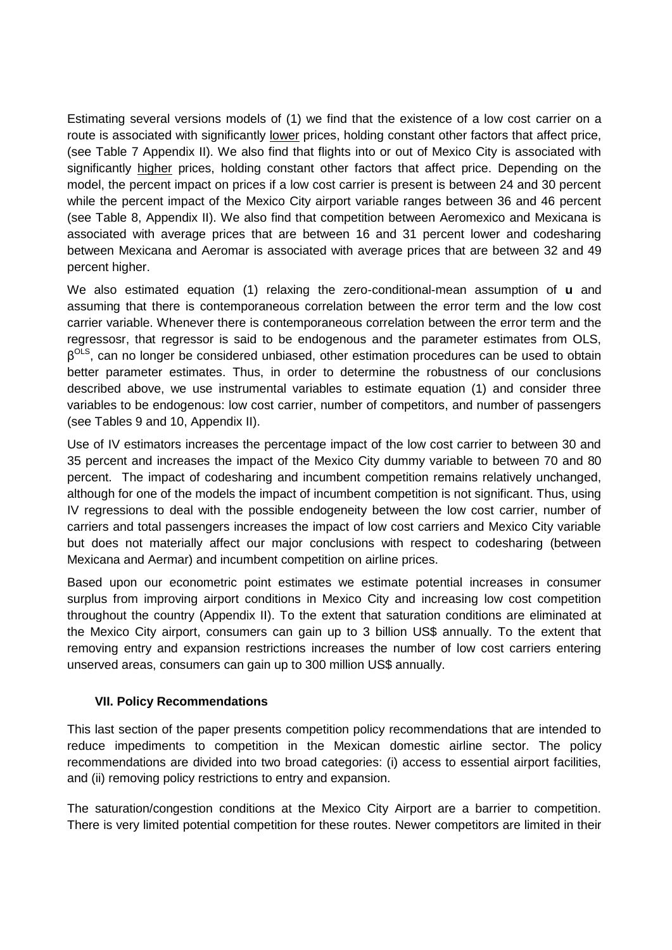Estimating several versions models of (1) we find that the existence of a low cost carrier on a route is associated with significantly lower prices, holding constant other factors that affect price, (see Table 7 Appendix II). We also find that flights into or out of Mexico City is associated with significantly higher prices, holding constant other factors that affect price. Depending on the model, the percent impact on prices if a low cost carrier is present is between 24 and 30 percent while the percent impact of the Mexico City airport variable ranges between 36 and 46 percent (see Table 8, Appendix II). We also find that competition between Aeromexico and Mexicana is associated with average prices that are between 16 and 31 percent lower and codesharing between Mexicana and Aeromar is associated with average prices that are between 32 and 49 percent higher.

We also estimated equation (1) relaxing the zero-conditional-mean assumption of **u** and assuming that there is contemporaneous correlation between the error term and the low cost carrier variable. Whenever there is contemporaneous correlation between the error term and the regressosr, that regressor is said to be endogenous and the parameter estimates from OLS, β<sup>OLS</sup>, can no longer be considered unbiased, other estimation procedures can be used to obtain better parameter estimates. Thus, in order to determine the robustness of our conclusions described above, we use instrumental variables to estimate equation (1) and consider three variables to be endogenous: low cost carrier, number of competitors, and number of passengers (see Tables 9 and 10, Appendix II).

Use of IV estimators increases the percentage impact of the low cost carrier to between 30 and 35 percent and increases the impact of the Mexico City dummy variable to between 70 and 80 percent. The impact of codesharing and incumbent competition remains relatively unchanged, although for one of the models the impact of incumbent competition is not significant. Thus, using IV regressions to deal with the possible endogeneity between the low cost carrier, number of carriers and total passengers increases the impact of low cost carriers and Mexico City variable but does not materially affect our major conclusions with respect to codesharing (between Mexicana and Aermar) and incumbent competition on airline prices.

Based upon our econometric point estimates we estimate potential increases in consumer surplus from improving airport conditions in Mexico City and increasing low cost competition throughout the country (Appendix II). To the extent that saturation conditions are eliminated at the Mexico City airport, consumers can gain up to 3 billion US\$ annually. To the extent that removing entry and expansion restrictions increases the number of low cost carriers entering unserved areas, consumers can gain up to 300 million US\$ annually.

## **VII. Policy Recommendations**

This last section of the paper presents competition policy recommendations that are intended to reduce impediments to competition in the Mexican domestic airline sector. The policy recommendations are divided into two broad categories: (i) access to essential airport facilities, and (ii) removing policy restrictions to entry and expansion.

The saturation/congestion conditions at the Mexico City Airport are a barrier to competition. There is very limited potential competition for these routes. Newer competitors are limited in their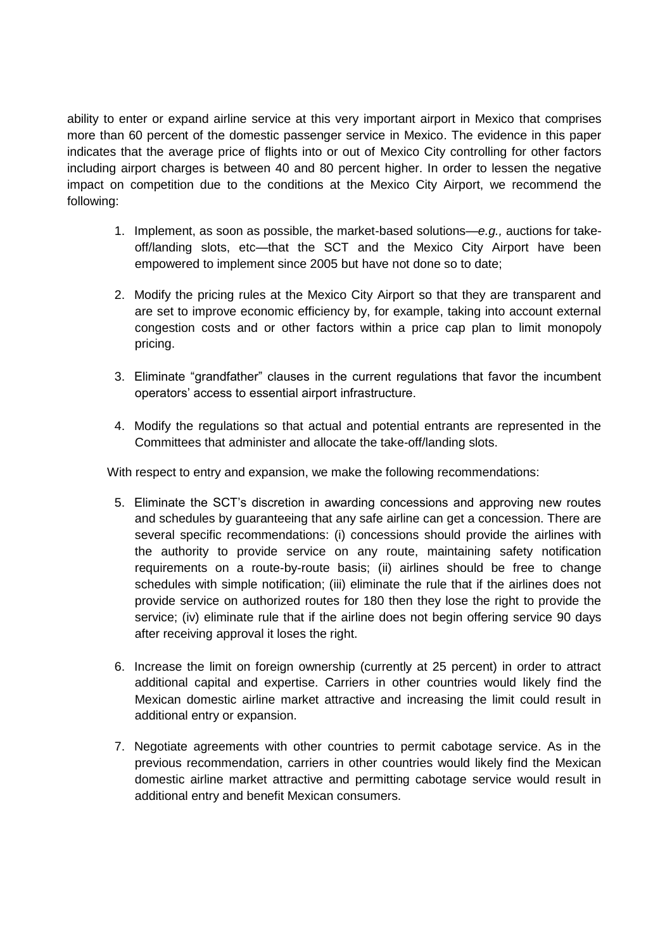ability to enter or expand airline service at this very important airport in Mexico that comprises more than 60 percent of the domestic passenger service in Mexico. The evidence in this paper indicates that the average price of flights into or out of Mexico City controlling for other factors including airport charges is between 40 and 80 percent higher. In order to lessen the negative impact on competition due to the conditions at the Mexico City Airport, we recommend the following:

- 1. Implement, as soon as possible, the market-based solutions—*e.g.,* auctions for takeoff/landing slots, etc—that the SCT and the Mexico City Airport have been empowered to implement since 2005 but have not done so to date;
- 2. Modify the pricing rules at the Mexico City Airport so that they are transparent and are set to improve economic efficiency by, for example, taking into account external congestion costs and or other factors within a price cap plan to limit monopoly pricing.
- 3. Eliminate "grandfather" clauses in the current regulations that favor the incumbent operators' access to essential airport infrastructure.
- 4. Modify the regulations so that actual and potential entrants are represented in the Committees that administer and allocate the take-off/landing slots.

With respect to entry and expansion, we make the following recommendations:

- 5. Eliminate the SCT's discretion in awarding concessions and approving new routes and schedules by guaranteeing that any safe airline can get a concession. There are several specific recommendations: (i) concessions should provide the airlines with the authority to provide service on any route, maintaining safety notification requirements on a route-by-route basis; (ii) airlines should be free to change schedules with simple notification; (iii) eliminate the rule that if the airlines does not provide service on authorized routes for 180 then they lose the right to provide the service; (iv) eliminate rule that if the airline does not begin offering service 90 days after receiving approval it loses the right.
- 6. Increase the limit on foreign ownership (currently at 25 percent) in order to attract additional capital and expertise. Carriers in other countries would likely find the Mexican domestic airline market attractive and increasing the limit could result in additional entry or expansion.
- 7. Negotiate agreements with other countries to permit cabotage service. As in the previous recommendation, carriers in other countries would likely find the Mexican domestic airline market attractive and permitting cabotage service would result in additional entry and benefit Mexican consumers.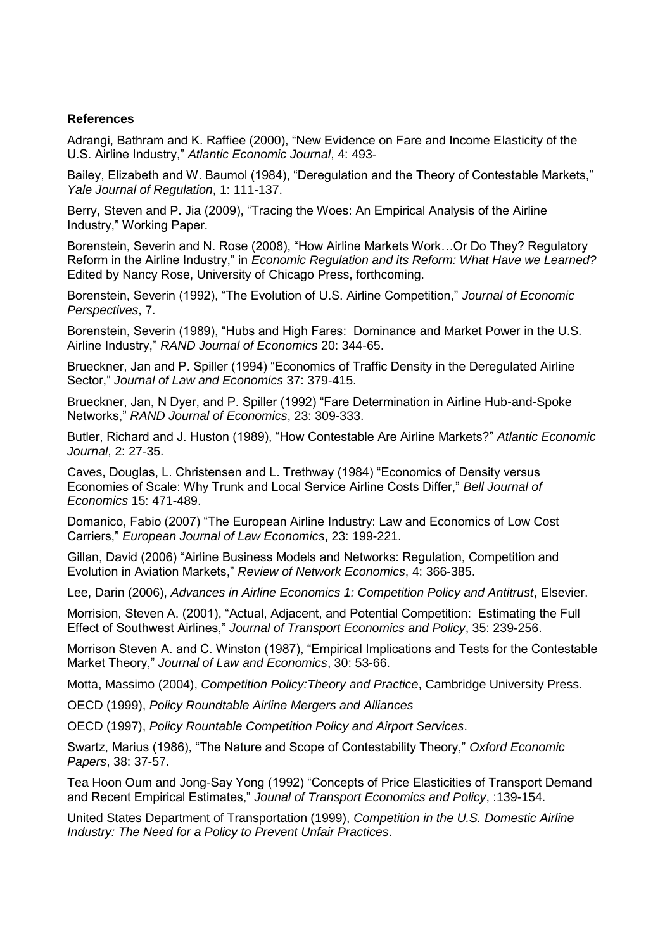### **References**

Adrangi, Bathram and K. Raffiee (2000), "New Evidence on Fare and Income Elasticity of the U.S. Airline Industry,‖ *Atlantic Economic Journal*, 4: 493-

Bailey, Elizabeth and W. Baumol (1984), "Deregulation and the Theory of Contestable Markets," *Yale Journal of Regulation*, 1: 111-137.

Berry, Steven and P. Jia (2009), "Tracing the Woes: An Empirical Analysis of the Airline Industry," Working Paper.

Borenstein, Severin and N. Rose (2008), "How Airline Markets Work...Or Do They? Regulatory Reform in the Airline Industry," in *Economic Regulation and its Reform: What Have we Learned?* Edited by Nancy Rose, University of Chicago Press, forthcoming.

Borenstein, Severin (1992), "The Evolution of U.S. Airline Competition," *Journal of Economic Perspectives*, 7.

Borenstein, Severin (1989), "Hubs and High Fares: Dominance and Market Power in the U.S. Airline Industry,‖ *RAND Journal of Economics* 20: 344-65.

Brueckner, Jan and P. Spiller (1994) "Economics of Traffic Density in the Deregulated Airline Sector,‖ *Journal of Law and Economics* 37: 379-415.

Brueckner, Jan, N Dyer, and P. Spiller (1992) "Fare Determination in Airline Hub-and-Spoke Networks,‖ *RAND Journal of Economics*, 23: 309-333.

Butler, Richard and J. Huston (1989), "How Contestable Are Airline Markets?" Atlantic Economic *Journal*, 2: 27-35.

Caves, Douglas, L. Christensen and L. Trethway (1984) "Economics of Density versus Economies of Scale: Why Trunk and Local Service Airline Costs Differ," Bell Journal of *Economics* 15: 471-489.

Domanico, Fabio (2007) "The European Airline Industry: Law and Economics of Low Cost Carriers,‖ *European Journal of Law Economics*, 23: 199-221.

Gillan, David (2006) "Airline Business Models and Networks: Regulation, Competition and Evolution in Aviation Markets,‖ *Review of Network Economics*, 4: 366-385.

Lee, Darin (2006), *Advances in Airline Economics 1: Competition Policy and Antitrust*, Elsevier.

Morrision, Steven A. (2001), "Actual, Adjacent, and Potential Competition: Estimating the Full Effect of Southwest Airlines,‖ *Journal of Transport Economics and Policy*, 35: 239-256.

Morrison Steven A. and C. Winston (1987), "Empirical Implications and Tests for the Contestable Market Theory,‖ *Journal of Law and Economics*, 30: 53-66.

Motta, Massimo (2004), *Competition Policy:Theory and Practice*, Cambridge University Press.

OECD (1999), *Policy Roundtable Airline Mergers and Alliances*

OECD (1997), *Policy Rountable Competition Policy and Airport Services*.

Swartz, Marius (1986), "The Nature and Scope of Contestability Theory," Oxford Economic *Papers*, 38: 37-57.

Tea Hoon Oum and Jong-Say Yong (1992) "Concepts of Price Elasticities of Transport Demand and Recent Empirical Estimates," Jounal of Transport Economics and Policy, :139-154.

United States Department of Transportation (1999), *Competition in the U.S. Domestic Airline Industry: The Need for a Policy to Prevent Unfair Practices*.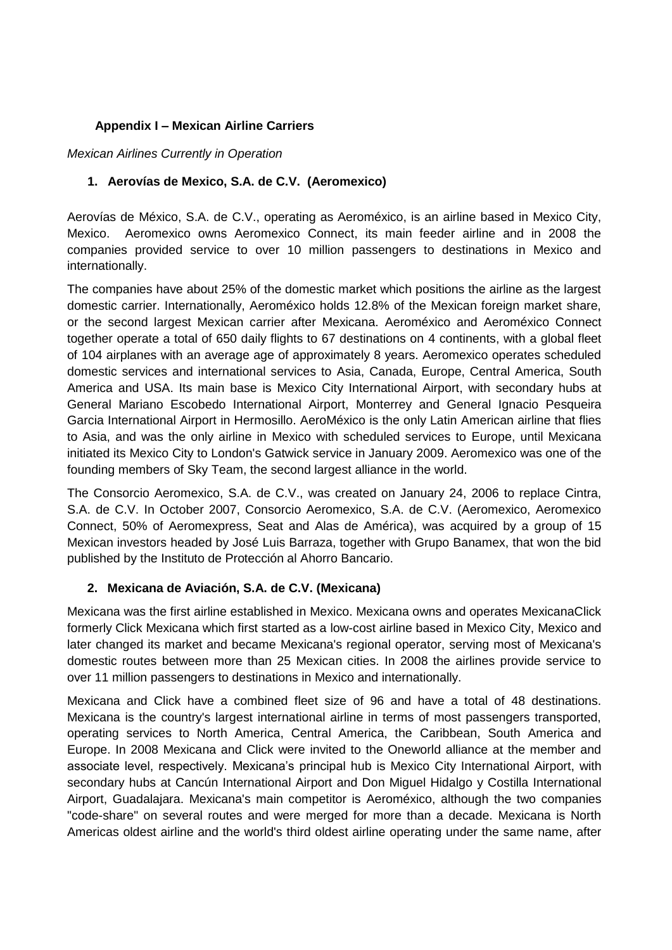## **Appendix I – Mexican Airline Carriers**

### *Mexican Airlines Currently in Operation*

## **1. Aerovías de Mexico, S.A. de C.V. (Aeromexico)**

Aerovías de México, S.A. de C.V., operating as Aeroméxico, is an [airline](http://en.wikipedia.org/wiki/Airline) based in [Mexico City,](http://en.wikipedia.org/wiki/Mexico_City) [Mexico.](http://en.wikipedia.org/wiki/Mexico) Aeromexico owns Aeromexico Connect, its main feeder airline and in 2008 the companies provided service to over 10 million passengers to destinations in Mexico and internationally.

The companies have about 25% of the domestic market which positions the airline as the largest domestic carrier. Internationally, Aeroméxico holds 12.8% of the Mexican foreign market share, or the second largest Mexican carrier after [Mexicana.](http://en.wikipedia.org/wiki/Mexicana) Aeroméxico and [Aeroméxico Connect](http://en.wikipedia.org/wiki/Aerom%C3%A9xico_Connect) together operate a total of 650 daily flights to 67 destinations on 4 continents, with a global fleet of 104 airplanes with an average age of approximately 8 years. Aeromexico operates scheduled domestic services and international services to [Asia,](http://en.wikipedia.org/wiki/Asia) [Canada,](http://en.wikipedia.org/wiki/Canada) [Europe,](http://en.wikipedia.org/wiki/Europe) [Central America,](http://en.wikipedia.org/wiki/Central_America) [South](http://en.wikipedia.org/wiki/South_America)  [America](http://en.wikipedia.org/wiki/South_America) and [USA.](http://en.wikipedia.org/wiki/United_States) Its main base is [Mexico City International Airport,](http://en.wikipedia.org/wiki/Mexico_City_International_Airport) with secondary hubs at [General Mariano Escobedo International Airport,](http://en.wikipedia.org/wiki/General_Mariano_Escobedo_International_Airport) [Monterrey](http://en.wikipedia.org/wiki/Monterrey) and General [Ignacio Pesqueira](http://en.wikipedia.org/wiki/General_Ignacio_Pesqueira_Garcia_International_Airport)  [Garcia International Airport](http://en.wikipedia.org/wiki/General_Ignacio_Pesqueira_Garcia_International_Airport) in [Hermosillo.](http://en.wikipedia.org/wiki/Hermosillo) AeroMéxico is the only Latin American airline that flies to [Asia,](http://en.wikipedia.org/wiki/Asia) and was the only airline in Mexico with scheduled services to [Europe,](http://en.wikipedia.org/wiki/Europe) until [Mexicana](http://en.wikipedia.org/wiki/Mexicana) initiated its Mexico City to London's [Gatwick](http://en.wikipedia.org/wiki/Gatwick) service in January 2009. Aeromexico was one of the founding members of [Sky Team,](http://en.wikipedia.org/wiki/Sky_Team) the second largest alliance in the world.

The Consorcio Aeromexico, S.A. de C.V., was created on January 24, 2006 to replace Cintra, S.A. de C.V. In October 2007, Consorcio Aeromexico, S.A. de C.V. (Aeromexico, Aeromexico Connect, 50% of Aeromexpress, Seat and Alas de América), was acquired by a group of 15 Mexican investors headed by José Luis Barraza, together with Grupo Banamex, that won the bid published by the Instituto de Protección al Ahorro Bancario.

## **2. Mexicana de Aviación, S.A. de C.V. (Mexicana)**

Mexicana was the first airline established in Mexico. Mexicana owns and operates MexicanaClick formerly Click Mexicana which first started as a [low-cost airline](http://en.wikipedia.org/wiki/Low-cost_carrier) based in [Mexico City,](http://en.wikipedia.org/wiki/Mexico_City) [Mexico](http://en.wikipedia.org/wiki/Mexico) and later changed its market and became [Mexicana's](http://en.wikipedia.org/wiki/Mexicana_de_Aviaci%C3%B3n) regional operator, serving most of Mexicana's domestic routes between more than 25 Mexican cities. In 2008 the airlines provide service to over 11 million passengers to destinations in Mexico and internationally.

Mexicana and Click have a combined fleet size of 96 and have a total of 48 destinations. Mexicana is the country's largest international airline in terms of most passengers transported, operating services to North America, Central America, the [Caribbean,](http://en.wikipedia.org/wiki/Caribbean) South America and Europe. In 2008 Mexicana and Click were invited to the Oneworld alliance at the member and associate level, respectively. Mexicana's principal [hub](http://en.wikipedia.org/wiki/Airline_hub) is [Mexico City International Airport,](http://en.wikipedia.org/wiki/Mexico_City_International_Airport) with secondary hubs at [Cancún International Airport](http://en.wikipedia.org/wiki/Canc%C3%BAn_International_Airport) and [Don Miguel Hidalgo y Costilla International](http://en.wikipedia.org/wiki/Don_Miguel_Hidalgo_y_Costilla_International_Airport)  [Airport,](http://en.wikipedia.org/wiki/Don_Miguel_Hidalgo_y_Costilla_International_Airport) [Guadalajara.](http://en.wikipedia.org/wiki/Guadalajara,_Jalisco) Mexicana's main competitor is [Aeroméxico,](http://en.wikipedia.org/wiki/Aerom%C3%A9xico) although the two companies "code-share" on several routes and were merged for more than a decade. Mexicana is North Americas oldest airline and the world's [third oldest airline](http://en.wikipedia.org/wiki/List_of_airlines_by_foundation_date) operating under the same name, after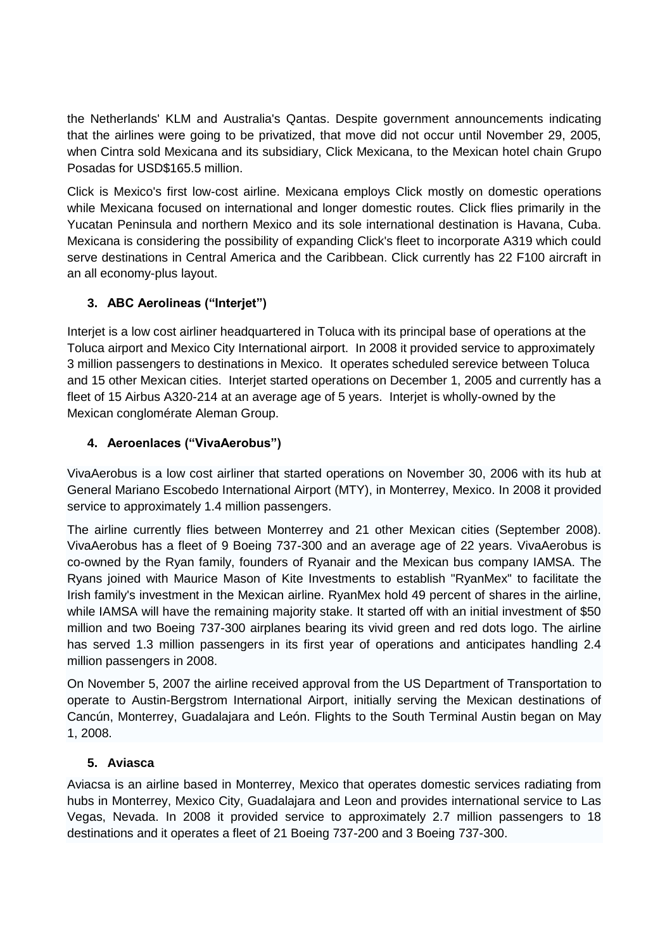the Netherlands' [KLM](http://en.wikipedia.org/wiki/KLM) and Australia's [Qantas.](http://en.wikipedia.org/wiki/Qantas) Despite government announcements indicating that the airlines were going to be privatized, that move did not occur until November 29, 2005, when Cintra sold Mexicana and its subsidiary, [Click Mexicana,](http://en.wikipedia.org/wiki/Click_Mexicana) to the Mexican hotel chain [Grupo](http://en.wikipedia.org/w/index.php?title=Grupo_Posadas&action=edit&redlink=1)  [Posadas](http://en.wikipedia.org/w/index.php?title=Grupo_Posadas&action=edit&redlink=1) for USD\$165.5 million.

Click is Mexico's first low-cost airline. Mexicana employs Click mostly on domestic operations while Mexicana focused on international and longer domestic routes. Click flies primarily in the Yucatan Peninsula and northern Mexico and its sole international destination is [Havana, Cuba.](http://en.wikipedia.org/wiki/Havana) Mexicana is considering the possibility of expanding Click's fleet to incorporate A319 which could serve destinations in Central America and the Caribbean. Click currently has 22 F100 aircraft in an all economy-plus layout.

# **3. ABC Aerolineas ("Interjet")**

Interjet is a low cost airliner headquartered in Toluca with its principal base of operations at the Toluca airport and Mexico City International airport. In 2008 it provided service to approximately 3 million passengers to destinations in Mexico. It operates scheduled serevice between Toluca and 15 other Mexican cities. Interjet started operations on December 1, 2005 and currently has a fleet of 15 Airbus A320-214 at an average age of 5 years. Interjet is wholly-owned by the Mexican conglomérate Aleman Group.

# **4. Aeroenlaces ("VivaAerobus")**

VivaAerobus is a low cost airliner that started operations on November 30, 2006 with its hub at [General Mariano Escobedo International Airport](http://en.wikipedia.org/wiki/General_Mariano_Escobedo_International_Airport) (MTY), in [Monterrey,](http://en.wikipedia.org/wiki/Monterrey) Mexico. In 2008 it provided service to approximately 1.4 million passengers.

The airline currently flies between Monterrey and 21 other Mexican cities (September 2008). VivaAerobus has a fleet of 9 Boeing 737-300 and an average age of 22 years. VivaAerobus is co-owned by the Ryan family, founders of [Ryanair](http://en.wikipedia.org/wiki/Ryanair) and the Mexican bus company IAMSA. The Ryans joined with [Maurice Mason](http://en.wikipedia.org/w/index.php?title=Maurice_Mason&action=edit&redlink=1) of [Kite Investments](http://en.wikipedia.org/w/index.php?title=Kite_Investments&action=edit&redlink=1) to establish "RyanMex" to facilitate the Irish family's investment in the Mexican airline. RyanMex hold 49 percent of shares in the airline, while IAMSA will have the remaining majority stake. It started off with an initial investment of \$50 million and two [Boeing 737-300](http://en.wikipedia.org/wiki/Boeing_737) airplanes bearing its vivid green and red dots logo. The airline has served 1.3 million passengers in its first year of operations and anticipates handling 2.4 million passengers in 2008.

On November 5, 2007 the airline received approval from the [US Department of Transportation](http://en.wikipedia.org/wiki/US_Department_of_Transportation) to operate to [Austin-Bergstrom International Airport,](http://en.wikipedia.org/wiki/Austin-Bergstrom_International_Airport) initially serving the Mexican destinations of [Cancún,](http://en.wikipedia.org/wiki/Canc%C3%BAn) [Monterrey,](http://en.wikipedia.org/wiki/Monterrey) [Guadalajara](http://en.wikipedia.org/wiki/Guadalajara,_Jalisco) and [León.](http://en.wikipedia.org/wiki/Le%C3%B3n,_Guanajuato) Flights to the [South Terminal Austin](http://en.wikipedia.org/wiki/South_Terminal_Austin) began on May 1, 2008.

# **5. Aviasca**

Aviacsa is an airline based in Monterrey, Mexico that operates domestic services radiating from hubs in Monterrey, Mexico City, Guadalajara and Leon and provides international service to Las Vegas, Nevada. In 2008 it provided service to approximately 2.7 million passengers to 18 destinations and it operates a fleet of 21 Boeing 737-200 and 3 Boeing 737-300.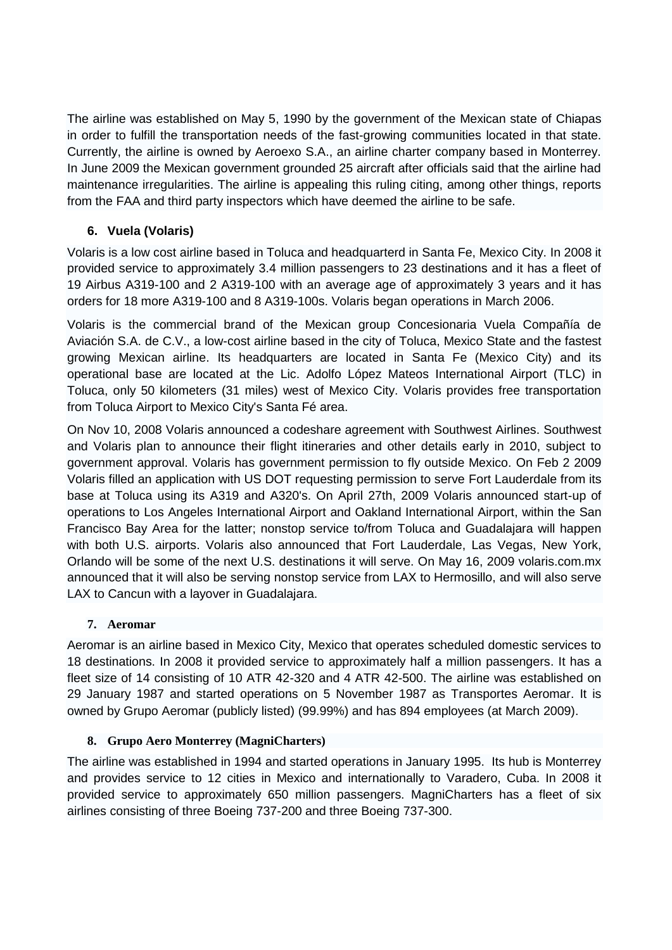The airline was established on May 5, 1990 by the government of the [Mexican state](http://en.wikipedia.org/wiki/Mexican_state) of [Chiapas](http://en.wikipedia.org/wiki/Chiapas) in order to fulfill the transportation needs of the fast-growing communities located in that state. Currently, the airline is owned by Aeroexo S.A., an airline charter company based in Monterrey. In June 2009 the Mexican government grounded 25 aircraft after officials said that the airline had maintenance irregularities. The airline is appealing this ruling citing, among other things, reports from the FAA and third party inspectors which have deemed the airline to be safe.

# **6. Vuela (Volaris)**

Volaris is a low cost airline based in Toluca and headquarterd in Santa Fe, Mexico City. In 2008 it provided service to approximately 3.4 million passengers to 23 destinations and it has a fleet of 19 Airbus A319-100 and 2 A319-100 with an average age of approximately 3 years and it has orders for 18 more A319-100 and 8 A319-100s. Volaris began operations in March 2006.

Volaris is the commercial brand of the Mexican group Concesionaria Vuela Compañía de Aviación S.A. de C.V., a [low-cost airline](http://en.wikipedia.org/wiki/Low-cost_airline) based in the city of [Toluca,](http://en.wikipedia.org/wiki/Toluca) [Mexico State](http://en.wikipedia.org/wiki/Mexico_(state)) and the fastest growing Mexican airline. Its headquarters are located in [Santa Fe \(Mexico City\)](http://en.wikipedia.org/wiki/Santa_Fe_(Mexico_City)) and its operational base are located at the [Lic. Adolfo López Mateos International Airport](http://en.wikipedia.org/wiki/Lic._Adolfo_L%C3%B3pez_Mateos_International_Airport) (TLC) in [Toluca,](http://en.wikipedia.org/wiki/Toluca) only 50 kilometers (31 miles) west of Mexico City. Volaris provides free transportation from Toluca Airport to Mexico City's Santa Fé area.

On Nov 10, 2008 Volaris announced a codeshare agreement with [Southwest Airlines.](http://en.wikipedia.org/wiki/Southwest_Airlines) Southwest and Volaris plan to announce their flight itineraries and other details early in 2010, subject to government approval. Volaris has government permission to fly outside Mexico. On Feb 2 2009 Volaris filled an application with US DOT requesting permission to serve [Fort Lauderdale](http://en.wikipedia.org/wiki/Fort_Lauderdale) from its base at [Toluca](http://en.wikipedia.org/wiki/Toluca) using its A319 and A320's. On April 27th, 2009 Volaris announced start-up of operations to [Los Angeles International Airport](http://en.wikipedia.org/wiki/Los_Angeles_International_Airport) and [Oakland International Airport,](http://en.wikipedia.org/wiki/Oakland_International_Airport) within the San Francisco Bay Area for the latter; nonstop service to/from [Toluca](http://en.wikipedia.org/wiki/Toluca) and [Guadalajara](http://en.wikipedia.org/wiki/Guadalajara) will happen with both U.S. airports. Volaris also announced that [Fort Lauderdale,](http://en.wikipedia.org/wiki/Fort_Lauderdale,_Florida) [Las Vegas,](http://en.wikipedia.org/wiki/Las_Vegas,_Nevada) [New York,](http://en.wikipedia.org/wiki/New_York_City,_New_York) [Orlando](http://en.wikipedia.org/wiki/Orlando,_Florida) will be some of the next U.S. destinations it will serve. On May 16, 2009 volaris.com.mx announced that it will also be serving nonstop service from LAX to Hermosillo, and will also serve LAX to Cancun with a layover in Guadalajara.

# **7. Aeromar**

Aeromar is an airline based in Mexico City, Mexico that operates scheduled domestic services to 18 destinations. In 2008 it provided service to approximately half a million passengers. It has a fleet size of 14 consisting of 10 ATR 42-320 and 4 ATR 42-500. The airline was established on [29 January](http://en.wikipedia.org/wiki/January_29) [1987](http://en.wikipedia.org/wiki/1987) and started operations on [5 November](http://en.wikipedia.org/wiki/November_5) [1987](http://en.wikipedia.org/wiki/1987) as Transportes Aeromar. It is owned by Grupo Aeromar (publicly listed) (99.99%) and has 894 employees (at March [2009\)](http://en.wikipedia.org/wiki/2009).

# **8. Grupo Aero Monterrey (MagniCharters)**

The airline was established in 1994 and started operations in January 1995. Its hub is Monterrey and provides service to 12 cities in Mexico and internationally to Varadero, Cuba. In 2008 it provided service to approximately 650 million passengers. MagniCharters has a fleet of six airlines consisting of three Boeing 737-200 and three Boeing 737-300.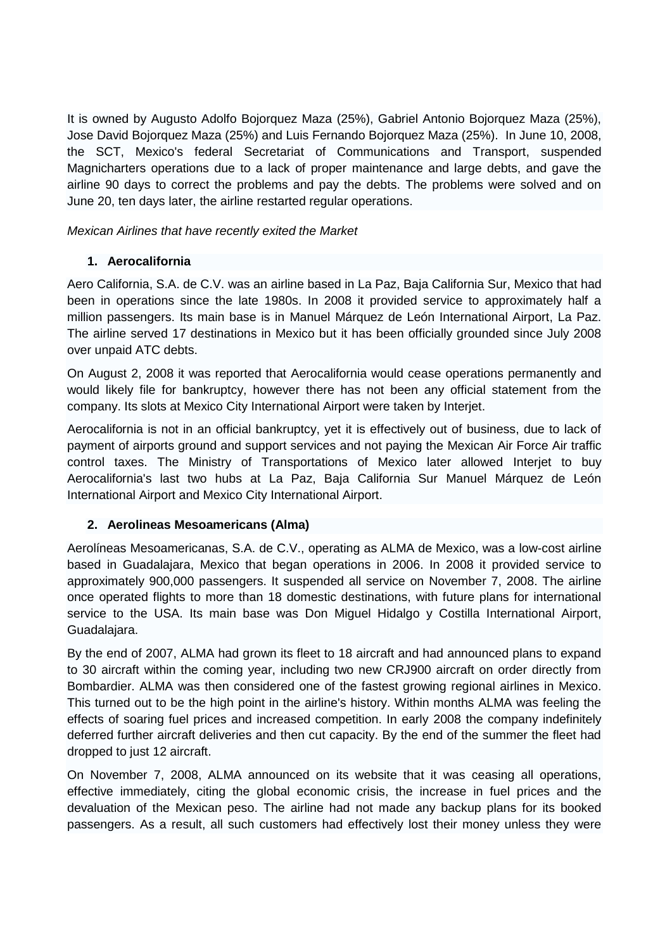It is owned by Augusto Adolfo Bojorquez Maza (25%), Gabriel Antonio Bojorquez Maza (25%), Jose David Bojorquez Maza (25%) and Luis Fernando Bojorquez Maza (25%). In June 10, 2008, the SCT, Mexico's federal [Secretariat of Communications and Transport,](http://en.wikipedia.org/wiki/Secretariat_of_Communications_and_Transport_(Mexico)) suspended Magnicharters operations due to a lack of proper maintenance and large debts, and gave the airline 90 days to correct the problems and pay the debts. The problems were solved and on June 20, ten days later, the airline restarted regular operations.

*Mexican Airlines that have recently exited the Market* 

# **1. Aerocalifornia**

Aero California, S.A. de C.V. was an [airline](http://en.wikipedia.org/wiki/Airline) based in [La Paz, Baja California Sur,](http://en.wikipedia.org/wiki/La_Paz,_Baja_California_Sur) [Mexico](http://en.wikipedia.org/wiki/Mexico) that had been in operations since the late 1980s. In 2008 it provided service to approximately half a million passengers. Its main base is in [Manuel Márquez de León International Airport,](http://en.wikipedia.org/wiki/Manuel_M%C3%A1rquez_de_Le%C3%B3n_International_Airport) La Paz. The airline served 17 destinations in [Mexico](http://en.wikipedia.org/wiki/Mexico) but it has been officially grounded since July 2008 over unpaid ATC debts.

On [August 2,](http://en.wikipedia.org/wiki/August_2) [2008](http://en.wikipedia.org/wiki/2008) it was reported that Aerocalifornia would cease operations permanently and would likely file for bankruptcy, however there has not been any official statement from the company. Its slots at [Mexico City International Airport](http://en.wikipedia.org/wiki/Mexico_City_International_Airport) were taken by [Interjet.](http://en.wikipedia.org/wiki/Interjet)

Aerocalifornia is not in an official bankruptcy, yet it is effectively out of business, due to lack of payment of airports ground and support services and not paying the [Mexican Air Force](http://en.wikipedia.org/wiki/Mexican_Air_Force) [Air traffic](http://en.wikipedia.org/wiki/Air_traffic_control)  [control](http://en.wikipedia.org/wiki/Air_traffic_control) [taxes.](http://en.wikipedia.org/wiki/Taxes) The Ministry of Transportations of Mexico later allowed [Interjet](http://en.wikipedia.org/wiki/Interjet) to buy Aerocalifornia's last two hubs at [La Paz, Baja California Sur](http://en.wikipedia.org/wiki/La_Paz,_Baja_California_Sur) [Manuel Márquez de León](http://en.wikipedia.org/wiki/Manuel_M%C3%A1rquez_de_Le%C3%B3n_International_Airport)  [International Airport](http://en.wikipedia.org/wiki/Manuel_M%C3%A1rquez_de_Le%C3%B3n_International_Airport) and [Mexico City International Airport.](http://en.wikipedia.org/wiki/Mexico_City_International_Airport)

# **2. Aerolineas Mesoamericans (Alma)**

Aerolíneas Mesoamericanas, S.A. de C.V., [operating as](http://en.wikipedia.org/wiki/Operating_as) ALMA de Mexico, was a [low-cost airline](http://en.wikipedia.org/wiki/Low-cost_carrier) based in [Guadalajara,](http://en.wikipedia.org/wiki/Guadalajara,_Jalisco) [Mexico](http://en.wikipedia.org/wiki/Mexico) that began operations in 2006. In 2008 it provided service to approximately 900,000 passengers. It suspended all service on [November 7,](http://en.wikipedia.org/wiki/November_7) [2008.](http://en.wikipedia.org/wiki/2008) The airline once operated flights to more than 18 domestic destinations, with future plans for international service to the [USA.](http://en.wikipedia.org/wiki/United_States) Its main base was [Don Miguel Hidalgo y Costilla International Airport,](http://en.wikipedia.org/wiki/Don_Miguel_Hidalgo_y_Costilla_International_Airport) Guadalajara.

By the end of 2007, ALMA had grown its fleet to 18 aircraft and had announced plans to expand to 30 aircraft within the coming year, including two new CRJ900 aircraft on order directly from Bombardier. ALMA was then considered one of the fastest growing regional airlines in Mexico. This turned out to be the high point in the airline's history. Within months ALMA was feeling the effects of soaring fuel prices and increased competition. In early [2008](http://en.wikipedia.org/wiki/2008) the company indefinitely deferred further aircraft deliveries and then cut capacity. By the end of the summer the fleet had dropped to just 12 aircraft.

On [November 7,](http://en.wikipedia.org/wiki/November_7) [2008,](http://en.wikipedia.org/wiki/2008) ALMA announced on its website that it was ceasing all operations, effective immediately, citing the [global economic crisis,](http://en.wikipedia.org/wiki/Global_economic_crisis) the increase in fuel prices and the devaluation of the [Mexican peso.](http://en.wikipedia.org/wiki/Mexican_peso) The airline had not made any backup plans for its booked passengers. As a result, all such customers had effectively lost their money unless they were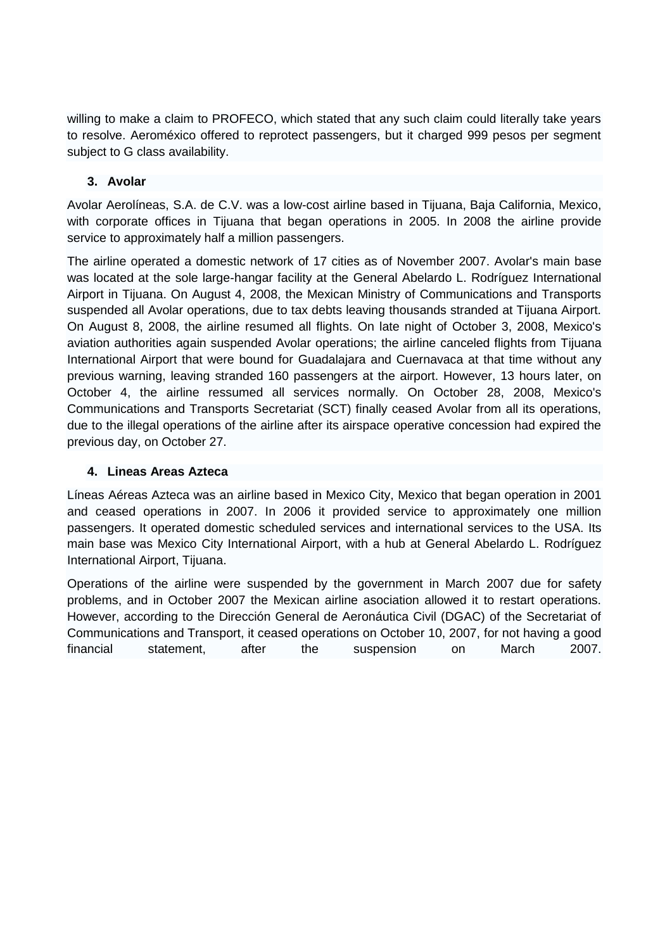willing to make a claim to PROFECO, which stated that any such claim could literally take years to resolve. Aeroméxico offered to reprotect passengers, but it charged 999 pesos per segment subject to G class availability.

# **3. Avolar**

Avolar Aerolíneas, S.A. de C.V. was a [low-cost](http://en.wikipedia.org/wiki/Low-cost_carrier) [airline](http://en.wikipedia.org/wiki/Airline) based in [Tijuana,](http://en.wikipedia.org/wiki/Tijuana) [Baja California,](http://en.wikipedia.org/wiki/Baja_California) [Mexico,](http://en.wikipedia.org/wiki/Mexico) with corporate offices in [Tijuana](http://en.wikipedia.org/wiki/Tijuana) that began operations in 2005. In 2008 the airline provide service to approximately half a million passengers.

The airline operated a domestic network of 17 cities as of November 2007. Avolar's main base was located at the sole large-hangar facility at the [General Abelardo L. Rodríguez International](http://en.wikipedia.org/wiki/General_Abelardo_L._Rodr%C3%ADguez_International_Airport)  [Airport](http://en.wikipedia.org/wiki/General_Abelardo_L._Rodr%C3%ADguez_International_Airport) in Tijuana. On August 4, 2008, the Mexican Ministry of Communications and Transports suspended all Avolar operations, due to tax debts leaving thousands stranded at Tijuana Airport. On August 8, 2008, the airline resumed all flights. On late night of October 3, 2008, Mexico's aviation authorities again suspended Avolar operations; the airline canceled flights from [Tijuana](http://en.wikipedia.org/wiki/Tijuana_International_Airport)  [International Airport](http://en.wikipedia.org/wiki/Tijuana_International_Airport) that were bound for [Guadalajara](http://en.wikipedia.org/wiki/Guadalajara) and [Cuernavaca](http://en.wikipedia.org/wiki/Cuernavaca) at that time without any previous warning, leaving stranded 160 passengers at the airport. However, 13 hours later, on October 4, the airline ressumed all services normally. On [October 28,](http://en.wikipedia.org/wiki/October_28) 2008, Mexico's Communications and Transports Secretariat (SCT) finally ceased Avolar from all its operations, due to the illegal operations of the airline after its airspace operative concession had expired the previous day, on October 27.

## **4. Lineas Areas Azteca**

Líneas Aéreas Azteca was an [airline](http://en.wikipedia.org/wiki/Airline) based in [Mexico City,](http://en.wikipedia.org/wiki/Mexico_City) [Mexico](http://en.wikipedia.org/wiki/Mexico) that began operation in 2001 and ceased operations in 2007. In 2006 it provided service to approximately one million passengers. It operated domestic scheduled services and international services to the [USA.](http://en.wikipedia.org/wiki/United_States) Its main base was [Mexico City International Airport,](http://en.wikipedia.org/wiki/Mexico_City_International_Airport) with a hub at [General Abelardo L. Rodríguez](http://en.wikipedia.org/wiki/General_Abelardo_L._Rodr%C3%ADguez_International_Airport)  [International Airport,](http://en.wikipedia.org/wiki/General_Abelardo_L._Rodr%C3%ADguez_International_Airport) [Tijuana.](http://en.wikipedia.org/wiki/Tijuana)

Operations of the airline were suspended by the government in March [2007](http://en.wikipedia.org/wiki/2007) due for safety problems, and in October 2007 the Mexican airline asociation allowed it to restart operations. However, according to the Dirección General de Aeronáutica Civil (DGAC) of the Secretariat of Communications and Transport, it ceased operations on October 10, 2007, for not having a good financial statement, after the suspension on March 2007.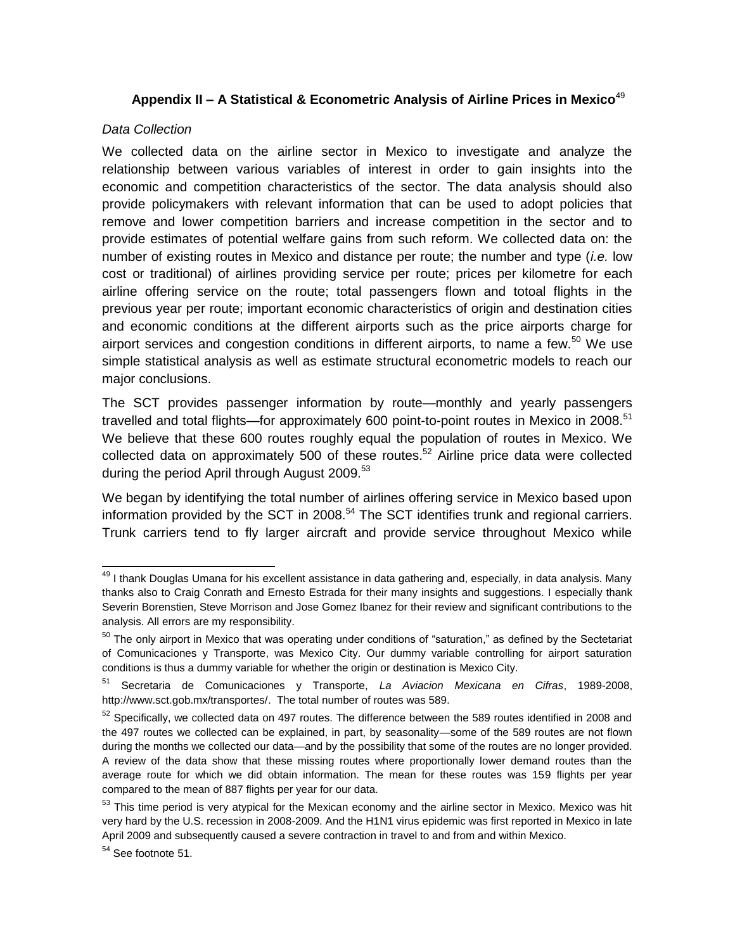## **Appendix II – A Statistical & Econometric Analysis of Airline Prices in Mexico**<sup>49</sup>

### *Data Collection*

We collected data on the airline sector in Mexico to investigate and analyze the relationship between various variables of interest in order to gain insights into the economic and competition characteristics of the sector. The data analysis should also provide policymakers with relevant information that can be used to adopt policies that remove and lower competition barriers and increase competition in the sector and to provide estimates of potential welfare gains from such reform. We collected data on: the number of existing routes in Mexico and distance per route; the number and type (*i.e.* low cost or traditional) of airlines providing service per route; prices per kilometre for each airline offering service on the route; total passengers flown and totoal flights in the previous year per route; important economic characteristics of origin and destination cities and economic conditions at the different airports such as the price airports charge for airport services and congestion conditions in different airports, to name a few.<sup>50</sup> We use simple statistical analysis as well as estimate structural econometric models to reach our major conclusions.

<span id="page-34-0"></span>The SCT provides passenger information by route—monthly and yearly passengers travelled and total flights—for approximately 600 point-to-point routes in Mexico in 2008.<sup>51</sup> We believe that these 600 routes roughly equal the population of routes in Mexico. We collected data on approximately 500 of these routes.<sup>52</sup> Airline price data were collected during the period April through August 2009.<sup>53</sup>

We began by identifying the total number of airlines offering service in Mexico based upon information provided by the SCT in 2008.<sup>54</sup> The SCT identifies trunk and regional carriers. Trunk carriers tend to fly larger aircraft and provide service throughout Mexico while

j

<sup>&</sup>lt;sup>49</sup> I thank Douglas Umana for his excellent assistance in data gathering and, especially, in data analysis. Many thanks also to Craig Conrath and Ernesto Estrada for their many insights and suggestions. I especially thank Severin Borenstien, Steve Morrison and Jose Gomez Ibanez for their review and significant contributions to the analysis. All errors are my responsibility.

 $50$  The only airport in Mexico that was operating under conditions of "saturation," as defined by the Sectetariat of Comunicaciones y Transporte, was Mexico City. Our dummy variable controlling for airport saturation conditions is thus a dummy variable for whether the origin or destination is Mexico City.

<sup>51</sup> Secretaria de Comunicaciones y Transporte, *La Aviacion Mexicana en Cifras*, 1989-2008, http://www.sct.gob.mx/transportes/. The total number of routes was 589.

 $52$  Specifically, we collected data on 497 routes. The difference between the 589 routes identified in 2008 and the 497 routes we collected can be explained, in part, by seasonality—some of the 589 routes are not flown during the months we collected our data—and by the possibility that some of the routes are no longer provided. A review of the data show that these missing routes where proportionally lower demand routes than the average route for which we did obtain information. The mean for these routes was 159 flights per year compared to the mean of 887 flights per year for our data.

<sup>53</sup> This time period is very atypical for the Mexican economy and the airline sector in Mexico. Mexico was hit very hard by the U.S. recession in 2008-2009. And the H1N1 virus epidemic was first reported in Mexico in late April 2009 and subsequently caused a severe contraction in travel to and from and within Mexico.

<sup>&</sup>lt;sup>54</sup> See footnote [51.](#page-34-0)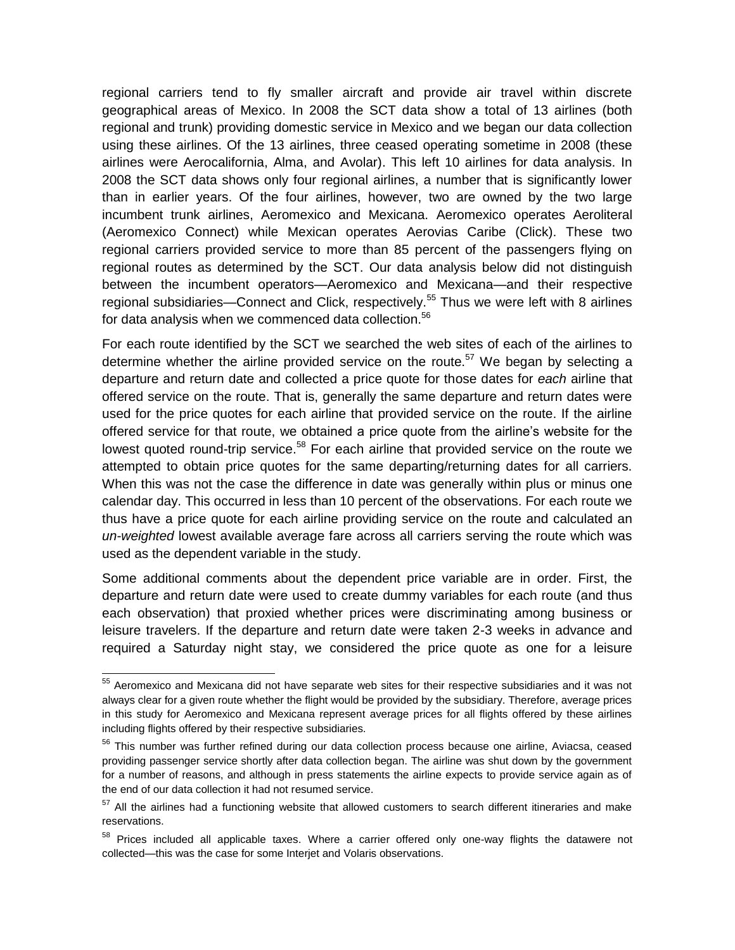regional carriers tend to fly smaller aircraft and provide air travel within discrete geographical areas of Mexico. In 2008 the SCT data show a total of 13 airlines (both regional and trunk) providing domestic service in Mexico and we began our data collection using these airlines. Of the 13 airlines, three ceased operating sometime in 2008 (these airlines were Aerocalifornia, Alma, and Avolar). This left 10 airlines for data analysis. In 2008 the SCT data shows only four regional airlines, a number that is significantly lower than in earlier years. Of the four airlines, however, two are owned by the two large incumbent trunk airlines, Aeromexico and Mexicana. Aeromexico operates Aeroliteral (Aeromexico Connect) while Mexican operates Aerovias Caribe (Click). These two regional carriers provided service to more than 85 percent of the passengers flying on regional routes as determined by the SCT. Our data analysis below did not distinguish between the incumbent operators—Aeromexico and Mexicana—and their respective regional subsidiaries—Connect and Click, respectively.<sup>55</sup> Thus we were left with 8 airlines for data analysis when we commenced data collection.<sup>56</sup>

For each route identified by the SCT we searched the web sites of each of the airlines to determine whether the airline provided service on the route.<sup>57</sup> We began by selecting a departure and return date and collected a price quote for those dates for *each* airline that offered service on the route. That is, generally the same departure and return dates were used for the price quotes for each airline that provided service on the route. If the airline offered service for that route, we obtained a price quote from the airline's website for the lowest quoted round-trip service.<sup>58</sup> For each airline that provided service on the route we attempted to obtain price quotes for the same departing/returning dates for all carriers. When this was not the case the difference in date was generally within plus or minus one calendar day. This occurred in less than 10 percent of the observations. For each route we thus have a price quote for each airline providing service on the route and calculated an *un-weighted* lowest available average fare across all carriers serving the route which was used as the dependent variable in the study.

Some additional comments about the dependent price variable are in order. First, the departure and return date were used to create dummy variables for each route (and thus each observation) that proxied whether prices were discriminating among business or leisure travelers. If the departure and return date were taken 2-3 weeks in advance and required a Saturday night stay, we considered the price quote as one for a leisure

 $\overline{a}$ 

<sup>&</sup>lt;sup>55</sup> Aeromexico and Mexicana did not have separate web sites for their respective subsidiaries and it was not always clear for a given route whether the flight would be provided by the subsidiary. Therefore, average prices in this study for Aeromexico and Mexicana represent average prices for all flights offered by these airlines including flights offered by their respective subsidiaries.

<sup>&</sup>lt;sup>56</sup> This number was further refined during our data collection process because one airline, Aviacsa, ceased providing passenger service shortly after data collection began. The airline was shut down by the government for a number of reasons, and although in press statements the airline expects to provide service again as of the end of our data collection it had not resumed service.

<sup>&</sup>lt;sup>57</sup> All the airlines had a functioning website that allowed customers to search different itineraries and make reservations.

<sup>&</sup>lt;sup>58</sup> Prices included all applicable taxes. Where a carrier offered only one-way flights the datawere not collected—this was the case for some Interjet and Volaris observations.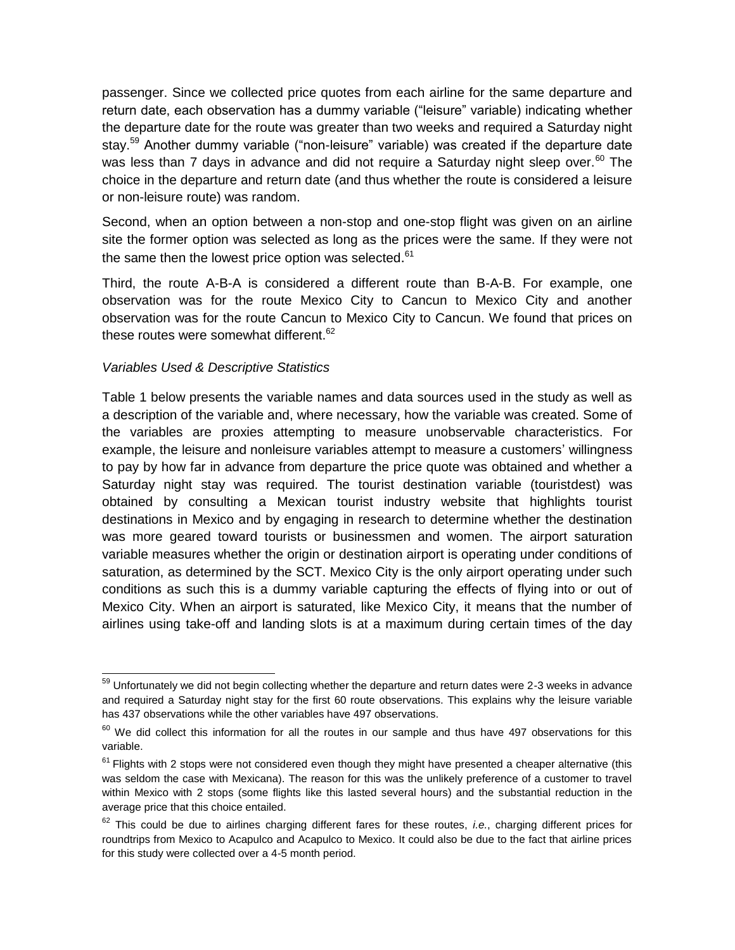passenger. Since we collected price quotes from each airline for the same departure and return date, each observation has a dummy variable ("leisure" variable) indicating whether the departure date for the route was greater than two weeks and required a Saturday night stay.<sup>59</sup> Another dummy variable ("non-leisure" variable) was created if the departure date was less than 7 days in advance and did not require a Saturday night sleep over.<sup>60</sup> The choice in the departure and return date (and thus whether the route is considered a leisure or non-leisure route) was random.

Second, when an option between a non-stop and one-stop flight was given on an airline site the former option was selected as long as the prices were the same. If they were not the same then the lowest price option was selected.<sup>61</sup>

Third, the route A-B-A is considered a different route than B-A-B. For example, one observation was for the route Mexico City to Cancun to Mexico City and another observation was for the route Cancun to Mexico City to Cancun. We found that prices on these routes were somewhat different. $62$ 

### *Variables Used & Descriptive Statistics*

 $\overline{a}$ 

Table 1 below presents the variable names and data sources used in the study as well as a description of the variable and, where necessary, how the variable was created. Some of the variables are proxies attempting to measure unobservable characteristics. For example, the leisure and nonleisure variables attempt to measure a customers' willingness to pay by how far in advance from departure the price quote was obtained and whether a Saturday night stay was required. The tourist destination variable (touristdest) was obtained by consulting a Mexican tourist industry website that highlights tourist destinations in Mexico and by engaging in research to determine whether the destination was more geared toward tourists or businessmen and women. The airport saturation variable measures whether the origin or destination airport is operating under conditions of saturation, as determined by the SCT. Mexico City is the only airport operating under such conditions as such this is a dummy variable capturing the effects of flying into or out of Mexico City. When an airport is saturated, like Mexico City, it means that the number of airlines using take-off and landing slots is at a maximum during certain times of the day

 $59$  Unfortunately we did not begin collecting whether the departure and return dates were 2-3 weeks in advance and required a Saturday night stay for the first 60 route observations. This explains why the leisure variable has 437 observations while the other variables have 497 observations.

 $60$  We did collect this information for all the routes in our sample and thus have 497 observations for this variable.

 $61$  Flights with 2 stops were not considered even though they might have presented a cheaper alternative (this was seldom the case with Mexicana). The reason for this was the unlikely preference of a customer to travel within Mexico with 2 stops (some flights like this lasted several hours) and the substantial reduction in the average price that this choice entailed.

<sup>&</sup>lt;sup>62</sup> This could be due to airlines charging different fares for these routes, *i.e.*, charging different prices for roundtrips from Mexico to Acapulco and Acapulco to Mexico. It could also be due to the fact that airline prices for this study were collected over a 4-5 month period.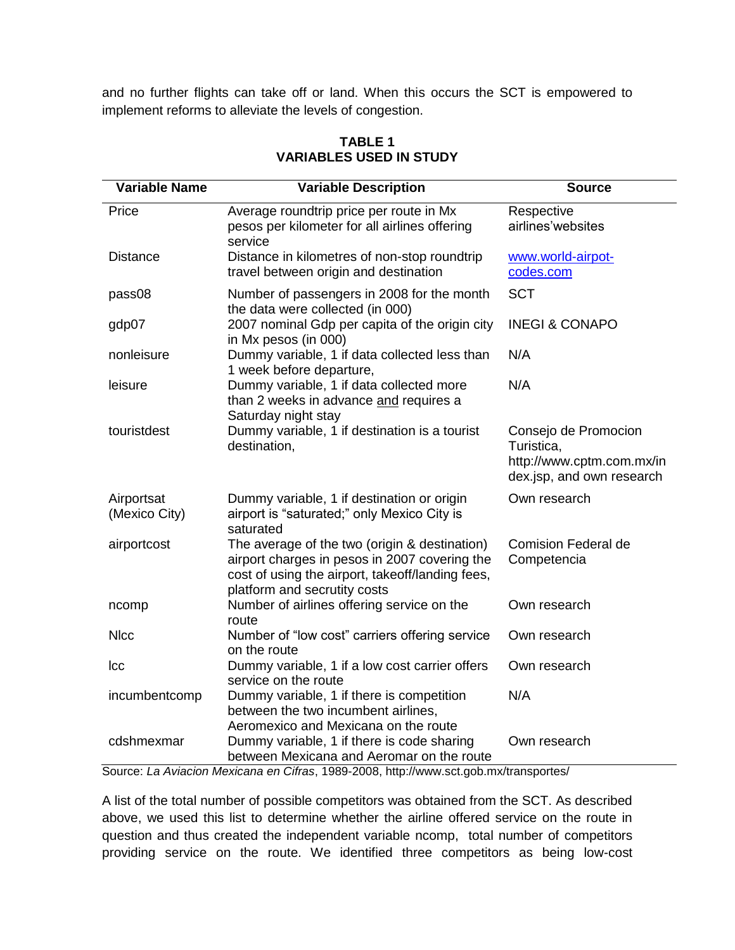and no further flights can take off or land. When this occurs the SCT is empowered to implement reforms to alleviate the levels of congestion.

| <b>Variable Name</b>        | <b>Variable Description</b>                                                                                                                                                        | <b>Source</b>                                                                                |
|-----------------------------|------------------------------------------------------------------------------------------------------------------------------------------------------------------------------------|----------------------------------------------------------------------------------------------|
| Price                       | Average roundtrip price per route in Mx<br>pesos per kilometer for all airlines offering<br>service                                                                                | Respective<br>airlines'websites                                                              |
| <b>Distance</b>             | Distance in kilometres of non-stop roundtrip<br>travel between origin and destination                                                                                              | www.world-airpot-<br>codes.com                                                               |
| pass08                      | Number of passengers in 2008 for the month<br>the data were collected (in 000)                                                                                                     | <b>SCT</b>                                                                                   |
| gdp07                       | 2007 nominal Gdp per capita of the origin city<br>in Mx pesos (in 000)                                                                                                             | <b>INEGI &amp; CONAPO</b>                                                                    |
| nonleisure                  | Dummy variable, 1 if data collected less than<br>1 week before departure,                                                                                                          | N/A                                                                                          |
| leisure                     | Dummy variable, 1 if data collected more<br>than 2 weeks in advance and requires a<br>Saturday night stay                                                                          | N/A                                                                                          |
| touristdest                 | Dummy variable, 1 if destination is a tourist<br>destination,                                                                                                                      | Consejo de Promocion<br>Turistica,<br>http://www.cptm.com.mx/in<br>dex.jsp, and own research |
| Airportsat<br>(Mexico City) | Dummy variable, 1 if destination or origin<br>airport is "saturated;" only Mexico City is<br>saturated                                                                             | Own research                                                                                 |
| airportcost                 | The average of the two (origin & destination)<br>airport charges in pesos in 2007 covering the<br>cost of using the airport, takeoff/landing fees,<br>platform and secrutity costs | <b>Comision Federal de</b><br>Competencia                                                    |
| ncomp                       | Number of airlines offering service on the<br>route                                                                                                                                | Own research                                                                                 |
| <b>NIcc</b>                 | Number of "low cost" carriers offering service<br>on the route                                                                                                                     | Own research                                                                                 |
| <b>Icc</b>                  | Dummy variable, 1 if a low cost carrier offers<br>service on the route                                                                                                             | Own research                                                                                 |
| incumbentcomp               | Dummy variable, 1 if there is competition<br>between the two incumbent airlines,<br>Aeromexico and Mexicana on the route                                                           | N/A                                                                                          |
| cdshmexmar                  | Dummy variable, 1 if there is code sharing<br>between Mexicana and Aeromar on the route                                                                                            | Own research                                                                                 |

# **TABLE 1 VARIABLES USED IN STUDY**

Source: *La Aviacion Mexicana en Cifras*, 1989-2008, http://www.sct.gob.mx/transportes/

A list of the total number of possible competitors was obtained from the SCT. As described above, we used this list to determine whether the airline offered service on the route in question and thus created the independent variable ncomp, total number of competitors providing service on the route. We identified three competitors as being low-cost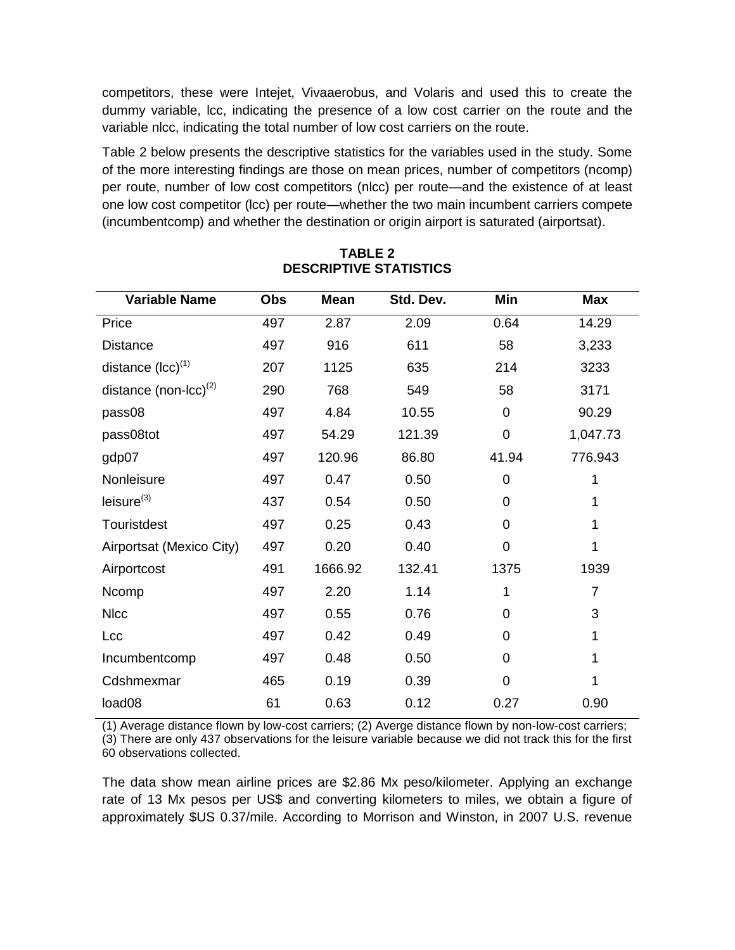competitors, these were Intejet, Vivaaerobus, and Volaris and used this to create the dummy variable, lcc, indicating the presence of a low cost carrier on the route and the variable nlcc, indicating the total number of low cost carriers on the route.

Table 2 below presents the descriptive statistics for the variables used in the study. Some of the more interesting findings are those on mean prices, number of competitors (ncomp) per route, number of low cost competitors (nlcc) per route—and the existence of at least one low cost competitor (lcc) per route—whether the two main incumbent carriers compete (incumbentcomp) and whether the destination or origin airport is saturated (airportsat).

| <b>Variable Name</b>              | <b>Obs</b> | <b>Mean</b> | Std. Dev. | Min            | <b>Max</b>     |
|-----------------------------------|------------|-------------|-----------|----------------|----------------|
| Price                             | 497        | 2.87        | 2.09      | 0.64           | 14.29          |
| <b>Distance</b>                   | 497        | 916         | 611       | 58             | 3,233          |
| distance $(\text{lcc})^{(1)}$     | 207        | 1125        | 635       | 214            | 3233           |
| distance (non- $ cc\rangle^{(2)}$ | 290        | 768         | 549       | 58             | 3171           |
| pass08                            | 497        | 4.84        | 10.55     | $\mathbf 0$    | 90.29          |
| pass08tot                         | 497        | 54.29       | 121.39    | $\mathbf 0$    | 1,047.73       |
| gdp07                             | 497        | 120.96      | 86.80     | 41.94          | 776.943        |
| Nonleisure                        | 497        | 0.47        | 0.50      | 0              | 1              |
| $leisure^{(3)}$                   | 437        | 0.54        | 0.50      | 0              | 1              |
| Touristdest                       | 497        | 0.25        | 0.43      | 0              | 1              |
| Airportsat (Mexico City)          | 497        | 0.20        | 0.40      | 0              | 1              |
| Airportcost                       | 491        | 1666.92     | 132.41    | 1375           | 1939           |
| Ncomp                             | 497        | 2.20        | 1.14      | 1              | $\overline{7}$ |
| <b>NIcc</b>                       | 497        | 0.55        | 0.76      | 0              | 3              |
| Lcc                               | 497        | 0.42        | 0.49      | 0              | 1              |
| Incumbentcomp                     | 497        | 0.48        | 0.50      | $\overline{0}$ | 1              |
| Cdshmexmar                        | 465        | 0.19        | 0.39      | $\overline{0}$ | 1              |
| load08                            | 61         | 0.63        | 0.12      | 0.27           | 0.90           |

## **TABLE 2 DESCRIPTIVE STATISTICS**

(1) Average distance flown by low-cost carriers; (2) Averge distance flown by non-low-cost carriers; (3) There are only 437 observations for the leisure variable because we did not track this for the first 60 observations collected.

The data show mean airline prices are \$2.86 Mx peso/kilometer. Applying an exchange rate of 13 Mx pesos per US\$ and converting kilometers to miles, we obtain a figure of approximately \$US 0.37/mile. According to Morrison and Winston, in 2007 U.S. revenue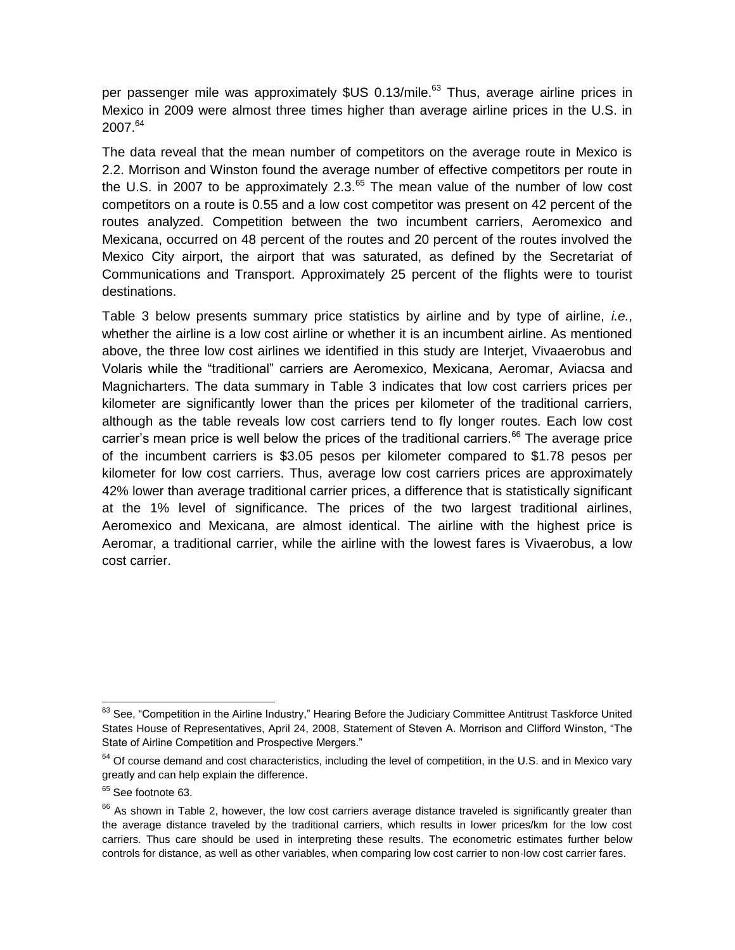<span id="page-39-0"></span>per passenger mile was approximately \$US 0.13/mile.<sup>63</sup> Thus, average airline prices in Mexico in 2009 were almost three times higher than average airline prices in the U.S. in  $2007.^{64}$ 

The data reveal that the mean number of competitors on the average route in Mexico is 2.2. Morrison and Winston found the average number of effective competitors per route in the U.S. in 2007 to be approximately  $2.3<sup>65</sup>$  The mean value of the number of low cost competitors on a route is 0.55 and a low cost competitor was present on 42 percent of the routes analyzed. Competition between the two incumbent carriers, Aeromexico and Mexicana, occurred on 48 percent of the routes and 20 percent of the routes involved the Mexico City airport, the airport that was saturated, as defined by the Secretariat of Communications and Transport. Approximately 25 percent of the flights were to tourist destinations.

Table 3 below presents summary price statistics by airline and by type of airline, *i.e.*, whether the airline is a low cost airline or whether it is an incumbent airline. As mentioned above, the three low cost airlines we identified in this study are Interjet, Vivaaerobus and Volaris while the "traditional" carriers are Aeromexico, Mexicana, Aeromar, Aviacsa and Magnicharters. The data summary in Table 3 indicates that low cost carriers prices per kilometer are significantly lower than the prices per kilometer of the traditional carriers, although as the table reveals low cost carriers tend to fly longer routes. Each low cost carrier's mean price is well below the prices of the traditional carriers.<sup>66</sup> The average price of the incumbent carriers is \$3.05 pesos per kilometer compared to \$1.78 pesos per kilometer for low cost carriers. Thus, average low cost carriers prices are approximately 42% lower than average traditional carrier prices, a difference that is statistically significant at the 1% level of significance. The prices of the two largest traditional airlines, Aeromexico and Mexicana, are almost identical. The airline with the highest price is Aeromar, a traditional carrier, while the airline with the lowest fares is Vivaerobus, a low cost carrier.

 $63$  See, "Competition in the Airline Industry," Hearing Before the Judiciary Committee Antitrust Taskforce United States House of Representatives, April 24, 2008, Statement of Steven A. Morrison and Clifford Winston, "The State of Airline Competition and Prospective Mergers."

 $64$  Of course demand and cost characteristics, including the level of competition, in the U.S. and in Mexico vary greatly and can help explain the difference.

<sup>&</sup>lt;sup>65</sup> See footnote [63.](#page-39-0)

 $66$  As shown in Table 2, however, the low cost carriers average distance traveled is significantly greater than the average distance traveled by the traditional carriers, which results in lower prices/km for the low cost carriers. Thus care should be used in interpreting these results. The econometric estimates further below controls for distance, as well as other variables, when comparing low cost carrier to non-low cost carrier fares.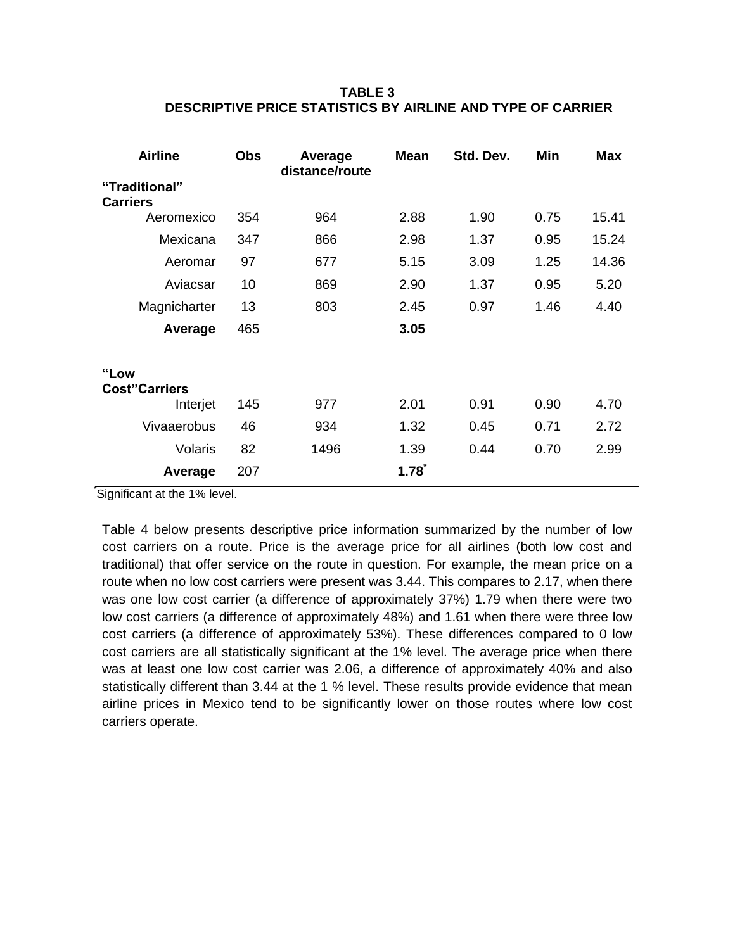| <b>Airline</b>                   | <b>Obs</b> | Average<br>distance/route | <b>Mean</b> | Std. Dev. | Min  | <b>Max</b> |
|----------------------------------|------------|---------------------------|-------------|-----------|------|------------|
| "Traditional"<br><b>Carriers</b> |            |                           |             |           |      |            |
| Aeromexico                       | 354        | 964                       | 2.88        | 1.90      | 0.75 | 15.41      |
| Mexicana                         | 347        | 866                       | 2.98        | 1.37      | 0.95 | 15.24      |
| Aeromar                          | 97         | 677                       | 5.15        | 3.09      | 1.25 | 14.36      |
| Aviacsar                         | 10         | 869                       | 2.90        | 1.37      | 0.95 | 5.20       |
| Magnicharter                     | 13         | 803                       | 2.45        | 0.97      | 1.46 | 4.40       |
| Average                          | 465        |                           | 3.05        |           |      |            |
| "Low<br><b>Cost"Carriers</b>     |            |                           |             |           |      |            |
| Interjet                         | 145        | 977                       | 2.01        | 0.91      | 0.90 | 4.70       |
| Vivaaerobus                      | 46         | 934                       | 1.32        | 0.45      | 0.71 | 2.72       |
| <b>Volaris</b>                   | 82         | 1496                      | 1.39        | 0.44      | 0.70 | 2.99       |
| Average                          | 207        |                           | 1.78        |           |      |            |

### **TABLE 3 DESCRIPTIVE PRICE STATISTICS BY AIRLINE AND TYPE OF CARRIER**

Significant at the 1% level.

Table 4 below presents descriptive price information summarized by the number of low cost carriers on a route. Price is the average price for all airlines (both low cost and traditional) that offer service on the route in question. For example, the mean price on a route when no low cost carriers were present was 3.44. This compares to 2.17, when there was one low cost carrier (a difference of approximately 37%) 1.79 when there were two low cost carriers (a difference of approximately 48%) and 1.61 when there were three low cost carriers (a difference of approximately 53%). These differences compared to 0 low cost carriers are all statistically significant at the 1% level. The average price when there was at least one low cost carrier was 2.06, a difference of approximately 40% and also statistically different than 3.44 at the 1 % level. These results provide evidence that mean airline prices in Mexico tend to be significantly lower on those routes where low cost carriers operate.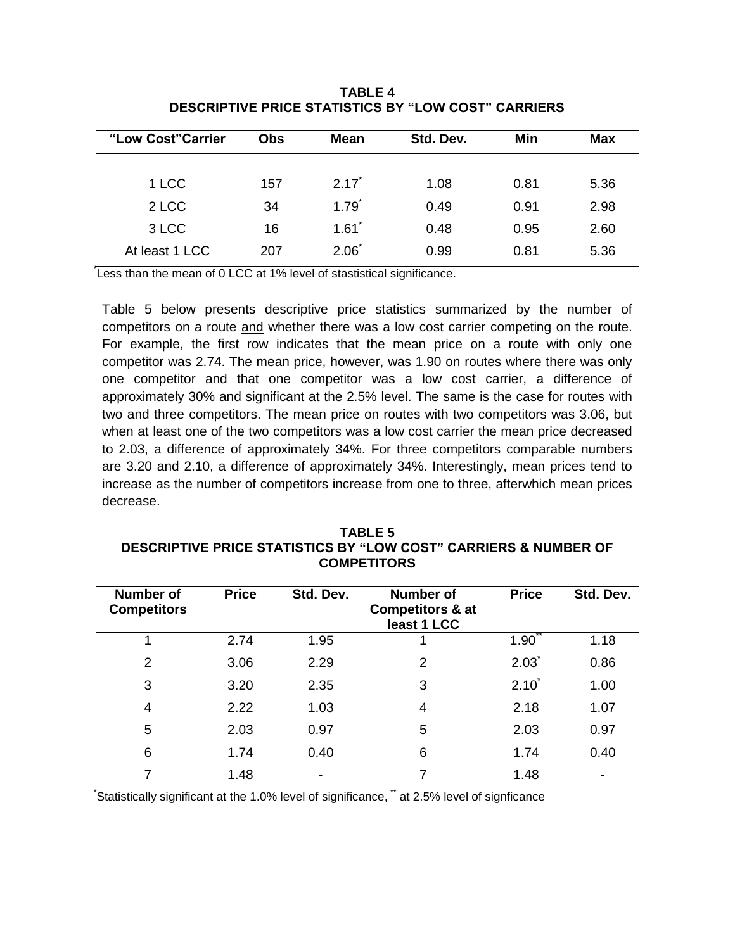| "Low Cost"Carrier | <b>Obs</b> | <b>Mean</b>         | Std. Dev. | Min  | <b>Max</b> |
|-------------------|------------|---------------------|-----------|------|------------|
| 1 LCC             | 157        | $2.17$ <sup>*</sup> | 1.08      | 0.81 | 5.36       |
| 2 LCC             | 34         | $1.79*$             | 0.49      | 0.91 | 2.98       |
| 3 LCC             | 16         | $1.61$ <sup>*</sup> | 0.48      | 0.95 | 2.60       |
| At least 1 LCC    | 207        | $2.06^{\degree}$    | 0.99      | 0.81 | 5.36       |

**TABLE 4 DESCRIPTIVE PRICE STATISTICS BY "LOW COST" CARRIERS**

Less than the mean of 0 LCC at 1% level of stastistical significance.

Table 5 below presents descriptive price statistics summarized by the number of competitors on a route and whether there was a low cost carrier competing on the route. For example, the first row indicates that the mean price on a route with only one competitor was 2.74. The mean price, however, was 1.90 on routes where there was only one competitor and that one competitor was a low cost carrier, a difference of approximately 30% and significant at the 2.5% level. The same is the case for routes with two and three competitors. The mean price on routes with two competitors was 3.06, but when at least one of the two competitors was a low cost carrier the mean price decreased to 2.03, a difference of approximately 34%. For three competitors comparable numbers are 3.20 and 2.10, a difference of approximately 34%. Interestingly, mean prices tend to increase as the number of competitors increase from one to three, afterwhich mean prices decrease.

#### **TABLE 5 DESCRIPTIVE PRICE STATISTICS BY "LOW COST" CARRIERS & NUMBER OF COMPETITORS**

| <b>Number of</b><br><b>Competitors</b> | <b>Price</b> | Std. Dev. | <b>Number of</b><br><b>Competitors &amp; at</b><br>least 1 LCC | <b>Price</b>      | Std. Dev. |
|----------------------------------------|--------------|-----------|----------------------------------------------------------------|-------------------|-----------|
| 1                                      | 2.74         | 1.95      |                                                                | 1.90 <sup>°</sup> | 1.18      |
| $\overline{2}$                         | 3.06         | 2.29      | 2                                                              | $2.03^{\degree}$  | 0.86      |
| 3                                      | 3.20         | 2.35      | 3                                                              | $2.10^{\degree}$  | 1.00      |
| $\overline{4}$                         | 2.22         | 1.03      | 4                                                              | 2.18              | 1.07      |
| 5                                      | 2.03         | 0.97      | 5                                                              | 2.03              | 0.97      |
| 6                                      | 1.74         | 0.40      | 6                                                              | 1.74              | 0.40      |
| 7                                      | 1.48         | -         |                                                                | 1.48              |           |

Statistically significant at the 1.0% level of significance,  $\tilde{ }$  at 2.5% level of signficance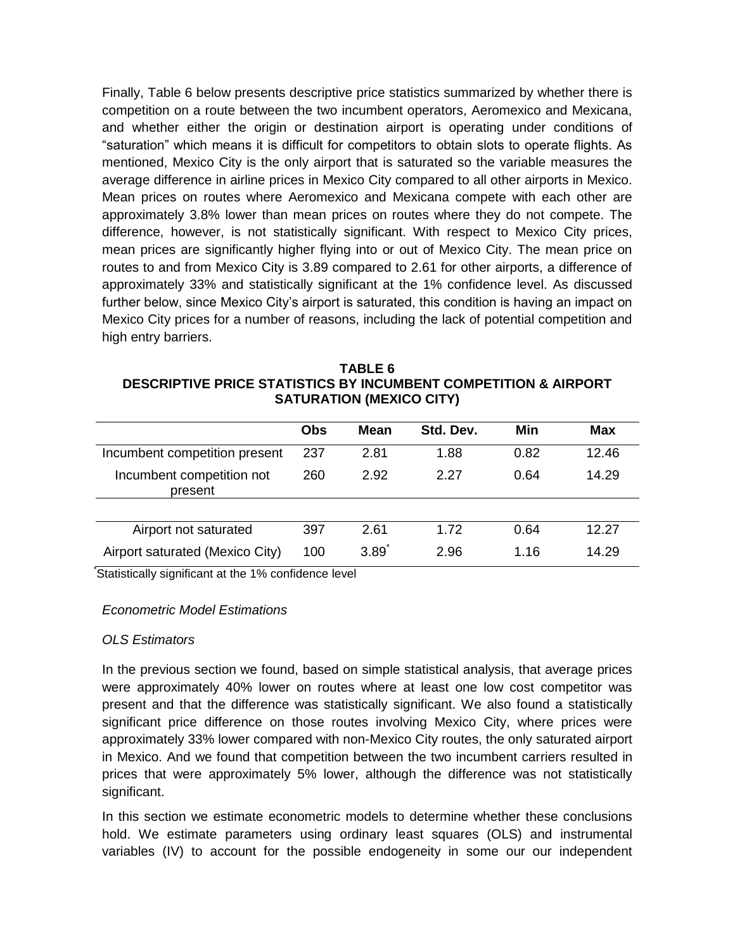Finally, Table 6 below presents descriptive price statistics summarized by whether there is competition on a route between the two incumbent operators, Aeromexico and Mexicana, and whether either the origin or destination airport is operating under conditions of "saturation" which means it is difficult for competitors to obtain slots to operate flights. As mentioned, Mexico City is the only airport that is saturated so the variable measures the average difference in airline prices in Mexico City compared to all other airports in Mexico. Mean prices on routes where Aeromexico and Mexicana compete with each other are approximately 3.8% lower than mean prices on routes where they do not compete. The difference, however, is not statistically significant. With respect to Mexico City prices, mean prices are significantly higher flying into or out of Mexico City. The mean price on routes to and from Mexico City is 3.89 compared to 2.61 for other airports, a difference of approximately 33% and statistically significant at the 1% confidence level. As discussed further below, since Mexico City's airport is saturated, this condition is having an impact on Mexico City prices for a number of reasons, including the lack of potential competition and high entry barriers.

**TABLE 6 DESCRIPTIVE PRICE STATISTICS BY INCUMBENT COMPETITION & AIRPORT SATURATION (MEXICO CITY)**

|                                      | Obs | <b>Mean</b> | Std. Dev. | Min  | Max   |
|--------------------------------------|-----|-------------|-----------|------|-------|
| Incumbent competition present        | 237 | 2.81        | 1.88      | 0.82 | 12.46 |
| Incumbent competition not<br>present | 260 | 2.92        | 2.27      | 0.64 | 14.29 |
|                                      |     |             |           |      |       |
| Airport not saturated                | 397 | 2.61        | 1.72      | 0.64 | 12.27 |
| Airport saturated (Mexico City)      | 100 | 3.89        | 2.96      | 1.16 | 14.29 |

Statistically significant at the 1% confidence level

#### *Econometric Model Estimations*

#### *OLS Estimators*

In the previous section we found, based on simple statistical analysis, that average prices were approximately 40% lower on routes where at least one low cost competitor was present and that the difference was statistically significant. We also found a statistically significant price difference on those routes involving Mexico City, where prices were approximately 33% lower compared with non-Mexico City routes, the only saturated airport in Mexico. And we found that competition between the two incumbent carriers resulted in prices that were approximately 5% lower, although the difference was not statistically significant.

In this section we estimate econometric models to determine whether these conclusions hold. We estimate parameters using ordinary least squares (OLS) and instrumental variables (IV) to account for the possible endogeneity in some our our independent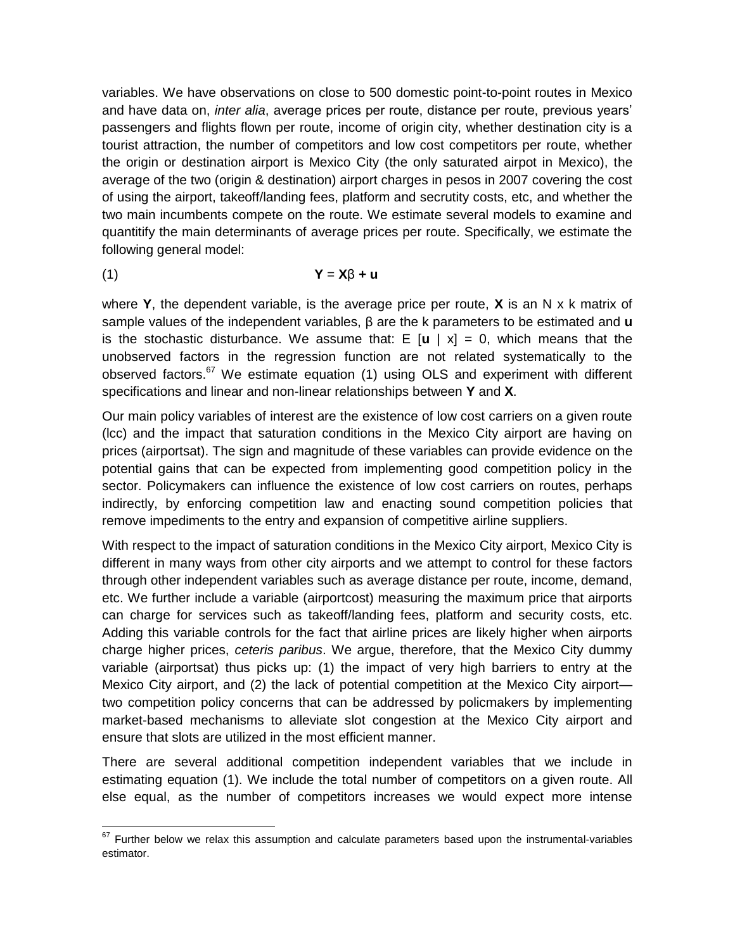variables. We have observations on close to 500 domestic point-to-point routes in Mexico and have data on, *inter alia*, average prices per route, distance per route, previous years' passengers and flights flown per route, income of origin city, whether destination city is a tourist attraction, the number of competitors and low cost competitors per route, whether the origin or destination airport is Mexico City (the only saturated airpot in Mexico), the average of the two (origin & destination) airport charges in pesos in 2007 covering the cost of using the airport, takeoff/landing fees, platform and secrutity costs, etc, and whether the two main incumbents compete on the route. We estimate several models to examine and quantitify the main determinants of average prices per route. Specifically, we estimate the following general model:

$$
Y = X\beta + u
$$

where **Y**, the dependent variable, is the average price per route, **X** is an N x k matrix of sample values of the independent variables, β are the k parameters to be estimated and **u**  is the stochastic disturbance. We assume that:  $E [u | x] = 0$ , which means that the unobserved factors in the regression function are not related systematically to the observed factors.<sup>67</sup> We estimate equation (1) using OLS and experiment with different specifications and linear and non-linear relationships between **Y** and **X**.

Our main policy variables of interest are the existence of low cost carriers on a given route (lcc) and the impact that saturation conditions in the Mexico City airport are having on prices (airportsat). The sign and magnitude of these variables can provide evidence on the potential gains that can be expected from implementing good competition policy in the sector. Policymakers can influence the existence of low cost carriers on routes, perhaps indirectly, by enforcing competition law and enacting sound competition policies that remove impediments to the entry and expansion of competitive airline suppliers.

With respect to the impact of saturation conditions in the Mexico City airport, Mexico City is different in many ways from other city airports and we attempt to control for these factors through other independent variables such as average distance per route, income, demand, etc. We further include a variable (airportcost) measuring the maximum price that airports can charge for services such as takeoff/landing fees, platform and security costs, etc. Adding this variable controls for the fact that airline prices are likely higher when airports charge higher prices, *ceteris paribus*. We argue, therefore, that the Mexico City dummy variable (airportsat) thus picks up: (1) the impact of very high barriers to entry at the Mexico City airport, and (2) the lack of potential competition at the Mexico City airport two competition policy concerns that can be addressed by policmakers by implementing market-based mechanisms to alleviate slot congestion at the Mexico City airport and ensure that slots are utilized in the most efficient manner.

There are several additional competition independent variables that we include in estimating equation (1). We include the total number of competitors on a given route. All else equal, as the number of competitors increases we would expect more intense

 $\overline{a}$  $67$  Further below we relax this assumption and calculate parameters based upon the instrumental-variables estimator.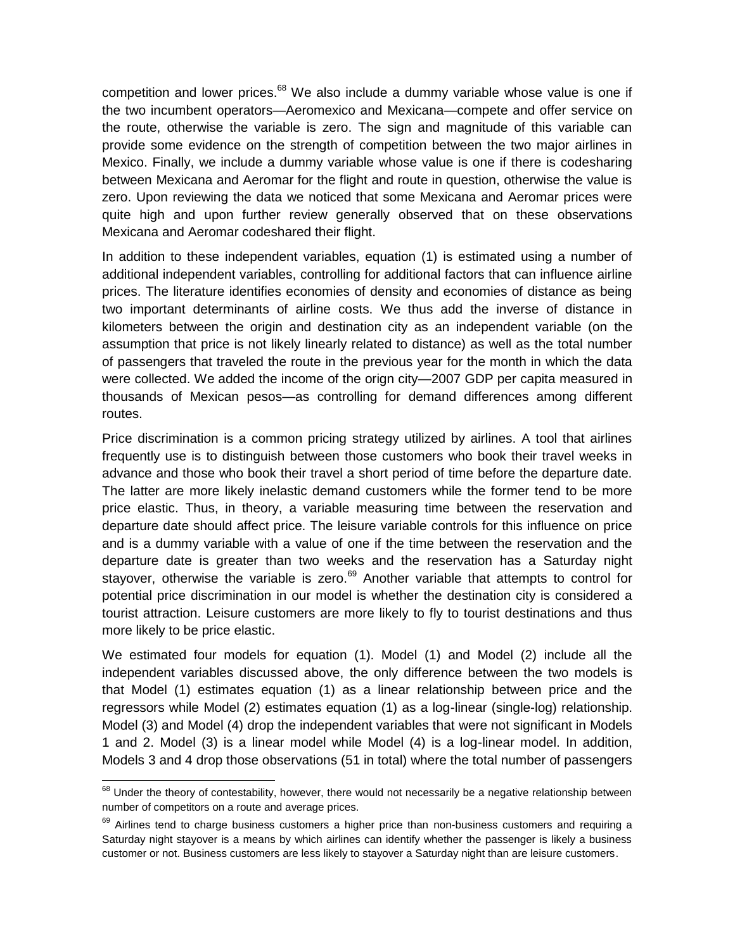competition and lower prices. $68$  We also include a dummy variable whose value is one if the two incumbent operators—Aeromexico and Mexicana—compete and offer service on the route, otherwise the variable is zero. The sign and magnitude of this variable can provide some evidence on the strength of competition between the two major airlines in Mexico. Finally, we include a dummy variable whose value is one if there is codesharing between Mexicana and Aeromar for the flight and route in question, otherwise the value is zero. Upon reviewing the data we noticed that some Mexicana and Aeromar prices were quite high and upon further review generally observed that on these observations Mexicana and Aeromar codeshared their flight.

In addition to these independent variables, equation (1) is estimated using a number of additional independent variables, controlling for additional factors that can influence airline prices. The literature identifies economies of density and economies of distance as being two important determinants of airline costs. We thus add the inverse of distance in kilometers between the origin and destination city as an independent variable (on the assumption that price is not likely linearly related to distance) as well as the total number of passengers that traveled the route in the previous year for the month in which the data were collected. We added the income of the orign city—2007 GDP per capita measured in thousands of Mexican pesos—as controlling for demand differences among different routes.

Price discrimination is a common pricing strategy utilized by airlines. A tool that airlines frequently use is to distinguish between those customers who book their travel weeks in advance and those who book their travel a short period of time before the departure date. The latter are more likely inelastic demand customers while the former tend to be more price elastic. Thus, in theory, a variable measuring time between the reservation and departure date should affect price. The leisure variable controls for this influence on price and is a dummy variable with a value of one if the time between the reservation and the departure date is greater than two weeks and the reservation has a Saturday night stayover, otherwise the variable is zero. $69$  Another variable that attempts to control for potential price discrimination in our model is whether the destination city is considered a tourist attraction. Leisure customers are more likely to fly to tourist destinations and thus more likely to be price elastic.

We estimated four models for equation (1). Model (1) and Model (2) include all the independent variables discussed above, the only difference between the two models is that Model (1) estimates equation (1) as a linear relationship between price and the regressors while Model (2) estimates equation (1) as a log-linear (single-log) relationship. Model (3) and Model (4) drop the independent variables that were not significant in Models 1 and 2. Model (3) is a linear model while Model (4) is a log-linear model. In addition, Models 3 and 4 drop those observations (51 in total) where the total number of passengers

 $68$  Under the theory of contestability, however, there would not necessarily be a negative relationship between number of competitors on a route and average prices.

<sup>&</sup>lt;sup>69</sup> Airlines tend to charge business customers a higher price than non-business customers and requiring a Saturday night stayover is a means by which airlines can identify whether the passenger is likely a business customer or not. Business customers are less likely to stayover a Saturday night than are leisure customers.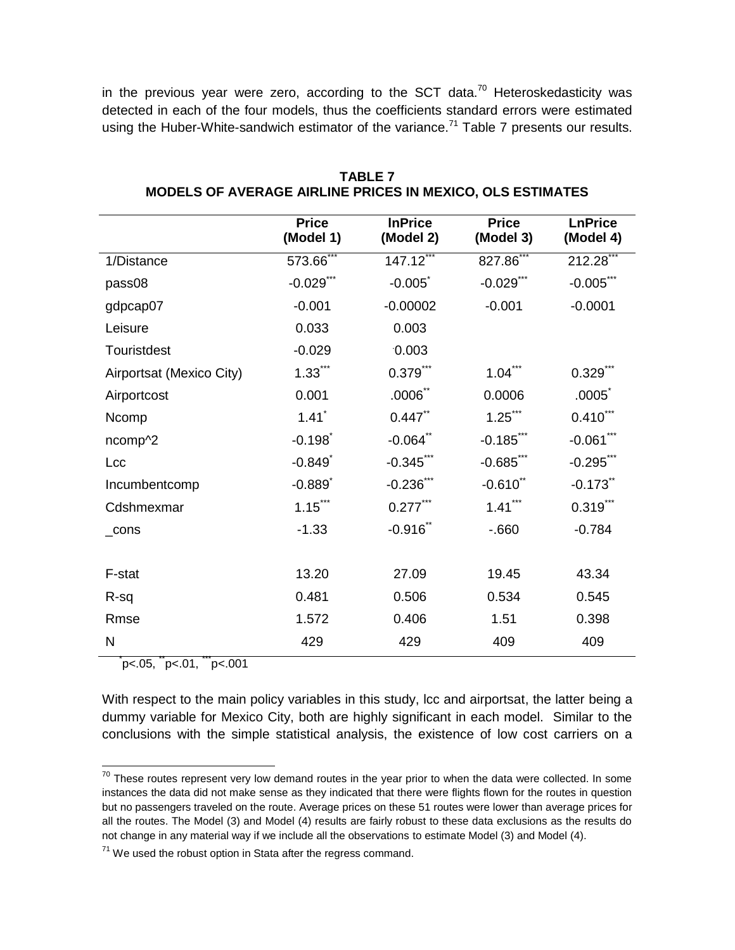in the previous year were zero, according to the SCT data.<sup>70</sup> Heteroskedasticity was detected in each of the four models, thus the coefficients standard errors were estimated using the Huber-White-sandwich estimator of the variance.<sup>71</sup> Table 7 presents our results.

|                          | <b>Price</b><br>(Model 1) | <b>InPrice</b><br>(Model 2) | <b>Price</b><br>(Model 3) | <b>LnPrice</b><br>(Model 4) |
|--------------------------|---------------------------|-----------------------------|---------------------------|-----------------------------|
| 1/Distance               | 573.66                    | 147.12                      | 827.86                    | 212.28                      |
| pass08                   | $-0.029$ ***              | $-0.005$                    | $-0.029$ ***              | $-0.005$ ***                |
| gdpcap07                 | $-0.001$                  | $-0.00002$                  | $-0.001$                  | $-0.0001$                   |
| Leisure                  | 0.033                     | 0.003                       |                           |                             |
| Touristdest              | $-0.029$                  | 0.003                       |                           |                             |
| Airportsat (Mexico City) | $1.33***$                 | $0.379***$                  | $1.04$ <sup>***</sup>     | $0.329$ <sup>**</sup>       |
| Airportcost              | 0.001                     | $.0006$ **                  | 0.0006                    | .0005                       |
| Ncomp                    | $1.41$ <sup>*</sup>       | $0.447$ **                  | $1.25***$                 | $0.410***$                  |
| ncomp <sup>^2</sup>      | $-0.198$                  | $-0.064$ **                 | $-0.185$ ***              | $-0.061***$                 |
| Lcc                      | $-0.849$ <sup>*</sup>     | $-0.345$ **                 | $-0.685$ ***              | $-0.295$ ***                |
| Incumbentcomp            | $-0.889$ <sup>*</sup>     | $-0.236$ **                 | $-0.610$ **               | $-0.173$ **                 |
| Cdshmexmar               | $1.15***$                 | $0.277***$                  | $1.41***$                 | $0.319$ ***                 |
| $_{\rm \_cons}$          | $-1.33$                   | $-0.916$                    | $-0.660$                  | $-0.784$                    |
|                          |                           |                             |                           |                             |
| F-stat                   | 13.20                     | 27.09                       | 19.45                     | 43.34                       |
| $R-sq$                   | 0.481                     | 0.506                       | 0.534                     | 0.545                       |
| Rmse                     | 1.572                     | 0.406                       | 1.51                      | 0.398                       |
| $\mathsf{N}$             | 429                       | 429                         | 409                       | 409                         |

**TABLE 7 MODELS OF AVERAGE AIRLINE PRICES IN MEXICO, OLS ESTIMATES**

 $p<.05$ ,  $p<.01$ ,  $p<.001$ 

With respect to the main policy variables in this study, Icc and airportsat, the latter being a dummy variable for Mexico City, both are highly significant in each model. Similar to the conclusions with the simple statistical analysis, the existence of low cost carriers on a

 $70$  These routes represent very low demand routes in the year prior to when the data were collected. In some instances the data did not make sense as they indicated that there were flights flown for the routes in question but no passengers traveled on the route. Average prices on these 51 routes were lower than average prices for all the routes. The Model (3) and Model (4) results are fairly robust to these data exclusions as the results do not change in any material way if we include all the observations to estimate Model (3) and Model (4).

 $71$  We used the robust option in Stata after the regress command.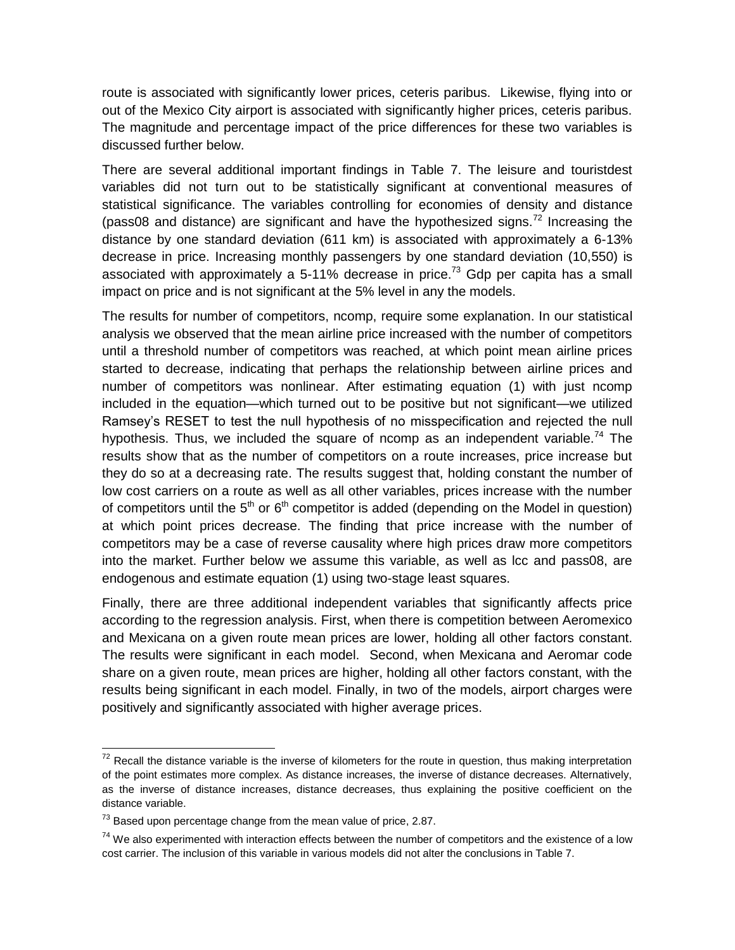route is associated with significantly lower prices, ceteris paribus. Likewise, flying into or out of the Mexico City airport is associated with significantly higher prices, ceteris paribus. The magnitude and percentage impact of the price differences for these two variables is discussed further below.

There are several additional important findings in Table 7. The leisure and touristdest variables did not turn out to be statistically significant at conventional measures of statistical significance. The variables controlling for economies of density and distance (pass08 and distance) are significant and have the hypothesized signs.<sup>72</sup> Increasing the distance by one standard deviation (611 km) is associated with approximately a 6-13% decrease in price. Increasing monthly passengers by one standard deviation (10,550) is associated with approximately a 5-11% decrease in price.<sup>73</sup> Gdp per capita has a small impact on price and is not significant at the 5% level in any the models.

The results for number of competitors, ncomp, require some explanation. In our statistical analysis we observed that the mean airline price increased with the number of competitors until a threshold number of competitors was reached, at which point mean airline prices started to decrease, indicating that perhaps the relationship between airline prices and number of competitors was nonlinear. After estimating equation (1) with just ncomp included in the equation—which turned out to be positive but not significant—we utilized Ramsey's RESET to test the null hypothesis of no misspecification and rejected the null hypothesis. Thus, we included the square of ncomp as an independent variable.<sup>74</sup> The results show that as the number of competitors on a route increases, price increase but they do so at a decreasing rate. The results suggest that, holding constant the number of low cost carriers on a route as well as all other variables, prices increase with the number of competitors until the  $5<sup>th</sup>$  or  $6<sup>th</sup>$  competitor is added (depending on the Model in question) at which point prices decrease. The finding that price increase with the number of competitors may be a case of reverse causality where high prices draw more competitors into the market. Further below we assume this variable, as well as lcc and pass08, are endogenous and estimate equation (1) using two-stage least squares.

Finally, there are three additional independent variables that significantly affects price according to the regression analysis. First, when there is competition between Aeromexico and Mexicana on a given route mean prices are lower, holding all other factors constant. The results were significant in each model. Second, when Mexicana and Aeromar code share on a given route, mean prices are higher, holding all other factors constant, with the results being significant in each model. Finally, in two of the models, airport charges were positively and significantly associated with higher average prices.

 $\overline{a}$ 

 $72$  Recall the distance variable is the inverse of kilometers for the route in question, thus making interpretation of the point estimates more complex. As distance increases, the inverse of distance decreases. Alternatively, as the inverse of distance increases, distance decreases, thus explaining the positive coefficient on the distance variable.

 $73$  Based upon percentage change from the mean value of price, 2.87.

<sup>&</sup>lt;sup>74</sup> We also experimented with interaction effects between the number of competitors and the existence of a low cost carrier. The inclusion of this variable in various models did not alter the conclusions in Table 7.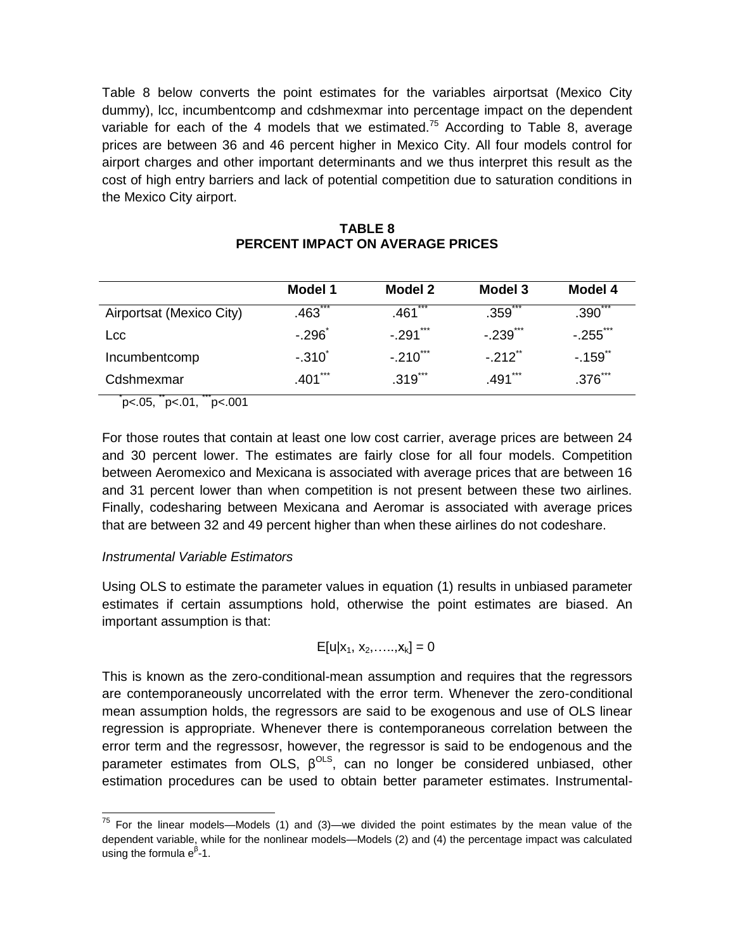Table 8 below converts the point estimates for the variables airportsat (Mexico City dummy), lcc, incumbentcomp and cdshmexmar into percentage impact on the dependent variable for each of the 4 models that we estimated.<sup>75</sup> According to Table 8, average prices are between 36 and 46 percent higher in Mexico City. All four models control for airport charges and other important determinants and we thus interpret this result as the cost of high entry barriers and lack of potential competition due to saturation conditions in the Mexico City airport.

|                                   | <b>Model 1</b> | Model 2     | Model 3     | Model 4     |
|-----------------------------------|----------------|-------------|-------------|-------------|
| Airportsat (Mexico City)          | $.463***$      | ***<br>.461 | $.359***$   | $.390***$   |
| <b>Lcc</b>                        | $-.296$        | $-.291$ *** | $-.239$ *** | $-.255$ *** |
| Incumbentcomp                     | $-.310$        | $-.210$ *** | $-.212$     | $-159$      |
| Cdshmexmar<br>***<br>$\mathbf{x}$ | ***<br>.401    | $.319***$   | ***<br>.491 | $.376***$   |

#### **TABLE 8 PERCENT IMPACT ON AVERAGE PRICES**

 $p<.05$ ,  $p<.01$ ,  $p<.001$ 

For those routes that contain at least one low cost carrier, average prices are between 24 and 30 percent lower. The estimates are fairly close for all four models. Competition between Aeromexico and Mexicana is associated with average prices that are between 16 and 31 percent lower than when competition is not present between these two airlines. Finally, codesharing between Mexicana and Aeromar is associated with average prices that are between 32 and 49 percent higher than when these airlines do not codeshare.

## *Instrumental Variable Estimators*

Using OLS to estimate the parameter values in equation (1) results in unbiased parameter estimates if certain assumptions hold, otherwise the point estimates are biased. An important assumption is that:

 $E[u|x_1, x_2, \ldots, x_k] = 0$ 

This is known as the zero-conditional-mean assumption and requires that the regressors are contemporaneously uncorrelated with the error term. Whenever the zero-conditional mean assumption holds, the regressors are said to be exogenous and use of OLS linear regression is appropriate. Whenever there is contemporaneous correlation between the error term and the regressosr, however, the regressor is said to be endogenous and the parameter estimates from OLS,  $β^{OLS}$ , can no longer be considered unbiased, other estimation procedures can be used to obtain better parameter estimates. Instrumental-

 $\overline{a}$  $75$  For the linear models—Models (1) and (3)—we divided the point estimates by the mean value of the dependent variable, while for the nonlinear models—Models (2) and (4) the percentage impact was calculated using the formula  $e^{\beta}$ -1.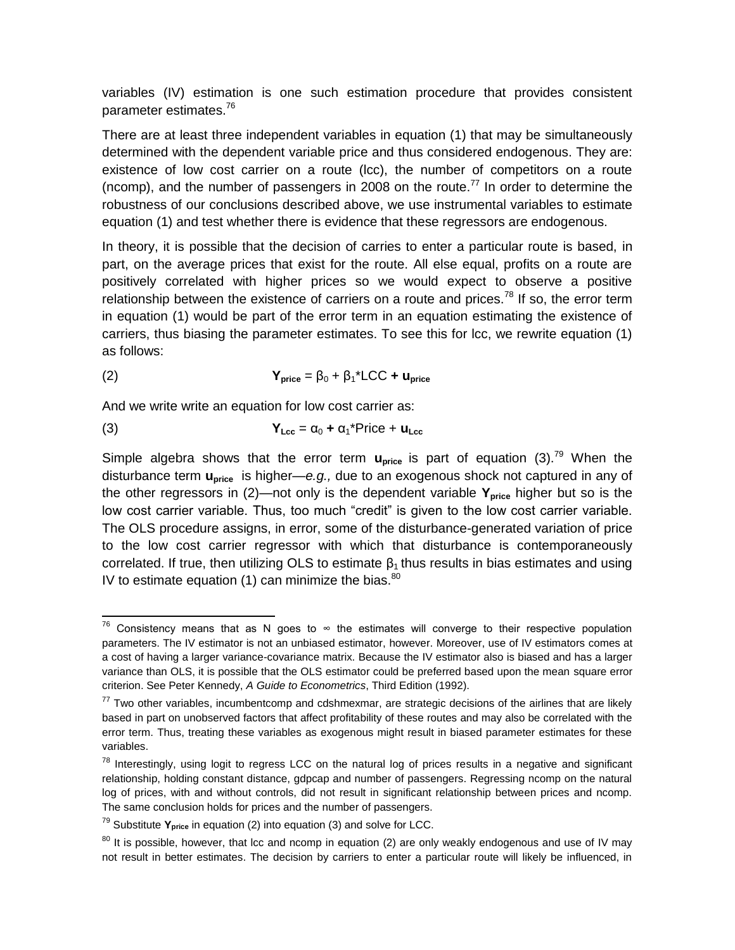variables (IV) estimation is one such estimation procedure that provides consistent parameter estimates.<sup>76</sup>

There are at least three independent variables in equation (1) that may be simultaneously determined with the dependent variable price and thus considered endogenous. They are: existence of low cost carrier on a route (Icc), the number of competitors on a route (ncomp), and the number of passengers in 2008 on the route.<sup>77</sup> In order to determine the robustness of our conclusions described above, we use instrumental variables to estimate equation (1) and test whether there is evidence that these regressors are endogenous.

<span id="page-48-0"></span>In theory, it is possible that the decision of carries to enter a particular route is based, in part, on the average prices that exist for the route. All else equal, profits on a route are positively correlated with higher prices so we would expect to observe a positive relationship between the existence of carriers on a route and prices.<sup>78</sup> If so, the error term in equation (1) would be part of the error term in an equation estimating the existence of carriers, thus biasing the parameter estimates. To see this for lcc, we rewrite equation (1) as follows:

(2) 
$$
\mathbf{Y}_{\text{price}} = \beta_0 + \beta_1^{\ast} LCC + \mathbf{U}_{\text{price}}
$$

And we write write an equation for low cost carrier as:

(3) 
$$
Y_{Lcc} = \alpha_0 + \alpha_1^* \text{Price} + u_{Lcc}
$$

Simple algebra shows that the error term  $\mathbf{u}_{\text{price}}$  is part of equation (3).<sup>79</sup> When the disturbance term **uprice** is higher—*e.g.,* due to an exogenous shock not captured in any of the other regressors in (2)—not only is the dependent variable **Yprice** higher but so is the low cost carrier variable. Thus, too much "credit" is given to the low cost carrier variable. The OLS procedure assigns, in error, some of the disturbance-generated variation of price to the low cost carrier regressor with which that disturbance is contemporaneously correlated. If true, then utilizing OLS to estimate  $\beta_1$  thus results in bias estimates and using IV to estimate equation (1) can minimize the bias. $^{80}$ 

 $\overline{a}$  $^{76}$  Consistency means that as N goes to  $\infty$  the estimates will converge to their respective population parameters. The IV estimator is not an unbiased estimator, however. Moreover, use of IV estimators comes at a cost of having a larger variance-covariance matrix. Because the IV estimator also is biased and has a larger variance than OLS, it is possible that the OLS estimator could be preferred based upon the mean square error criterion. See Peter Kennedy, *A Guide to Econometrics*, Third Edition (1992).

 $77$  Two other variables, incumbentcomp and cdshmexmar, are strategic decisions of the airlines that are likely based in part on unobserved factors that affect profitability of these routes and may also be correlated with the error term. Thus, treating these variables as exogenous might result in biased parameter estimates for these variables.

 $78$  Interestingly, using logit to regress LCC on the natural log of prices results in a negative and significant relationship, holding constant distance, gdpcap and number of passengers. Regressing ncomp on the natural log of prices, with and without controls, did not result in significant relationship between prices and ncomp. The same conclusion holds for prices and the number of passengers.

<sup>79</sup> Substitute **Yprice** in equation (2) into equation (3) and solve for LCC.

 $80$  It is possible, however, that lcc and ncomp in equation (2) are only weakly endogenous and use of IV may not result in better estimates. The decision by carriers to enter a particular route will likely be influenced, in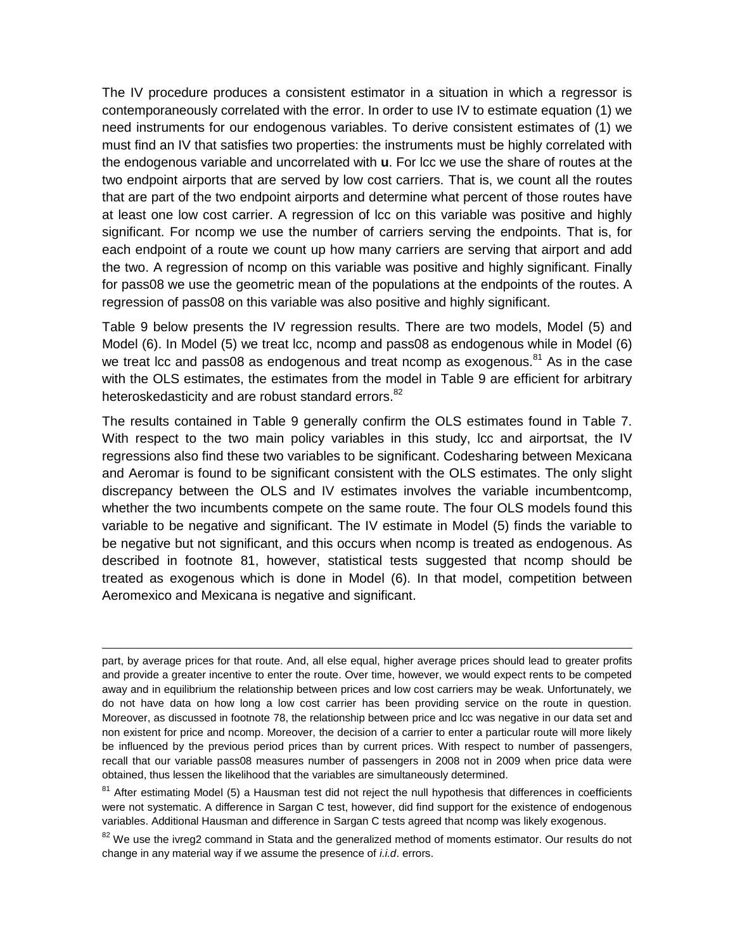The IV procedure produces a consistent estimator in a situation in which a regressor is contemporaneously correlated with the error. In order to use IV to estimate equation (1) we need instruments for our endogenous variables. To derive consistent estimates of (1) we must find an IV that satisfies two properties: the instruments must be highly correlated with the endogenous variable and uncorrelated with **u**. For lcc we use the share of routes at the two endpoint airports that are served by low cost carriers. That is, we count all the routes that are part of the two endpoint airports and determine what percent of those routes have at least one low cost carrier. A regression of lcc on this variable was positive and highly significant. For ncomp we use the number of carriers serving the endpoints. That is, for each endpoint of a route we count up how many carriers are serving that airport and add the two. A regression of ncomp on this variable was positive and highly significant. Finally for pass08 we use the geometric mean of the populations at the endpoints of the routes. A regression of pass08 on this variable was also positive and highly significant.

<span id="page-49-0"></span>Table 9 below presents the IV regression results. There are two models, Model (5) and Model (6). In Model (5) we treat lcc, ncomp and pass08 as endogenous while in Model (6) we treat lcc and pass08 as endogenous and treat ncomp as exogenous. $81$  As in the case with the OLS estimates, the estimates from the model in Table 9 are efficient for arbitrary heteroskedasticity and are robust standard errors.<sup>82</sup>

The results contained in Table 9 generally confirm the OLS estimates found in Table 7. With respect to the two main policy variables in this study, lcc and airportsat, the IV regressions also find these two variables to be significant. Codesharing between Mexicana and Aeromar is found to be significant consistent with the OLS estimates. The only slight discrepancy between the OLS and IV estimates involves the variable incumbentcomp, whether the two incumbents compete on the same route. The four OLS models found this variable to be negative and significant. The IV estimate in Model (5) finds the variable to be negative but not significant, and this occurs when ncomp is treated as endogenous. As described in footnote [81,](#page-49-0) however, statistical tests suggested that ncomp should be treated as exogenous which is done in Model (6). In that model, competition between Aeromexico and Mexicana is negative and significant.

-

part, by average prices for that route. And, all else equal, higher average prices should lead to greater profits and provide a greater incentive to enter the route. Over time, however, we would expect rents to be competed away and in equilibrium the relationship between prices and low cost carriers may be weak. Unfortunately, we do not have data on how long a low cost carrier has been providing service on the route in question. Moreover, as discussed in footnot[e 78,](#page-48-0) the relationship between price and lcc was negative in our data set and non existent for price and ncomp. Moreover, the decision of a carrier to enter a particular route will more likely be influenced by the previous period prices than by current prices. With respect to number of passengers, recall that our variable pass08 measures number of passengers in 2008 not in 2009 when price data were obtained, thus lessen the likelihood that the variables are simultaneously determined.

 $81$  After estimating Model (5) a Hausman test did not reject the null hypothesis that differences in coefficients were not systematic. A difference in Sargan C test, however, did find support for the existence of endogenous variables. Additional Hausman and difference in Sargan C tests agreed that ncomp was likely exogenous.

<sup>&</sup>lt;sup>82</sup> We use the ivreg2 command in Stata and the generalized method of moments estimator. Our results do not change in any material way if we assume the presence of *i.i.d*. errors.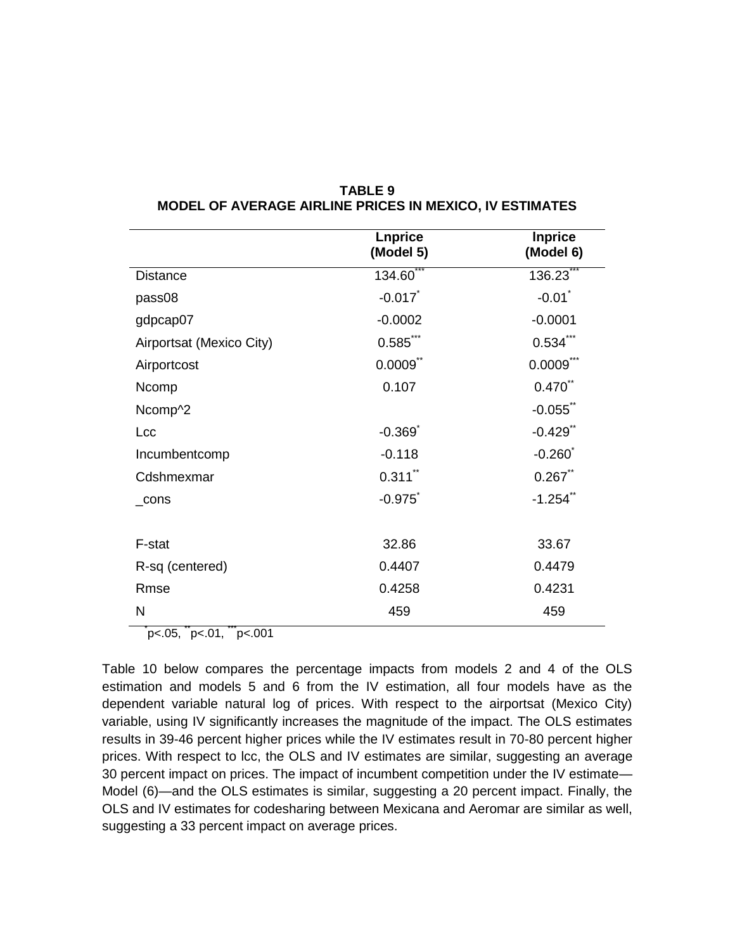|                          | <b>Lnprice</b><br>(Model 5) | <b>Inprice</b><br>(Model 6) |
|--------------------------|-----------------------------|-----------------------------|
| <b>Distance</b>          | 134.60 <sup>"</sup>         | 136.23***                   |
| pass08                   | $-0.017$                    | $-0.01$ <sup>*</sup>        |
| gdpcap07                 | $-0.0002$                   | $-0.0001$                   |
| Airportsat (Mexico City) | $0.585$ ***                 | $0.534$ ***                 |
| Airportcost              | $0.0009$ **                 | $0.0009$ **                 |
| Ncomp                    | 0.107                       | $0.470$ **                  |
| Ncomp <sup>^2</sup>      |                             | $-0.055$ **                 |
| Lcc                      | $-0.369$ <sup>*</sup>       | $-0.429$ **                 |
| Incumbentcomp            | $-0.118$                    | $-0.260$                    |
| Cdshmexmar               | $0.311$ **                  | $0.267$ **                  |
| $\_cons$                 | $-0.975$                    | $-1.254$ **                 |
|                          |                             |                             |
| F-stat                   | 32.86                       | 33.67                       |
| R-sq (centered)          | 0.4407                      | 0.4479                      |
| Rmse                     | 0.4258                      | 0.4231                      |
| N                        | 459                         | 459                         |

| TABLE 9                                                 |
|---------------------------------------------------------|
| MODEL OF AVERAGE AIRLINE PRICES IN MEXICO, IV ESTIMATES |

 $p<.05$ ,  $p<.01$ ,  $p<.001$ 

Table 10 below compares the percentage impacts from models 2 and 4 of the OLS estimation and models 5 and 6 from the IV estimation, all four models have as the dependent variable natural log of prices. With respect to the airportsat (Mexico City) variable, using IV significantly increases the magnitude of the impact. The OLS estimates results in 39-46 percent higher prices while the IV estimates result in 70-80 percent higher prices. With respect to lcc, the OLS and IV estimates are similar, suggesting an average 30 percent impact on prices. The impact of incumbent competition under the IV estimate— Model (6)—and the OLS estimates is similar, suggesting a 20 percent impact. Finally, the OLS and IV estimates for codesharing between Mexicana and Aeromar are similar as well, suggesting a 33 percent impact on average prices.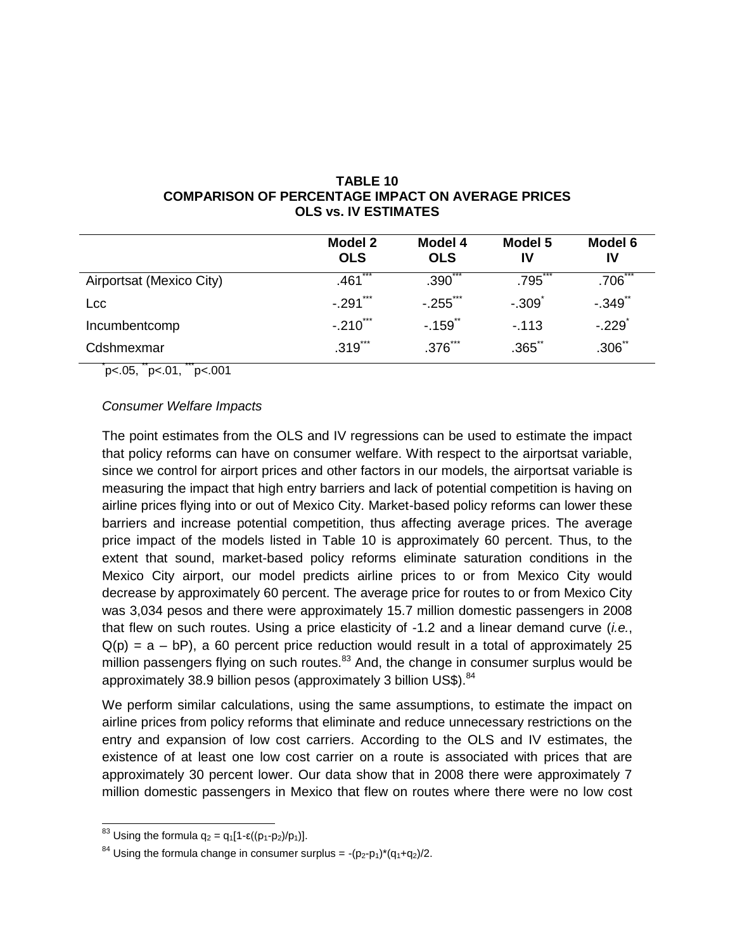|                          | <b>Model 2</b><br><b>OLS</b> | Model 4<br><b>OLS</b> | Model 5<br><b>IV</b> | Model 6<br>IV         |
|--------------------------|------------------------------|-----------------------|----------------------|-----------------------|
| Airportsat (Mexico City) | ***<br>.461                  | $.390***$             | .795 $\tilde{ }$     | $.706***$             |
| <b>Lcc</b>               | $-.291$ ***                  | $-0.255$ ***          | $-.309$              | $-.349$ <sup>**</sup> |
| Incumbentcomp            | $-.210$ ***                  | $-159$                | $-113$               | $-.229$               |
| Cdshmexmar               | $.319***$                    | $.376***$             | $.365$ **            | $.306^{**}$           |

#### **TABLE 10 COMPARISON OF PERCENTAGE IMPACT ON AVERAGE PRICES OLS vs. IV ESTIMATES**

 $p<.05$ ,  $p<.01$ ,  $p<.001$ 

## *Consumer Welfare Impacts*

The point estimates from the OLS and IV regressions can be used to estimate the impact that policy reforms can have on consumer welfare. With respect to the airportsat variable, since we control for airport prices and other factors in our models, the airportsat variable is measuring the impact that high entry barriers and lack of potential competition is having on airline prices flying into or out of Mexico City. Market-based policy reforms can lower these barriers and increase potential competition, thus affecting average prices. The average price impact of the models listed in Table 10 is approximately 60 percent. Thus, to the extent that sound, market-based policy reforms eliminate saturation conditions in the Mexico City airport, our model predicts airline prices to or from Mexico City would decrease by approximately 60 percent. The average price for routes to or from Mexico City was 3,034 pesos and there were approximately 15.7 million domestic passengers in 2008 that flew on such routes. Using a price elasticity of -1.2 and a linear demand curve (*i.e.*,  $Q(p) = a - bP$ , a 60 percent price reduction would result in a total of approximately 25 million passengers flying on such routes.<sup>83</sup> And, the change in consumer surplus would be approximately 38.9 billion pesos (approximately 3 billion US\$).<sup>84</sup>

We perform similar calculations, using the same assumptions, to estimate the impact on airline prices from policy reforms that eliminate and reduce unnecessary restrictions on the entry and expansion of low cost carriers. According to the OLS and IV estimates, the existence of at least one low cost carrier on a route is associated with prices that are approximately 30 percent lower. Our data show that in 2008 there were approximately 7 million domestic passengers in Mexico that flew on routes where there were no low cost

 $\overline{a}$ 

<sup>&</sup>lt;sup>83</sup> Using the formula  $q_2 = q_1[1-\epsilon((p_1-p_2)/p_1)].$ 

<sup>&</sup>lt;sup>84</sup> Using the formula change in consumer surplus =  $-(p_2-p_1)^*(q_1+q_2)/2$ .